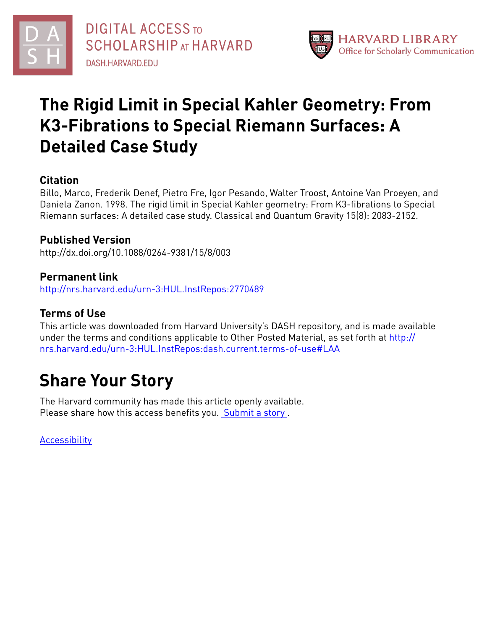



# **The Rigid Limit in Special Kahler Geometry: From K3-Fibrations to Special Riemann Surfaces: A Detailed Case Study**

### **Citation**

Billo, Marco, Frederik Denef, Pietro Fre, Igor Pesando, Walter Troost, Antoine Van Proeyen, and Daniela Zanon. 1998. The rigid limit in Special Kahler geometry: From K3-fibrations to Special Riemann surfaces: A detailed case study. Classical and Quantum Gravity 15(8): 2083-2152.

### **Published Version**

http://dx.doi.org/10.1088/0264-9381/15/8/003

### **Permanent link**

<http://nrs.harvard.edu/urn-3:HUL.InstRepos:2770489>

### **Terms of Use**

This article was downloaded from Harvard University's DASH repository, and is made available under the terms and conditions applicable to Other Posted Material, as set forth at [http://](http://nrs.harvard.edu/urn-3:HUL.InstRepos:dash.current.terms-of-use#LAA) [nrs.harvard.edu/urn-3:HUL.InstRepos:dash.current.terms-of-use#LAA](http://nrs.harvard.edu/urn-3:HUL.InstRepos:dash.current.terms-of-use#LAA)

# **Share Your Story**

The Harvard community has made this article openly available. Please share how this access benefits you. [Submit](http://osc.hul.harvard.edu/dash/open-access-feedback?handle=&title=The%20Rigid%20Limit%20in%20Special%20Kahler%20Geometry:%20From%20K3-Fibrations%20to%20Special%20Riemann%20Surfaces:%20A%20Detailed%20Case%20Study&community=1/1&collection=1/2&owningCollection1/2&harvardAuthors=2af4abd6dd41143f2e6097573b6232c9&departmentPhysics) a story.

[Accessibility](https://dash.harvard.edu/pages/accessibility)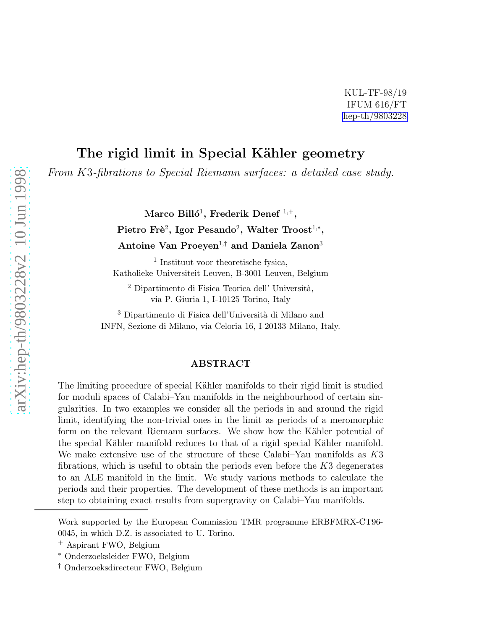### The rigid limit in Special Kähler geometry

*From* K 3*-fibrations to Special Riemann surfaces: a detailed case study.*

Marco Billó<sup>1</sup>, Frederik Denef  $^{1,+},$ 

Pietro Frè<sup>2</sup>, Igor Pesando<sup>2</sup>, Walter Troost<sup>1,\*</sup>,

Antoine Van Proeyen<sup>1,†</sup> and Daniela Zanon<sup>3</sup>

1 Instituut voor theoretische fysica, Katholieke Universiteit Leuven, B-3001 Leuven, Belgium

 $2$  Dipartimento di Fisica Teorica dell' Università, via P. Giuria 1, I-10125 Torino, Italy

<sup>3</sup> Dipartimento di Fisica dell'Università di Milano and INFN, Sezione di Milano, via Celoria 16, I-20133 Milano, Italy.

#### ABSTRACT

The limiting procedure of special Kähler manifolds to their rigid limit is studied for moduli spaces of Calabi–Yau manifolds in the neighbourhood of certain singularities. In two examples we consider all the periods in and around the rigid limit, identifying the non-trivial ones in the limit as periods of a meromorphic form on the relevant Riemann surfaces. We show how the Kähler potential of the special Kähler manifold reduces to that of a rigid special Kähler manifold. We make extensive use of the structure of these Calabi–Yau manifolds as  $K3$ fibrations, which is useful to obtain the periods even before the K3 degenerates to an ALE manifold in the limit. We study various methods to calculate the periods and their properties. The development of these methods is an important step to obtaining exact results from supergravity on Calabi–Yau manifolds.

Work supported by the European Commission TMR programme ERBFMRX-CT96- 0045, in which D.Z. is associated to U. Torino.

<sup>+</sup> Aspirant FWO, Belgium

<sup>∗</sup> Onderzoeksleider FWO, Belgium

<sup>†</sup> Onderzoeksdirecteur FWO, Belgium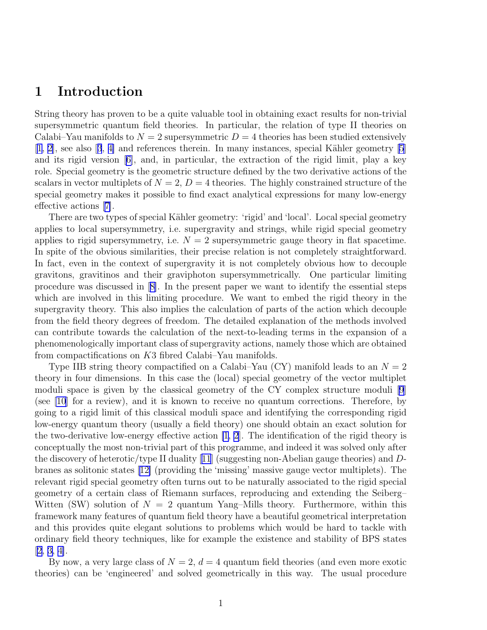### 1 Introduction

String theory has proven to be a quite valuable tool in obtaining exact results for non-trivial supersymmetric quantum field theories. In particular, the relation of type II theories on Calabi–Yau manifolds to  $N = 2$  supersymmetric  $D = 4$  theories has been studied extensively  $[1, 2]$  $[1, 2]$ ,see also  $[3, 4]$  $[3, 4]$  $[3, 4]$  $[3, 4]$  and references therein. In many instances, special Kähler geometry  $[5]$ and its rigid version[[6\]](#page-79-0), and, in particular, the extraction of the rigid limit, play a key role. Special geometry is the geometric structure defined by the two derivative actions of the scalars in vector multiplets of  $N = 2$ ,  $D = 4$  theories. The highly constrained structure of the special geometry makes it possible to find exact analytical expressions for many low-energy effective actions[[7\]](#page-79-0).

There are two types of special Kähler geometry: 'rigid' and 'local'. Local special geometry applies to local supersymmetry, i.e. supergravity and strings, while rigid special geometry applies to rigid supersymmetry, i.e.  $N = 2$  supersymmetric gauge theory in flat spacetime. In spite of the obvious similarities, their precise relation is not completely straightforward. In fact, even in the context of supergravity it is not completely obvious how to decouple gravitons, gravitinos and their graviphoton supersymmetrically. One particular limiting procedure was discussed in[[8\]](#page-79-0). In the present paper we want to identify the essential steps which are involved in this limiting procedure. We want to embed the rigid theory in the supergravity theory. This also implies the calculation of parts of the action which decouple from the field theory degrees of freedom. The detailed explanation of the methods involved can contribute towards the calculation of the next-to-leading terms in the expansion of a phenomenologically important class of supergravity actions, namely those which are obtained from compactifications on K3 fibred Calabi–Yau manifolds.

Type IIB string theory compactified on a Calabi–Yau  $(CY)$  manifold leads to an  $N = 2$ theory in four dimensions. In this case the (local) special geometry of the vector multiplet moduli space is given by the classical geometry of the CY complex structure moduli [\[9](#page-79-0)] (see [\[10](#page-79-0)] for a review), and it is known to receive no quantum corrections. Therefore, by going to a rigid limit of this classical moduli space and identifying the corresponding rigid low-energy quantum theory (usually a field theory) one should obtain an exact solution for the two-derivative low-energy effective action  $[1, 2]$  $[1, 2]$  $[1, 2]$ . The identification of the rigid theory is conceptually the most non-trivial part of this programme, and indeed it was solved only after the discovery of heterotic/type II duality[[11](#page-79-0)] (suggesting non-Abelian gauge theories) and Dbranes as solitonic states[[12\]](#page-79-0) (providing the 'missing' massive gauge vector multiplets). The relevant rigid special geometry often turns out to be naturally associated to the rigid special geometry of a certain class of Riemann surfaces, reproducing and extending the Seiberg– Witten (SW) solution of  $N = 2$  quantum Yang–Mills theory. Furthermore, within this framework many features of quantum field theory have a beautiful geometrical interpretation and this provides quite elegant solutions to problems which would be hard to tackle with ordinary field theory techniques, like for example the existence and stability of BPS states [[2, 3, 4\]](#page-78-0).

By now, a very large class of  $N = 2$ ,  $d = 4$  quantum field theories (and even more exotic theories) can be 'engineered' and solved geometrically in this way. The usual procedure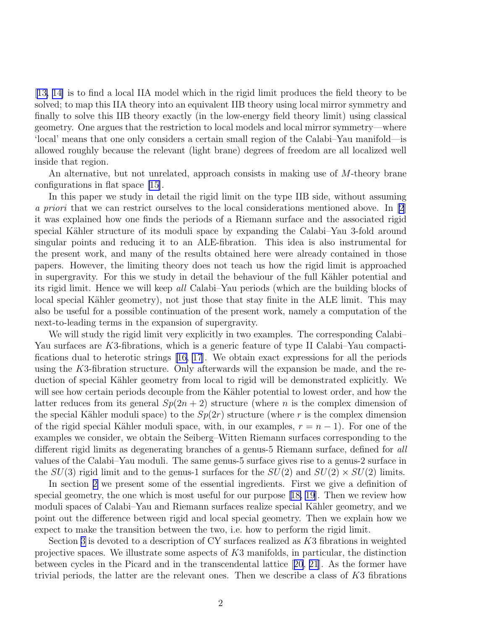[[13, 14\]](#page-79-0) is to find a local IIA model which in the rigid limit produces the field theory to be solved; to map this IIA theory into an equivalent IIB theory using local mirror symmetry and finally to solve this IIB theory exactly (in the low-energy field theory limit) using classical geometry. One argues that the restriction to local models and local mirror symmetry—where 'local' means that one only considers a certain small region of the Calabi–Yau manifold—is allowed roughly because the relevant (light brane) degrees of freedom are all localized well inside that region.

An alternative, but not unrelated, approach consists in making use of M-theory brane configurations in flat space [\[15\]](#page-79-0).

In this paper we study in detail the rigid limit on the type IIB side, without assuming *a priori* that we can restrict ourselves to the local considerations mentioned above. In [\[2](#page-78-0)] it was explained how one finds the periods of a Riemann surface and the associated rigid special Kähler structure of its moduli space by expanding the Calabi–Yau 3-fold around singular points and reducing it to an ALE-fibration. This idea is also instrumental for the present work, and many of the results obtained here were already contained in those papers. However, the limiting theory does not teach us how the rigid limit is approached in supergravity. For this we study in detail the behaviour of the full Kähler potential and its rigid limit. Hence we will keep *all* Calabi–Yau periods (which are the building blocks of local special Kähler geometry), not just those that stay finite in the ALE limit. This may also be useful for a possible continuation of the present work, namely a computation of the next-to-leading terms in the expansion of supergravity.

We will study the rigid limit very explicitly in two examples. The corresponding Calabi– Yau surfaces are K3-fibrations, which is a generic feature of type II Calabi–Yau compactifications dual to heterotic strings [\[16, 17](#page-79-0)]. We obtain exact expressions for all the periods using the K3-fibration structure. Only afterwards will the expansion be made, and the reduction of special Kähler geometry from local to rigid will be demonstrated explicitly. We will see how certain periods decouple from the Kähler potential to lowest order, and how the latter reduces from its general  $Sp(2n + 2)$  structure (where n is the complex dimension of the special Kähler moduli space) to the  $Sp(2r)$  structure (where r is the complex dimension of the rigid special Kähler moduli space, with, in our examples,  $r = n - 1$ ). For one of the examples we consider, we obtain the Seiberg–Witten Riemann surfaces corresponding to the different rigid limits as degenerating branches of a genus-5 Riemann surface, defined for *all* values of the Calabi–Yau moduli. The same genus-5 surface gives rise to a genus-2 surface in the  $SU(3)$  rigid limit and to the genus-1 surfaces for the  $SU(2)$  and  $SU(2) \times SU(2)$  limits.

In section [2](#page-4-0) we present some of the essential ingredients. First we give a definition of special geometry, the one which is most useful for our purpose[[18, 19](#page-79-0)]. Then we review how moduli spaces of Calabi–Yau and Riemann surfaces realize special Kähler geometry, and we point out the difference between rigid and local special geometry. Then we explain how we expect to make the transition between the two, i.e. how to perform the rigid limit.

Section [3](#page-9-0) is devoted to a description of CY surfaces realized as K3 fibrations in weighted projective spaces. We illustrate some aspects of  $K3$  manifolds, in particular, the distinction between cycles in the Picard and in the transcendental lattice[[20](#page-79-0), [21](#page-79-0)]. As the former have trivial periods, the latter are the relevant ones. Then we describe a class of K3 fibrations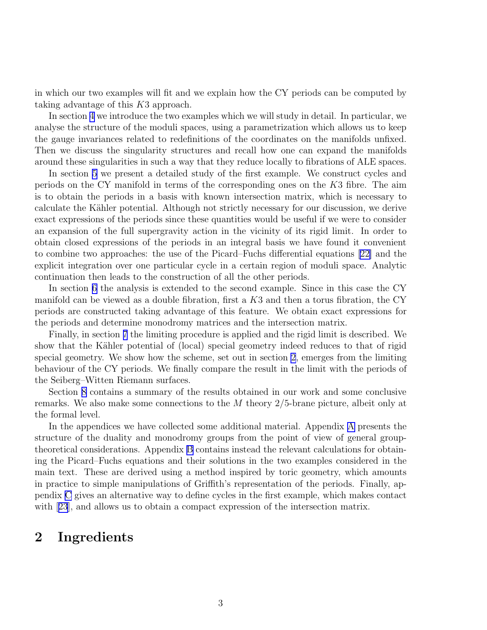<span id="page-4-0"></span>in which our two examples will fit and we explain how the CY periods can be computed by taking advantage of this K3 approach.

In section [4](#page-15-0) we introduce the two examples which we will study in detail. In particular, we analyse the structure of the moduli spaces, using a parametrization which allows us to keep the gauge invariances related to redefinitions of the coordinates on the manifolds unfixed. Then we discuss the singularity structures and recall how one can expand the manifolds around these singularities in such a way that they reduce locally to fibrations of ALE spaces.

In section [5](#page-25-0) we present a detailed study of the first example. We construct cycles and periods on the CY manifold in terms of the corresponding ones on the K3 fibre. The aim is to obtain the periods in a basis with known intersection matrix, which is necessary to calculate the Kähler potential. Although not strictly necessary for our discussion, we derive exact expressions of the periods since these quantities would be useful if we were to consider an expansion of the full supergravity action in the vicinity of its rigid limit. In order to obtain closed expressions of the periods in an integral basis we have found it convenient to combine two approaches: the use of the Picard–Fuchs differential equations [\[22\]](#page-79-0) and the explicit integration over one particular cycle in a certain region of moduli space. Analytic continuation then leads to the construction of all the other periods.

In section [6](#page-33-0) the analysis is extended to the second example. Since in this case the CY manifold can be viewed as a double fibration, first a  $K3$  and then a torus fibration, the CY periods are constructed taking advantage of this feature. We obtain exact expressions for the periods and determine monodromy matrices and the intersection matrix.

Finally, in section [7](#page-44-0) the limiting procedure is applied and the rigid limit is described. We show that the Kähler potential of (local) special geometry indeed reduces to that of rigid special geometry. We show how the scheme, set out in section 2, emerges from the limiting behaviour of the CY periods. We finally compare the result in the limit with the periods of the Seiberg–Witten Riemann surfaces.

Section [8](#page-58-0) contains a summary of the results obtained in our work and some conclusive remarks. We also make some connections to the M theory 2/5-brane picture, albeit only at the formal level.

In the appendices we have collected some additional material. Appendix [A](#page-60-0) presents the structure of the duality and monodromy groups from the point of view of general grouptheoretical considerations. Appendix [B](#page-68-0) contains instead the relevant calculations for obtaining the Picard–Fuchs equations and their solutions in the two examples considered in the main text. These are derived using a method inspired by toric geometry, which amounts in practice to simple manipulations of Griffith's representation of the periods. Finally, appendix [C](#page-73-0) gives an alternative way to define cycles in the first example, which makes contact with[[23](#page-79-0)], and allows us to obtain a compact expression of the intersection matrix.

### 2 Ingredients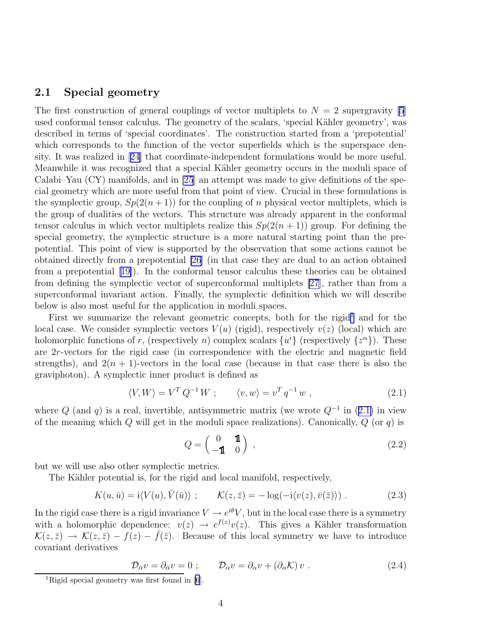#### <span id="page-5-0"></span>2.1 Special geometry

The first construction of general couplings of vector multiplets to  $N = 2$  supergravity [\[5](#page-79-0)] used conformal tensor calculus. The geometry of the scalars, 'special Kähler geometry', was described in terms of 'special coordinates'. The construction started from a 'prepotential' which corresponds to the function of the vector superfields which is the superspace density. It was realized in [\[24\]](#page-80-0) that coordinate-independent formulations would be more useful. Meanwhile it was recognized that a special Kähler geometry occurs in the moduli space of Calabi–Yau (CY) manifolds, and in [\[25](#page-80-0)] an attempt was made to give definitions of the special geometry which are more useful from that point of view. Crucial in these formulations is the symplectic group,  $Sp(2(n+1))$  for the coupling of n physical vector multiplets, which is the group of dualities of the vectors. This structure was already apparent in the conformal tensor calculus in which vector multiplets realize this  $Sp(2(n + 1))$  group. For defining the special geometry, the symplectic structure is a more natural starting point than the prepotential. This point of view is supported by the observation that some actions cannot be obtained directly from a prepotential [\[26](#page-80-0)] (in that case they are dual to an action obtained from a prepotential[[19\]](#page-79-0)). In the conformal tensor calculus these theories can be obtained from defining the symplectic vector of superconformal multiplets [\[27](#page-80-0)], rather than from a superconformal invariant action. Finally, the symplectic definition which we will describe below is also most useful for the application in moduli spaces.

First we summarize the relevant geometric concepts, both for the rigid<sup>1</sup> and for the local case. We consider symplectic vectors  $V(u)$  (rigid), respectively  $v(z)$  (local) which are holomorphic functions of r, (respectively n) complex scalars  $\{u^{i}\}\$  (respectively  $\{z^{\alpha}\}\$ ). These are 2r-vectors for the rigid case (in correspondence with the electric and magnetic field strengths), and  $2(n + 1)$ -vectors in the local case (because in that case there is also the graviphoton). A symplectic inner product is defined as

$$
\langle V, W \rangle = V^T Q^{-1} W ; \qquad \langle v, w \rangle = v^T q^{-1} w , \qquad (2.1)
$$

where  $Q$  (and  $q$ ) is a real, invertible, antisymmetric matrix (we wrote  $Q^{-1}$  in (2.1) in view of the meaning which Q will get in the moduli space realizations). Canonically,  $Q$  (or q) is

$$
Q = \begin{pmatrix} 0 & \mathbf{1} \\ -\mathbf{1} & 0 \end{pmatrix} , \tag{2.2}
$$

but we will use also other symplectic metrics.

The Kähler potential is, for the rigid and local manifold, respectively,

$$
K(u, \bar{u}) = i \langle V(u), \bar{V}(\bar{u}) \rangle ; \qquad \mathcal{K}(z, \bar{z}) = -\log(-i \langle v(z), \bar{v}(\bar{z}) \rangle) . \qquad (2.3)
$$

In the rigid case there is a rigid invariance  $V \to e^{i\theta} V$ , but in the local case there is a symmetry with a holomorphic dependence:  $v(z) \rightarrow e^{f(z)}v(z)$ . This gives a Kähler transformation  $\mathcal{K}(z,\bar{z}) \to \mathcal{K}(z,\bar{z}) - f(z) - \bar{f}(\bar{z})$ . Because of this local symmetry we have to introduce covariant derivatives

$$
\mathcal{D}_{\bar{\alpha}}v = \partial_{\bar{\alpha}}v = 0 \; ; \qquad \mathcal{D}_{\alpha}v = \partial_{\alpha}v + (\partial_{\alpha}\mathcal{K})v \; . \tag{2.4}
$$

<sup>&</sup>lt;sup>1</sup>Rigid special geometry was first found in  $[6]$ .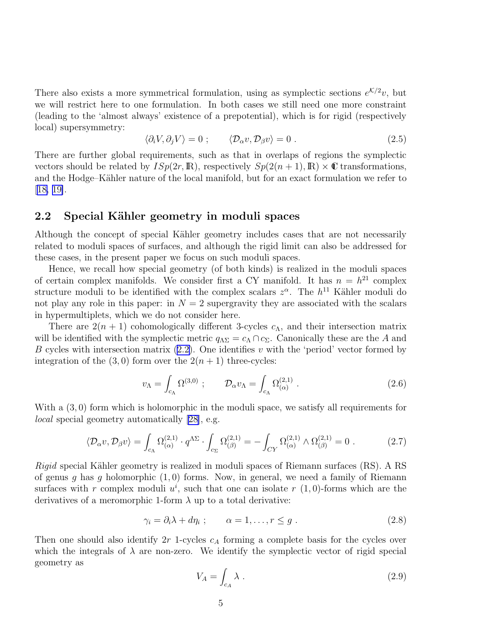<span id="page-6-0"></span>There also exists a more symmetrical formulation, using as symplectic sections  $e^{K/2}v$ , but we will restrict here to one formulation. In both cases we still need one more constraint (leading to the 'almost always' existence of a prepotential), which is for rigid (respectively local) supersymmetry:

$$
\langle \partial_i V, \partial_j V \rangle = 0 \; ; \qquad \langle \mathcal{D}_{\alpha} v, \mathcal{D}_{\beta} v \rangle = 0 \; . \tag{2.5}
$$

There are further global requirements, such as that in overlaps of regions the symplectic vectors should be related by  $\text{ISp}(2r,\mathbb{R})$ , respectively  $\text{Sp}(2(n+1),\mathbb{R})\times\mathbb{C}$  transformations, and the Hodge–Kähler nature of the local manifold, but for an exact formulation we refer to  $[18, 19]$  $[18, 19]$ .

#### 2.2 Special Kähler geometry in moduli spaces

Although the concept of special Kähler geometry includes cases that are not necessarily related to moduli spaces of surfaces, and although the rigid limit can also be addressed for these cases, in the present paper we focus on such moduli spaces.

Hence, we recall how special geometry (of both kinds) is realized in the moduli spaces of certain complex manifolds. We consider first a CY manifold. It has  $n = h^{21}$  complex structure moduli to be identified with the complex scalars  $z^{\alpha}$ . The  $h^{11}$  Kähler moduli do not play any role in this paper: in  $N = 2$  supergravity they are associated with the scalars in hypermultiplets, which we do not consider here.

There are  $2(n + 1)$  cohomologically different 3-cycles  $c<sub>A</sub>$ , and their intersection matrix will be identified with the symplectic metric  $q_{\Lambda\Sigma} = c_{\Lambda} \cap c_{\Sigma}$ . Canonically these are the A and Bcycles with intersection matrix  $(2.2)$  $(2.2)$ . One identifies v with the 'period' vector formed by integration of the  $(3,0)$  form over the  $2(n+1)$  three-cycles:

$$
v_{\Lambda} = \int_{c_{\Lambda}} \Omega^{(3,0)} \ ; \qquad \mathcal{D}_{\alpha} v_{\Lambda} = \int_{c_{\Lambda}} \Omega^{(2,1)}_{(\alpha)} \ . \tag{2.6}
$$

With a  $(3,0)$  form which is holomorphic in the moduli space, we satisfy all requirements for *local* special geometry automatically [\[28\]](#page-80-0), e.g.

$$
\langle \mathcal{D}_{\alpha} v, \mathcal{D}_{\beta} v \rangle = \int_{c_{\Lambda}} \Omega_{(\alpha)}^{(2,1)} \cdot q^{\Lambda \Sigma} \cdot \int_{c_{\Sigma}} \Omega_{(\beta)}^{(2,1)} = - \int_{CY} \Omega_{(\alpha)}^{(2,1)} \wedge \Omega_{(\beta)}^{(2,1)} = 0 \tag{2.7}
$$

*Rigid* special Kähler geometry is realized in moduli spaces of Riemann surfaces (RS). A RS of genus g has g holomorphic  $(1, 0)$  forms. Now, in general, we need a family of Riemann surfaces with r complex moduli  $u^i$ , such that one can isolate r  $(1,0)$ -forms which are the derivatives of a meromorphic 1-form  $\lambda$  up to a total derivative:

$$
\gamma_i = \partial_i \lambda + d\eta_i \; ; \qquad \alpha = 1, \dots, r \le g \; . \tag{2.8}
$$

Then one should also identify  $2r$  1-cycles  $c_A$  forming a complete basis for the cycles over which the integrals of  $\lambda$  are non-zero. We identify the symplectic vector of rigid special geometry as

$$
V_A = \int_{c_A} \lambda \tag{2.9}
$$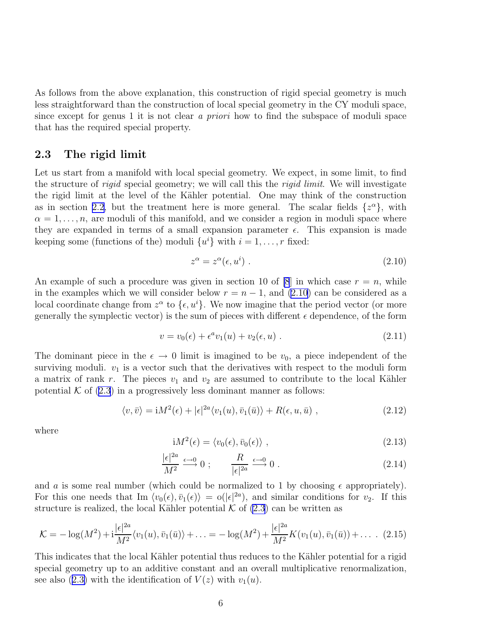<span id="page-7-0"></span>As follows from the above explanation, this construction of rigid special geometry is much less straightforward than the construction of local special geometry in the CY moduli space, since except for genus 1 it is not clear *a priori* how to find the subspace of moduli space that has the required special property.

#### 2.3 The rigid limit

Let us start from a manifold with local special geometry. We expect, in some limit, to find the structure of *rigid* special geometry; we will call this the *rigid limit*. We will investigate the rigid limit at the level of the Kähler potential. One may think of the construction as in section [2.2,](#page-6-0) but the treatment here is more general. The scalar fields  $\{z^{\alpha}\},$  with  $\alpha = 1, \ldots, n$ , are moduli of this manifold, and we consider a region in moduli space where they are expanded in terms of a small expansion parameter  $\epsilon$ . This expansion is made keeping some (functions of the) moduli  $\{u^i\}$  with  $i = 1, \ldots, r$  fixed:

$$
z^{\alpha} = z^{\alpha}(\epsilon, u^{i}). \tag{2.10}
$$

An example of such a procedure was given in section 10 of [\[8](#page-79-0)] in which case  $r = n$ , while in the examples which we will consider below  $r = n - 1$ , and (2.10) can be considered as a local coordinate change from  $z^{\alpha}$  to  $\{\epsilon, u^{i}\}$ . We now imagine that the period vector (or more generally the symplectic vector) is the sum of pieces with different  $\epsilon$  dependence, of the form

$$
v = v_0(\epsilon) + \epsilon^a v_1(u) + v_2(\epsilon, u) . \tag{2.11}
$$

The dominant piece in the  $\epsilon \to 0$  limit is imagined to be  $v_0$ , a piece independent of the surviving moduli.  $v_1$  is a vector such that the derivatives with respect to the moduli form a matrix of rank r. The pieces  $v_1$  and  $v_2$  are assumed to contribute to the local Kähler potential  $K$  of  $(2.3)$  in a progressively less dominant manner as follows:

$$
\langle v, \bar{v} \rangle = i M^2(\epsilon) + |\epsilon|^{2a} \langle v_1(u), \bar{v}_1(\bar{u}) \rangle + R(\epsilon, u, \bar{u}) , \qquad (2.12)
$$

where

$$
iM^{2}(\epsilon) = \langle v_{0}(\epsilon), \bar{v}_{0}(\epsilon) \rangle , \qquad (2.13)
$$

$$
\frac{|\epsilon|^{2a}}{M^2} \xrightarrow{\epsilon \to 0} 0; \qquad \frac{R}{|\epsilon|^{2a}} \xrightarrow{\epsilon \to 0} 0.
$$
 (2.14)

and a is some real number (which could be normalized to 1 by choosing  $\epsilon$  appropriately). For this one needs that Im  $\langle v_0(\epsilon), \bar{v}_1(\epsilon) \rangle = o(|\epsilon|^{2a})$ , and similar conditions for  $v_2$ . If this structure is realized, the local Kähler potential  $K$  of  $(2.3)$  can be written as

$$
\mathcal{K} = -\log(M^2) + i \frac{|\epsilon|^{2a}}{M^2} \langle v_1(u), \bar{v}_1(\bar{u}) \rangle + \ldots = -\log(M^2) + \frac{|\epsilon|^{2a}}{M^2} K(v_1(u), \bar{v}_1(\bar{u})) + \ldots \quad (2.15)
$$

This indicates that the local Kähler potential thus reduces to the Kähler potential for a rigid special geometry up to an additive constant and an overall multiplicative renormalization, seealso ([2.3\)](#page-5-0) with the identification of  $V(z)$  with  $v_1(u)$ .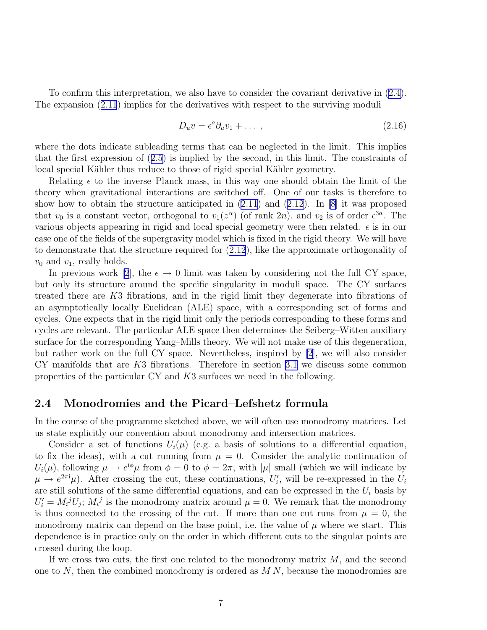To confirm this interpretation, we also have to consider the covariant derivative in([2.4\)](#page-5-0). The expansion([2.11](#page-7-0)) implies for the derivatives with respect to the surviving moduli

$$
D_u v = \epsilon^a \partial_u v_1 + \dots \,, \tag{2.16}
$$

where the dots indicate subleading terms that can be neglected in the limit. This implies that the first expression of([2.5\)](#page-6-0) is implied by the second, in this limit. The constraints of local special Kähler thus reduce to those of rigid special Kähler geometry.

Relating  $\epsilon$  to the inverse Planck mass, in this way one should obtain the limit of the theory when gravitational interactions are switched off. One of our tasks is therefore to show how to obtain the structure anticipated in [\(2.11](#page-7-0)) and [\(2.12](#page-7-0)). In[[8\]](#page-79-0) it was proposed that  $v_0$  is a constant vector, orthogonal to  $v_1(z^{\alpha})$  (of rank 2n), and  $v_2$  is of order  $\epsilon^{3a}$ . The various objects appearing in rigid and local special geometry were then related.  $\epsilon$  is in our case one of the fields of the supergravity model which is fixed in the rigid theory. We will have to demonstrate that the structure required for [\(2.12](#page-7-0)), like the approximate orthogonality of  $v_0$  and  $v_1$ , really holds.

Inprevious work [[2](#page-78-0)], the  $\epsilon \to 0$  limit was taken by considering not the full CY space, but only its structure around the specific singularity in moduli space. The CY surfaces treated there are K3 fibrations, and in the rigid limit they degenerate into fibrations of an asymptotically locally Euclidean (ALE) space, with a corresponding set of forms and cycles. One expects that in the rigid limit only the periods corresponding to these forms and cycles are relevant. The particular ALE space then determines the Seiberg–Witten auxiliary surface for the corresponding Yang–Mills theory. We will not make use of this degeneration, but rather work on the full CY space. Nevertheless, inspired by [\[2](#page-78-0)], we will also consider CY manifolds that are K3 fibrations. Therefore in section [3.1](#page-9-0) we discuss some common properties of the particular CY and K3 surfaces we need in the following.

#### 2.4 Monodromies and the Picard–Lefshetz formula

In the course of the programme sketched above, we will often use monodromy matrices. Let us state explicitly our convention about monodromy and intersection matrices.

Consider a set of functions  $U_i(\mu)$  (e.g. a basis of solutions to a differential equation, to fix the ideas), with a cut running from  $\mu = 0$ . Consider the analytic continuation of  $U_i(\mu)$ , following  $\mu \to e^{i\phi}\mu$  from  $\phi = 0$  to  $\phi = 2\pi$ , with  $|\mu|$  small (which we will indicate by  $\mu \to e^{2\pi i}\mu$ ). After crossing the cut, these continuations,  $U_i'$ , will be re-expressed in the  $U_i$ are still solutions of the same differential equations, and can be expressed in the  $U_i$  basis by  $U'_{i} = M_{i}^{j} U_{j}$ ;  $M_{i}^{j}$  is the monodromy matrix around  $\mu = 0$ . We remark that the monodromy is thus connected to the crossing of the cut. If more than one cut runs from  $\mu = 0$ , the monodromy matrix can depend on the base point, i.e. the value of  $\mu$  where we start. This dependence is in practice only on the order in which different cuts to the singular points are crossed during the loop.

If we cross two cuts, the first one related to the monodromy matrix  $M$ , and the second one to  $N$ , then the combined monodromy is ordered as  $M N$ , because the monodromies are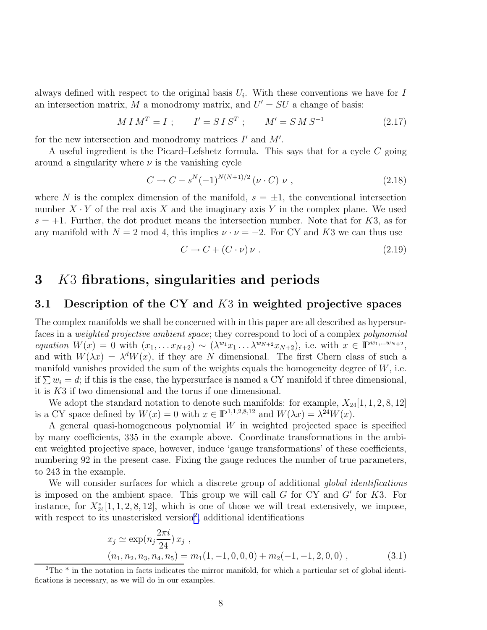<span id="page-9-0"></span>always defined with respect to the original basis  $U_i$ . With these conventions we have for I an intersection matrix, M a monodromy matrix, and  $U' = SU$  a change of basis:

$$
M \, I \, M^T = I \; ; \qquad I' = S \, I \, S^T \; ; \qquad M' = S \, M \, S^{-1} \tag{2.17}
$$

for the new intersection and monodromy matrices  $I'$  and  $M'$ .

A useful ingredient is the Picard–Lefshetz formula. This says that for a cycle C going around a singularity where  $\nu$  is the vanishing cycle

$$
C \to C - s^N (-1)^{N(N+1)/2} \left( \nu \cdot C \right) \nu , \qquad (2.18)
$$

where N is the complex dimension of the manifold,  $s = \pm 1$ , the conventional intersection number  $X \cdot Y$  of the real axis X and the imaginary axis Y in the complex plane. We used  $s = +1$ . Further, the dot product means the intersection number. Note that for K3, as for any manifold with  $N = 2 \text{ mod } 4$ , this implies  $\nu \cdot \nu = -2$ . For CY and K3 we can thus use

$$
C \to C + (C \cdot \nu) \nu \tag{2.19}
$$

### 3 K3 fibrations, singularities and periods

#### 3.1 Description of the CY and K3 in weighted projective spaces

The complex manifolds we shall be concerned with in this paper are all described as hypersurfaces in a *weighted projective ambient space*; they correspond to loci of a complex *polynomial equation*  $W(x) = 0$  with  $(x_1, \ldots, x_{N+2}) \sim (\lambda^{w_1} x_1 \ldots \lambda^{w_{N+2}} x_{N+2})$ , i.e. with  $x \in \mathbb{P}^{w_1, \ldots, w_{N+2}}$ , and with  $W(\lambda x) = \lambda^d W(x)$ , if they are N dimensional. The first Chern class of such a manifold vanishes provided the sum of the weights equals the homogeneity degree of  $W$ , i.e. if  $\sum w_i = d$ ; if this is the case, the hypersurface is named a CY manifold if three dimensional, it is K3 if two dimensional and the torus if one dimensional.

We adopt the standard notation to denote such manifolds: for example,  $X_{24}[1, 1, 2, 8, 12]$ is a CY space defined by  $W(x) = 0$  with  $x \in \mathbb{P}^{1,1,2,8,12}$  and  $W(\lambda x) = \lambda^{24} W(x)$ .

A general quasi-homogeneous polynomial W in weighted projected space is specified by many coefficients, 335 in the example above. Coordinate transformations in the ambient weighted projective space, however, induce 'gauge transformations' of these coefficients, numbering 92 in the present case. Fixing the gauge reduces the number of true parameters, to 243 in the example.

We will consider surfaces for which a discrete group of additional *global identifications* is imposed on the ambient space. This group we will call  $G$  for CY and  $G'$  for  $K3$ . For instance, for  $X^*_{24}[1,1,2,8,12]$ , which is one of those we will treat extensively, we impose, with respect to its unasterisked version<sup>2</sup>, additional identifications

$$
x_j \simeq \exp(n_j \frac{2\pi i}{24}) x_j ,
$$
  
\n
$$
(n_1, n_2, n_3, n_4, n_5) = m_1(1, -1, 0, 0, 0) + m_2(-1, -1, 2, 0, 0) ,
$$
\n(3.1)

<sup>&</sup>lt;sup>2</sup>The \* in the notation in facts indicates the mirror manifold, for which a particular set of global identifications is necessary, as we will do in our examples.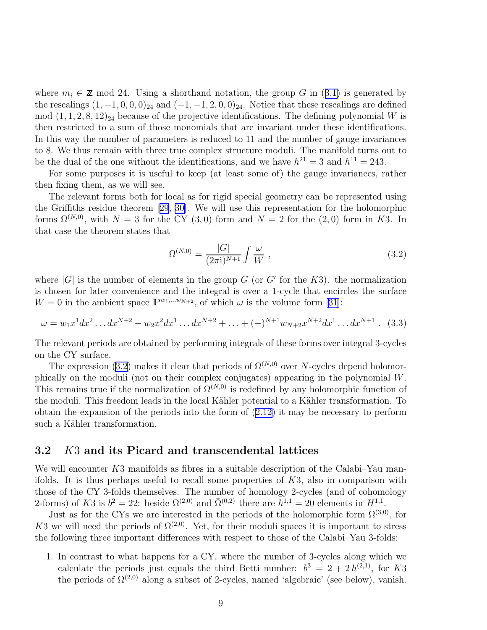<span id="page-10-0"></span>where $m_i \in \mathbb{Z}$  mod 24. Using a shorthand notation, the group G in ([3.1\)](#page-9-0) is generated by the rescalings  $(1, -1, 0, 0, 0)_{24}$  and  $(-1, -1, 2, 0, 0)_{24}$ . Notice that these rescalings are defined mod  $(1, 1, 2, 8, 12)_{24}$  because of the projective identifications. The defining polynomial W is then restricted to a sum of those monomials that are invariant under these identifications. In this way the number of parameters is reduced to 11 and the number of gauge invariances to 8. We thus remain with three true complex structure moduli. The manifold turns out to be the dual of the one without the identifications, and we have  $h^{21} = 3$  and  $h^{11} = 243$ .

For some purposes it is useful to keep (at least some of) the gauge invariances, rather then fixing them, as we will see.

The relevant forms both for local as for rigid special geometry can be represented using the Griffiths residue theorem[[29](#page-80-0), [30\]](#page-80-0). We will use this representation for the holomorphic forms  $\Omega^{(N,0)}$ , with  $N = 3$  for the CY (3,0) form and  $N = 2$  for the (2,0) form in K3. In that case the theorem states that

$$
\Omega^{(N,0)} = \frac{|G|}{(2\pi i)^{N+1}} \int \frac{\omega}{W} , \qquad (3.2)
$$

where  $|G|$  is the number of elements in the group G (or G' for the K3). the normalization is chosen for later convenience and the integral is over a 1-cycle that encircles the surface  $W = 0$  in the ambient space  $\mathbb{P}^{w_1,...w_{N+2}}$ , of which  $\omega$  is the volume form [\[31\]](#page-80-0):

$$
\omega = w_1 x^1 dx^2 \dots dx^{N+2} - w_2 x^2 dx^1 \dots dx^{N+2} + \dots + (-)^{N+1} w_{N+2} x^{N+2} dx^1 \dots dx^{N+1} .
$$
 (3.3)

The relevant periods are obtained by performing integrals of these forms over integral 3-cycles on the CY surface.

The expression (3.2) makes it clear that periods of  $\Omega^{(N,0)}$  over N-cycles depend holomorphically on the moduli (not on their complex conjugates) appearing in the polynomial W. This remains true if the normalization of  $\Omega^{(N,0)}$  is redefined by any holomorphic function of the moduli. This freedom leads in the local Kähler potential to a Kähler transformation. To obtain the expansion of the periods into the form of [\(2.12](#page-7-0)) it may be necessary to perform such a Kähler transformation.

#### 3.2 K3 and its Picard and transcendental lattices

We will encounter K3 manifolds as fibres in a suitable description of the Calabi–Yau manifolds. It is thus perhaps useful to recall some properties of K3, also in comparison with those of the CY 3-folds themselves. The number of homology 2-cycles (and of cohomology 2-forms) of K3 is  $b^2 = 22$ : beside  $\Omega^{(2,0)}$  and  $\bar{\Omega}^{(0,2)}$  there are  $h^{1,1} = 20$  elements in  $H^{1,1}$ .

Just as for the CYs we are interested in the periods of the holomorphic form  $\Omega^{(3,0)}$ , for K3 we will need the periods of  $\Omega^{(2,0)}$ . Yet, for their moduli spaces it is important to stress the following three important differences with respect to those of the Calabi–Yau 3-folds:

1. In contrast to what happens for a CY, where the number of 3-cycles along which we calculate the periods just equals the third Betti number:  $b^3 = 2 + 2h^{(2,1)}$ , for K3 the periods of  $\Omega^{(2,0)}$  along a subset of 2-cycles, named 'algebraic' (see below), vanish.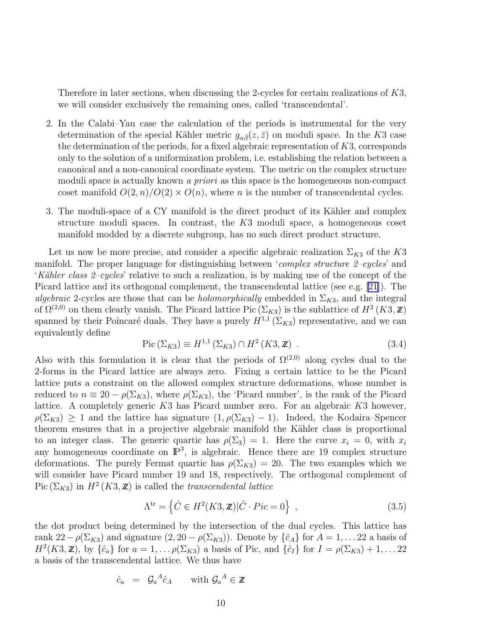Therefore in later sections, when discussing the 2-cycles for certain realizations of K3, we will consider exclusively the remaining ones, called 'transcendental'.

- 2. In the Calabi–Yau case the calculation of the periods is instrumental for the very determination of the special Kähler metric  $g_{\alpha\bar{\beta}}(z,\bar{z})$  on moduli space. In the K3 case the determination of the periods, for a fixed algebraic representation of K3, corresponds only to the solution of a uniformization problem, i.e. establishing the relation between a canonical and a non-canonical coordinate system. The metric on the complex structure moduli space is actually known *a priori* as this space is the homogeneous non-compact coset manifold  $O(2, n)/O(2) \times O(n)$ , where *n* is the number of transcendental cycles.
- 3. The moduli-space of a CY manifold is the direct product of its Kähler and complex structure moduli spaces. In contrast, the K3 moduli space, a homogeneous coset manifold modded by a discrete subgroup, has no such direct product structure.

Let us now be more precise, and consider a specific algebraic realization  $\Sigma_{K3}$  of the K3 manifold. The proper language for distinguishing between '*complex structure 2–cycles*' and '*K¨ahler class 2–cycles*' relative to such a realization, is by making use of the concept of the Picard lattice and its orthogonal complement, the transcendental lattice (see e.g. [\[21\]](#page-79-0)). The *algebraic* 2-cycles are those that can be *holomorphically* embedded in  $\Sigma_{K3}$ , and the integral of  $\Omega^{(2,0)}$  on them clearly vanish. The Picard lattice Pic  $(\Sigma_{K3})$  is the sublattice of  $H^2(K3,\mathbb{Z})$ spanned by their Poincaré duals. They have a purely  $H^{1,1}(\Sigma_{K3})$  representative, and we can equivalently define

$$
Pic (\Sigma_{K3}) \equiv H^{1,1} (\Sigma_{K3}) \cap H^2 (K3, \mathbb{Z}) . \tag{3.4}
$$

Also with this formulation it is clear that the periods of  $\Omega^{(2,0)}$  along cycles dual to the 2-forms in the Picard lattice are always zero. Fixing a certain lattice to be the Picard lattice puts a constraint on the allowed complex structure deformations, whose number is reduced to  $n \equiv 20 - \rho(\Sigma_{K3})$ , where  $\rho(\Sigma_{K3})$ , the 'Picard number', is the rank of the Picard lattice. A completely generic K3 has Picard number zero. For an algebraic K3 however,  $\rho(\Sigma_{K3}) \geq 1$  and the lattice has signature  $(1, \rho(\Sigma_{K3}) - 1)$ . Indeed, the Kodaira–Spencer theorem ensures that in a projective algebraic manifold the Kähler class is proportional to an integer class. The generic quartic has  $\rho(\Sigma_3) = 1$ . Here the curve  $x_i = 0$ , with  $x_i$ any homogeneous coordinate on  $\mathbb{P}^3$ , is algebraic. Hence there are 19 complex structure deformations. The purely Fermat quartic has  $\rho(\Sigma_{K3}) = 20$ . The two examples which we will consider have Picard number 19 and 18, respectively. The orthogonal complement of Pic  $(\Sigma_{K3})$  in  $H^2(K3, \mathbb{Z})$  is called the *transcendental lattice* 

$$
\Lambda^{\text{tr}} = \left\{ \hat{C} \in H^2(K3, \mathbb{Z}) | \hat{C} \cdot Pic = 0 \right\} ,\qquad(3.5)
$$

the dot product being determined by the intersection of the dual cycles. This lattice has rank  $22 - \rho(\Sigma_{K3})$  and signature  $(2, 20 - \rho(\Sigma_{K3}))$ . Denote by  $\{\hat{c}_A\}$  for  $A = 1, \ldots 22$  a basis of  $H^2(K3, \mathbb{Z})$ , by  $\{\hat{c}_a\}$  for  $a = 1, \ldots \rho(\Sigma_{K3})$  a basis of Pic, and  $\{\hat{c}_I\}$  for  $I = \rho(\Sigma_{K3}) + 1, \ldots 22$ a basis of the transcendental lattice. We thus have

$$
\hat{c}_a = \mathcal{G}_a{}^A \hat{c}_A \quad \text{with } \mathcal{G}_a{}^A \in \mathbb{Z}
$$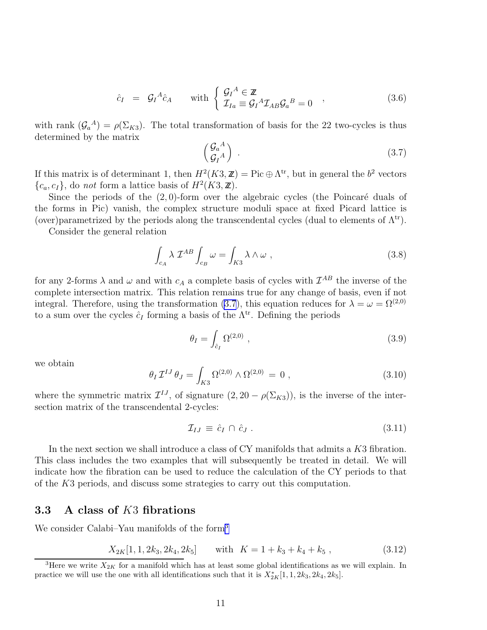$$
\hat{c}_I = \mathcal{G}_I{}^A \hat{c}_A \quad \text{with } \begin{cases} \mathcal{G}_I{}^A \in \mathbb{Z} \\ \mathcal{I}_{Ia} \equiv \mathcal{G}_I{}^A \mathcal{I}_{AB} \mathcal{G}_a{}^B = 0 \end{cases} , \tag{3.6}
$$

<span id="page-12-0"></span>with rank  $(G_a^A) = \rho(\Sigma_{K3})$ . The total transformation of basis for the 22 two-cycles is thus determined by the matrix

$$
\begin{pmatrix} \mathcal{G}_a{}^A \\ \mathcal{G}_I{}^A \end{pmatrix} . \tag{3.7}
$$

If this matrix is of determinant 1, then  $H^2(K3, \mathbb{Z}) = \text{Pic} \oplus \Lambda^{\text{tr}}$ , but in general the  $b^2$  vectors  ${c_a, c_I}$ , do *not* form a lattice basis of  $H^2(K3, \mathbb{Z})$ .

Since the periods of the  $(2, 0)$ -form over the algebraic cycles (the Poincaré duals of the forms in Pic) vanish, the complex structure moduli space at fixed Picard lattice is (over)parametrized by the periods along the transcendental cycles (dual to elements of  $\Lambda^{tr}$ ).

Consider the general relation

$$
\int_{c_A} \lambda \mathcal{I}^{AB} \int_{c_B} \omega = \int_{K3} \lambda \wedge \omega , \qquad (3.8)
$$

for any 2-forms  $\lambda$  and  $\omega$  and with  $c_A$  a complete basis of cycles with  $\mathcal{I}^{AB}$  the inverse of the complete intersection matrix. This relation remains true for any change of basis, even if not integral. Therefore, using the transformation (3.7), this equation reduces for  $\lambda = \omega = \Omega^{(2,0)}$ to a sum over the cycles  $\hat{c}_I$  forming a basis of the  $\Lambda^{\text{tr}}$ . Defining the periods

$$
\theta_I = \int_{\hat{c}_I} \Omega^{(2,0)} \tag{3.9}
$$

we obtain

$$
\theta_I \mathcal{I}^{IJ} \theta_J = \int_{K3} \Omega^{(2,0)} \wedge \Omega^{(2,0)} = 0 , \qquad (3.10)
$$

where the symmetric matrix  $\mathcal{I}^{IJ}$ , of signature  $(2, 20 - \rho(\Sigma_{K3}))$ , is the inverse of the intersection matrix of the transcendental 2-cycles:

$$
\mathcal{I}_{IJ} \equiv \hat{c}_I \cap \hat{c}_J \ . \tag{3.11}
$$

In the next section we shall introduce a class of CY manifolds that admits a K3 fibration. This class includes the two examples that will subsequently be treated in detail. We will indicate how the fibration can be used to reduce the calculation of the CY periods to that of the K3 periods, and discuss some strategies to carry out this computation.

#### 3.3 A class of K3 fibrations

We consider Calabi–Yau manifolds of the form<sup>3</sup>

$$
X_{2K}[1, 1, 2k_3, 2k_4, 2k_5] \qquad \text{with} \quad K = 1 + k_3 + k_4 + k_5 \tag{3.12}
$$

<sup>&</sup>lt;sup>3</sup>Here we write  $X_{2K}$  for a manifold which has at least some global identifications as we will explain. In practice we will use the one with all identifications such that it is  $X^*_{2K}[1,1,2k_3,2k_4,2k_5]$ .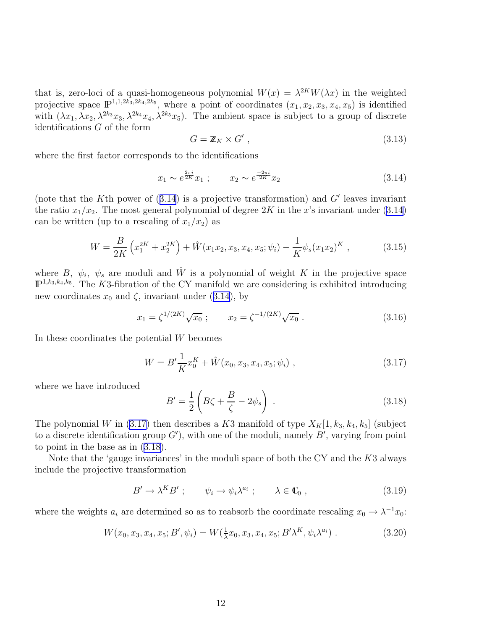<span id="page-13-0"></span>that is, zero-loci of a quasi-homogeneous polynomial  $W(x) = \lambda^{2K} W(\lambda x)$  in the weighted projective space  $\mathbb{P}^{1,1,2k_3,2k_4,2k_5}$ , where a point of coordinates  $(x_1, x_2, x_3, x_4, x_5)$  is identified with  $(\lambda x_1, \lambda x_2, \lambda^{2k_3}x_3, \lambda^{2k_4}x_4, \lambda^{2k_5}x_5)$ . The ambient space is subject to a group of discrete identifications G of the form

$$
G = \mathbb{Z}_K \times G', \qquad (3.13)
$$

where the first factor corresponds to the identifications

$$
x_1 \sim e^{\frac{2\pi i}{2K}} x_1 ; \qquad x_2 \sim e^{\frac{-2\pi i}{2K}} x_2 \tag{3.14}
$$

(note that the K<sup>th</sup> power of  $(3.14)$  is a projective transformation) and G' leaves invariant the ratio  $x_1/x_2$ . The most general polynomial of degree 2K in the x's invariant under (3.14) can be written (up to a rescaling of  $x_1/x_2$ ) as

$$
W = \frac{B}{2K} \left( x_1^{2K} + x_2^{2K} \right) + \hat{W}(x_1 x_2, x_3, x_4, x_5; \psi_i) - \frac{1}{K} \psi_s(x_1 x_2)^K , \qquad (3.15)
$$

where B,  $\psi_i$ ,  $\psi_s$  are moduli and  $\hat{W}$  is a polynomial of weight K in the projective space  $\mathbb{P}^{1,k_3,k_4,k_5}$ . The K3-fibration of the CY manifold we are considering is exhibited introducing new coordinates  $x_0$  and  $\zeta$ , invariant under (3.14), by

$$
x_1 = \zeta^{1/(2K)} \sqrt{x_0} \; ; \qquad x_2 = \zeta^{-1/(2K)} \sqrt{x_0} \; . \tag{3.16}
$$

In these coordinates the potential  $W$  becomes

$$
W = B' \frac{1}{K} x_0^K + \hat{W}(x_0, x_3, x_4, x_5; \psi_i) , \qquad (3.17)
$$

where we have introduced

$$
B' = \frac{1}{2} \left( B\zeta + \frac{B}{\zeta} - 2\psi_s \right) \,. \tag{3.18}
$$

The polynomial W in (3.17) then describes a K3 manifold of type  $X_K[1, k_3, k_4, k_5]$  (subject to a discrete identification group  $G'$ ), with one of the moduli, namely  $B'$ , varying from point to point in the base as in (3.18).

Note that the 'gauge invariances' in the moduli space of both the CY and the  $K3$  always include the projective transformation

$$
B' \to \lambda^K B'; \qquad \psi_i \to \psi_i \lambda^{a_i}; \qquad \lambda \in \mathbb{C}_0 , \qquad (3.19)
$$

where the weights  $a_i$  are determined so as to reabsorb the coordinate rescaling  $x_0 \to \lambda^{-1} x_0$ :

$$
W(x_0, x_3, x_4, x_5; B', \psi_i) = W(\frac{1}{\lambda}x_0, x_3, x_4, x_5; B'\lambda^K, \psi_i\lambda^{a_i})
$$
 (3.20)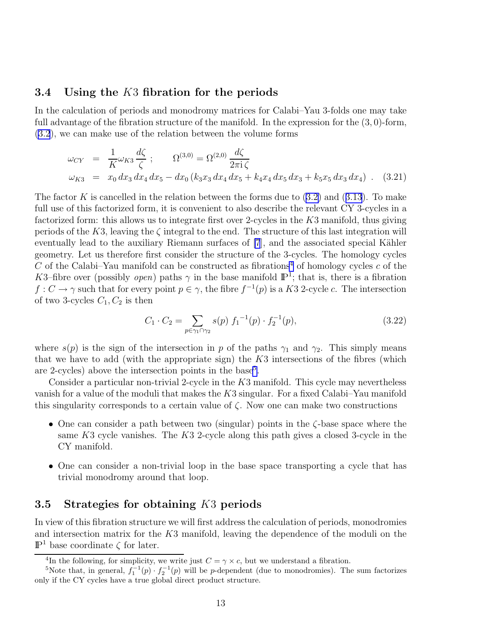#### <span id="page-14-0"></span>3.4 Using the K3 fibration for the periods

In the calculation of periods and monodromy matrices for Calabi–Yau 3-folds one may take full advantage of the fibration structure of the manifold. In the expression for the  $(3,0)$ -form, [\(3.2](#page-10-0)), we can make use of the relation between the volume forms

$$
\omega_{CY} = \frac{1}{K} \omega_{K3} \frac{d\zeta}{\zeta} ; \qquad \Omega^{(3,0)} = \Omega^{(2,0)} \frac{d\zeta}{2\pi i \zeta} \n\omega_{K3} = x_0 dx_3 dx_4 dx_5 - dx_0 (k_3 x_3 dx_4 dx_5 + k_4 x_4 dx_5 dx_3 + k_5 x_5 dx_3 dx_4) . \quad (3.21)
$$

Thefactor K is cancelled in the relation between the forms due to  $(3.2)$  $(3.2)$  and  $(3.13)$  $(3.13)$  $(3.13)$ . To make full use of this factorized form, it is convenient to also describe the relevant CY 3-cycles in a factorized form: this allows us to integrate first over 2-cycles in the K3 manifold, thus giving periods of the K3, leaving the  $\zeta$  integral to the end. The structure of this last integration will eventually lead to the auxiliary Riemann surfaces of [\[7](#page-79-0)], and the associated special Kähler geometry. Let us therefore first consider the structure of the 3-cycles. The homology cycles C of the Calabi–Yau manifold can be constructed as fibrations<sup>4</sup> of homology cycles c of the K3–fibre over (possibly *open*) paths  $\gamma$  in the base manifold  $\mathbb{P}^1$ ; that is, there is a fibration  $f: C \to \gamma$  such that for every point  $p \in \gamma$ , the fibre  $f^{-1}(p)$  is a K3 2-cycle c. The intersection of two 3-cycles  $C_1, C_2$  is then

$$
C_1 \cdot C_2 = \sum_{p \in \gamma_1 \cap \gamma_2} s(p) f_1^{-1}(p) \cdot f_2^{-1}(p), \tag{3.22}
$$

where  $s(p)$  is the sign of the intersection in p of the paths  $\gamma_1$  and  $\gamma_2$ . This simply means that we have to add (with the appropriate sign) the  $K3$  intersections of the fibres (which are 2-cycles) above the intersection points in the base<sup>5</sup>.

Consider a particular non-trivial 2-cycle in the K3 manifold. This cycle may nevertheless vanish for a value of the moduli that makes the  $K3$  singular. For a fixed Calabi–Yau manifold this singularity corresponds to a certain value of  $\zeta$ . Now one can make two constructions

- One can consider a path between two (singular) points in the ζ-base space where the same  $K3$  cycle vanishes. The  $K3$  2-cycle along this path gives a closed 3-cycle in the CY manifold.
- One can consider a non-trivial loop in the base space transporting a cycle that has trivial monodromy around that loop.

#### 3.5 Strategies for obtaining K3 periods

In view of this fibration structure we will first address the calculation of periods, monodromies and intersection matrix for the K3 manifold, leaving the dependence of the moduli on the  $\mathbb{P}^1$  base coordinate  $\zeta$  for later.

<sup>&</sup>lt;sup>4</sup>In the following, for simplicity, we write just  $C = \gamma \times c$ , but we understand a fibration.

<sup>&</sup>lt;sup>5</sup>Note that, in general,  $f_1^{-1}(p) \cdot f_2^{-1}(p)$  will be p-dependent (due to monodromies). The sum factorizes only if the CY cycles have a true global direct product structure.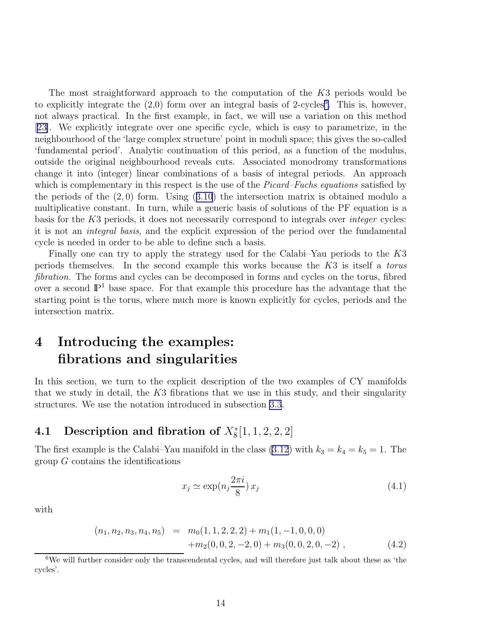<span id="page-15-0"></span>The most straightforward approach to the computation of the K3 periods would be to explicitly integrate the  $(2,0)$  form over an integral basis of 2-cycles<sup>6</sup>. This is, however, not always practical. In the first example, in fact, we will use a variation on this method [[23\]](#page-79-0). We explicitly integrate over one specific cycle, which is easy to parametrize, in the neighbourhood of the 'large complex structure' point in moduli space; this gives the so-called 'fundamental period'. Analytic continuation of this period, as a function of the modulus, outside the original neighbourhood reveals cuts. Associated monodromy transformations change it into (integer) linear combinations of a basis of integral periods. An approach which is complementary in this respect is the use of the *Picard–Fuchs equations* satisfied by theperiods of the  $(2,0)$  form. Using  $(3.10)$  $(3.10)$  $(3.10)$  the intersection matrix is obtained modulo a multiplicative constant. In turn, while a generic basis of solutions of the PF equation is a basis for the K3 periods, it does not necessarily correspond to integrals over *integer* cycles: it is not an *integral basis*, and the explicit expression of the period over the fundamental cycle is needed in order to be able to define such a basis.

Finally one can try to apply the strategy used for the Calabi–Yau periods to the K3 periods themselves. In the second example this works because the K3 is itself a *torus fibration.* The forms and cycles can be decomposed in forms and cycles on the torus, fibred over a second  $\mathbb{P}^1$  base space. For that example this procedure has the advantage that the starting point is the torus, where much more is known explicitly for cycles, periods and the intersection matrix.

# 4 Introducing the examples: fibrations and singularities

In this section, we turn to the explicit description of the two examples of CY manifolds that we study in detail, the  $K3$  fibrations that we use in this study, and their singularity structures. We use the notation introduced in subsection [3.3](#page-12-0).

### 4.1 Description and fibration of  $X_8^*[1,1,2,2,2]$

The first example is the Calabi–Yau manifold in the class  $(3.12)$  with  $k_3 = k_4 = k_5 = 1$ . The group  $G$  contains the identifications

$$
x_j \simeq \exp(n_j \frac{2\pi i}{8}) x_j \tag{4.1}
$$

with

$$
(n_1, n_2, n_3, n_4, n_5) = m_0(1, 1, 2, 2, 2) + m_1(1, -1, 0, 0, 0)
$$
  
+
$$
m_2(0, 0, 2, -2, 0) + m_3(0, 0, 2, 0, -2),
$$
 (4.2)

 $6$ We will further consider only the transcendental cycles, and will therefore just talk about these as 'the cycles'.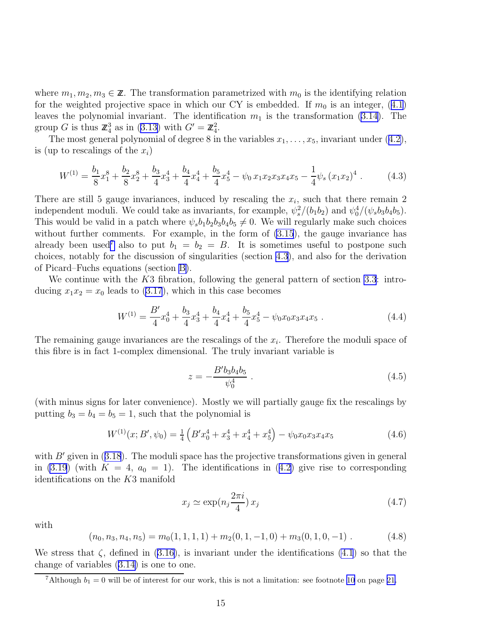<span id="page-16-0"></span>where  $m_1, m_2, m_3 \in \mathbb{Z}$ . The transformation parametrized with  $m_0$  is the identifying relation forthe weighted projective space in which our CY is embedded. If  $m_0$  is an integer, ([4.1\)](#page-15-0) leaves the polynomial invariant. The identification  $m_1$  is the transformation [\(3.14](#page-13-0)). The groupG is thus  $\mathbb{Z}_4^3$  as in ([3.13\)](#page-13-0) with  $G' = \mathbb{Z}_4^2$ .

Themost general polynomial of degree 8 in the variables  $x_1, \ldots, x_5$ , invariant under  $(4.2)$  $(4.2)$ , is (up to rescalings of the  $x_i$ )

$$
W^{(1)} = \frac{b_1}{8}x_1^8 + \frac{b_2}{8}x_2^8 + \frac{b_3}{4}x_3^4 + \frac{b_4}{4}x_4^4 + \frac{b_5}{4}x_5^4 - \psi_0 x_1 x_2 x_3 x_4 x_5 - \frac{1}{4}\psi_s (x_1 x_2)^4.
$$
 (4.3)

There are still 5 gauge invariances, induced by rescaling the  $x_i$ , such that there remain 2 independent moduli. We could take as invariants, for example,  $\psi_s^2/(b_1b_2)$  and  $\psi_0^4/(\psi_s b_3b_4b_5)$ . This would be valid in a patch where  $\psi_s b_1 b_2 b_3 b_4 b_5 \neq 0$ . We will regularly make such choices without further comments. For example, in the form of  $(3.15)$ , the gauge invariance has already been used<sup>7</sup> also to put  $b_1 = b_2 = B$ . It is sometimes useful to postpone such choices, notably for the discussion of singularities (section [4.3](#page-20-0)), and also for the derivation of Picard–Fuchs equations (section [B\)](#page-68-0).

We continue with the K3 fibration, following the general pattern of section [3.3](#page-12-0): introducing  $x_1x_2 = x_0$  leads to [\(3.17](#page-13-0)), which in this case becomes

$$
W^{(1)} = \frac{B'}{4}x_0^4 + \frac{b_3}{4}x_3^4 + \frac{b_4}{4}x_4^4 + \frac{b_5}{4}x_5^4 - \psi_0 x_0 x_3 x_4 x_5 \,. \tag{4.4}
$$

The remaining gauge invariances are the rescalings of the  $x_i$ . Therefore the moduli space of this fibre is in fact 1-complex dimensional. The truly invariant variable is

$$
z = -\frac{B' b_3 b_4 b_5}{\psi_0^4} \,. \tag{4.5}
$$

(with minus signs for later convenience). Mostly we will partially gauge fix the rescalings by putting  $b_3 = b_4 = b_5 = 1$ , such that the polynomial is

$$
W^{(1)}(x;B',\psi_0) = \frac{1}{4} \left( B'x_0^4 + x_3^4 + x_4^4 + x_5^4 \right) - \psi_0 x_0 x_3 x_4 x_5 \tag{4.6}
$$

with $B'$  given in ([3.18](#page-13-0)). The moduli space has the projective transformations given in general in [\(3.19](#page-13-0))(with  $K = 4$ ,  $a_0 = 1$ ). The identifications in ([4.2\)](#page-15-0) give rise to corresponding identifications on the K3 manifold

$$
x_j \simeq \exp(n_j \frac{2\pi i}{4}) x_j \tag{4.7}
$$

with

$$
(n_0, n_3, n_4, n_5) = m_0(1, 1, 1, 1) + m_2(0, 1, -1, 0) + m_3(0, 1, 0, -1) \tag{4.8}
$$

Westress that  $\zeta$ , defined in ([3.16\)](#page-13-0), is invariant under the identifications [\(4.1](#page-15-0)) so that the change of variables([3.14\)](#page-13-0) is one to one.

<sup>&</sup>lt;sup>7</sup>Although  $b_1 = 0$  will be of interest for our work, this is not a limitation: see footnote [10](#page-22-0) on page [21.](#page-22-0)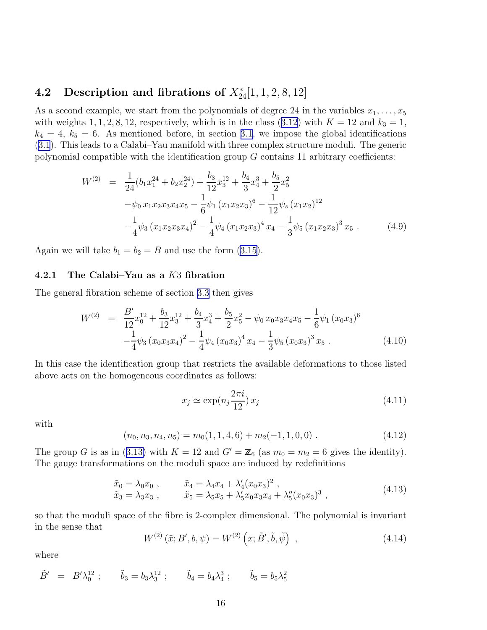### <span id="page-17-0"></span>4.2 Description and fibrations of  $X_{24}^*[1,1,2,8,12]$

As a second example, we start from the polynomials of degree 24 in the variables  $x_1, \ldots, x_5$ withweights 1, 1, 2, 8, 12, respectively, which is in the class ([3.12](#page-12-0)) with  $K = 12$  and  $k_3 = 1$ ,  $k_4 = 4, k_5 = 6$ . As mentioned before, in section [3.1,](#page-9-0) we impose the global identifications [\(3.1](#page-9-0)). This leads to a Calabi–Yau manifold with three complex structure moduli. The generic polynomial compatible with the identification group  $G$  contains 11 arbitrary coefficients:

$$
W^{(2)} = \frac{1}{24} (b_1 x_1^{24} + b_2 x_2^{24}) + \frac{b_3}{12} x_3^{12} + \frac{b_4}{3} x_4^3 + \frac{b_5}{2} x_5^2
$$
  

$$
-\psi_0 x_1 x_2 x_3 x_4 x_5 - \frac{1}{6} \psi_1 (x_1 x_2 x_3)^6 - \frac{1}{12} \psi_s (x_1 x_2)^{12}
$$
  

$$
-\frac{1}{4} \psi_3 (x_1 x_2 x_3 x_4)^2 - \frac{1}{4} \psi_4 (x_1 x_2 x_3)^4 x_4 - \frac{1}{3} \psi_5 (x_1 x_2 x_3)^3 x_5 . \tag{4.9}
$$

Again we will take  $b_1 = b_2 = B$  and use the form [\(3.15](#page-13-0)).

#### 4.2.1 The Calabi–Yau as a K3 fibration

The general fibration scheme of section [3.3](#page-12-0) then gives

$$
W^{(2)} = \frac{B'}{12}x_0^{12} + \frac{b_3}{12}x_3^{12} + \frac{b_4}{3}x_4^3 + \frac{b_5}{2}x_5^2 - \psi_0 x_0 x_3 x_4 x_5 - \frac{1}{6}\psi_1 (x_0 x_3)^6 - \frac{1}{4}\psi_3 (x_0 x_3 x_4)^2 - \frac{1}{4}\psi_4 (x_0 x_3)^4 x_4 - \frac{1}{3}\psi_5 (x_0 x_3)^3 x_5.
$$
 (4.10)

In this case the identification group that restricts the available deformations to those listed above acts on the homogeneous coordinates as follows:

$$
x_j \simeq \exp(n_j \frac{2\pi i}{12}) x_j \tag{4.11}
$$

with

$$
(n_0, n_3, n_4, n_5) = m_0(1, 1, 4, 6) + m_2(-1, 1, 0, 0) . \tag{4.12}
$$

Thegroup G is as in ([3.13\)](#page-13-0) with  $K = 12$  and  $G' = \mathbb{Z}_6$  (as  $m_0 = m_2 = 6$  gives the identity). The gauge transformations on the moduli space are induced by redefinitions

$$
\tilde{x}_0 = \lambda_0 x_0 , \qquad \tilde{x}_4 = \lambda_4 x_4 + \lambda'_4 (x_0 x_3)^2 , \n\tilde{x}_3 = \lambda_3 x_3 , \qquad \tilde{x}_5 = \lambda_5 x_5 + \lambda'_5 x_0 x_3 x_4 + \lambda''_5 (x_0 x_3)^3 ,
$$
\n(4.13)

so that the moduli space of the fibre is 2-complex dimensional. The polynomial is invariant in the sense that

$$
W^{(2)}\left(\tilde{x};B',b,\psi\right) = W^{(2)}\left(x;\tilde{B}',\tilde{b},\tilde{\psi}\right) ,\qquad (4.14)
$$

where

$$
\tilde{B}' = B'\lambda_0^{12}; \qquad \tilde{b}_3 = b_3\lambda_3^{12}; \qquad \tilde{b}_4 = b_4\lambda_4^3; \qquad \tilde{b}_5 = b_5\lambda_5^2
$$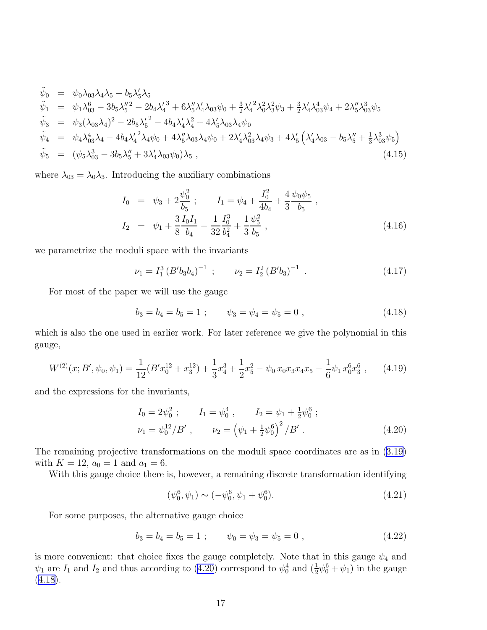<span id="page-18-0"></span>
$$
\tilde{\psi}_{0} = \psi_{0}\lambda_{03}\lambda_{4}\lambda_{5} - b_{5}\lambda_{5}'\lambda_{5} \n\tilde{\psi}_{1} = \psi_{1}\lambda_{03}^{6} - 3b_{5}\lambda_{5}''^{2} - 2b_{4}\lambda_{4}'^{3} + 6\lambda_{5}''\lambda_{4}'\lambda_{03}\psi_{0} + \frac{3}{2}\lambda_{4}'^{2}\lambda_{0}^{2}\lambda_{3}^{2}\psi_{3} + \frac{3}{2}\lambda_{4}'\lambda_{03}^{4}\psi_{4} + 2\lambda_{5}''\lambda_{03}^{3}\psi_{5} \n\tilde{\psi}_{3} = \psi_{3}(\lambda_{03}\lambda_{4})^{2} - 2b_{5}\lambda_{5}'^{2} - 4b_{4}\lambda_{4}'\lambda_{4}^{2} + 4\lambda_{5}'\lambda_{03}\lambda_{4}\psi_{0} \n\tilde{\psi}_{4} = \psi_{4}\lambda_{03}^{4}\lambda_{4} - 4b_{4}\lambda_{4}'^{2}\lambda_{4}\psi_{0} + 4\lambda_{5}''\lambda_{03}\lambda_{4}\psi_{0} + 2\lambda_{4}'\lambda_{03}^{2}\lambda_{4}\psi_{3} + 4\lambda_{5}'(\lambda_{4}'\lambda_{03} - b_{5}\lambda_{5}'' + \frac{1}{3}\lambda_{03}^{3}\psi_{5}) \n\tilde{\psi}_{5} = (\psi_{5}\lambda_{03}^{3} - 3b_{5}\lambda_{5}'' + 3\lambda_{4}'\lambda_{03}\psi_{0})\lambda_{5},
$$
\n(4.15)

where  $\lambda_{03} = \lambda_0 \lambda_3$ . Introducing the auxiliary combinations

$$
I_0 = \psi_3 + 2\frac{\psi_0^2}{b_5}; \qquad I_1 = \psi_4 + \frac{I_0^2}{4b_4} + \frac{4}{3}\frac{\psi_0\psi_5}{b_5},
$$
  
\n
$$
I_2 = \psi_1 + \frac{3}{8}\frac{I_0I_1}{b_4} - \frac{1}{32}\frac{I_0^3}{b_4^2} + \frac{1}{3}\frac{\psi_5^2}{b_5},
$$
\n(4.16)

we parametrize the moduli space with the invariants

$$
\nu_1 = I_1^3 \left( B' b_3 b_4 \right)^{-1} \; ; \qquad \nu_2 = I_2^2 \left( B' b_3 \right)^{-1} \; . \tag{4.17}
$$

For most of the paper we will use the gauge

$$
b_3 = b_4 = b_5 = 1 ; \qquad \psi_3 = \psi_4 = \psi_5 = 0 , \qquad (4.18)
$$

which is also the one used in earlier work. For later reference we give the polynomial in this gauge,

$$
W^{(2)}(x;B',\psi_0,\psi_1) = \frac{1}{12}(B'x_0^{12} + x_3^{12}) + \frac{1}{3}x_4^3 + \frac{1}{2}x_5^2 - \psi_0 x_0 x_3 x_4 x_5 - \frac{1}{6}\psi_1 x_0^6 x_3^6,
$$
 (4.19)

and the expressions for the invariants,

$$
I_0 = 2\psi_0^2 ; \t I_1 = \psi_0^4 , \t I_2 = \psi_1 + \frac{1}{2}\psi_0^6 ;
$$
  

$$
\nu_1 = \psi_0^{12}/B' , \t \nu_2 = (\psi_1 + \frac{1}{2}\psi_0^6)^2/B' .
$$
 (4.20)

The remaining projective transformations on the moduli space coordinates are as in [\(3.19\)](#page-13-0) with  $K = 12$ ,  $a_0 = 1$  and  $a_1 = 6$ .

With this gauge choice there is, however, a remaining discrete transformation identifying

$$
(\psi_0^6, \psi_1) \sim (-\psi_0^6, \psi_1 + \psi_0^6). \tag{4.21}
$$

For some purposes, the alternative gauge choice

$$
b_3 = b_4 = b_5 = 1 ; \qquad \psi_0 = \psi_3 = \psi_5 = 0 , \qquad (4.22)
$$

is more convenient: that choice fixes the gauge completely. Note that in this gauge  $\psi_4$  and  $\psi_1$  are  $I_1$  and  $I_2$  and thus according to (4.20) correspond to  $\psi_0^4$  and  $(\frac{1}{2}\psi_0^6 + \psi_1)$  in the gauge  $(4.18).$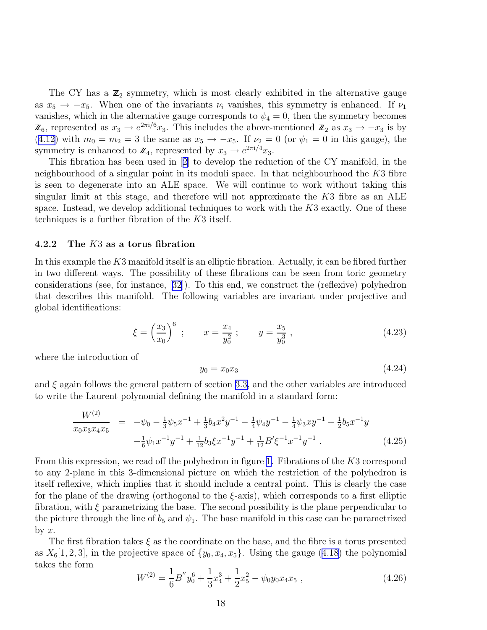<span id="page-19-0"></span>The CY has a  $\mathbb{Z}_2$  symmetry, which is most clearly exhibited in the alternative gauge as  $x_5 \rightarrow -x_5$ . When one of the invariants  $\nu_i$  vanishes, this symmetry is enhanced. If  $\nu_1$ vanishes, which in the alternative gauge corresponds to  $\psi_4 = 0$ , then the symmetry becomes  $\mathbb{Z}_6$ , represented as  $x_3 \to e^{2\pi i/6} x_3$ . This includes the above-mentioned  $\mathbb{Z}_2$  as  $x_3 \to -x_3$  is by [\(4.12](#page-17-0)) with  $m_0 = m_2 = 3$  the same as  $x_5 \rightarrow -x_5$ . If  $\nu_2 = 0$  (or  $\psi_1 = 0$  in this gauge), the symmetry is enhanced to  $\mathbb{Z}_4$ , represented by  $x_3 \to e^{2\pi i/4} x_3$ .

This fibration has been used in[[2\]](#page-78-0) to develop the reduction of the CY manifold, in the neighbourhood of a singular point in its moduli space. In that neighbourhood the  $K3$  fibre is seen to degenerate into an ALE space. We will continue to work without taking this singular limit at this stage, and therefore will not approximate the  $K3$  fibre as an  $ALE$ space. Instead, we develop additional techniques to work with the  $K3$  exactly. One of these techniques is a further fibration of the K3 itself.

#### 4.2.2 The K3 as a torus fibration

In this example the K3 manifold itself is an elliptic fibration. Actually, it can be fibred further in two different ways. The possibility of these fibrations can be seen from toric geometry considerations (see, for instance,[[32](#page-80-0)]). To this end, we construct the (reflexive) polyhedron that describes this manifold. The following variables are invariant under projective and global identifications:

$$
\xi = \left(\frac{x_3}{x_0}\right)^6
$$
;  $x = \frac{x_4}{y_0^2}$ ;  $y = \frac{x_5}{y_0^3}$ , (4.23)

where the introduction of

$$
y_0 = x_0 x_3 \tag{4.24}
$$

and  $\xi$  again follows the general pattern of section [3.3,](#page-12-0) and the other variables are introduced to write the Laurent polynomial defining the manifold in a standard form:

$$
\frac{W^{(2)}}{x_0 x_3 x_4 x_5} = -\psi_0 - \frac{1}{3} \psi_5 x^{-1} + \frac{1}{3} b_4 x^2 y^{-1} - \frac{1}{4} \psi_4 y^{-1} - \frac{1}{4} \psi_3 x y^{-1} + \frac{1}{2} b_5 x^{-1} y
$$
  

$$
-\frac{1}{6} \psi_1 x^{-1} y^{-1} + \frac{1}{12} b_3 \xi x^{-1} y^{-1} + \frac{1}{12} B' \xi^{-1} x^{-1} y^{-1}.
$$
 (4.25)

From this expression, we read off the polyhedron in figure [1.](#page-20-0) Fibrations of the K3 correspond to any 2-plane in this 3-dimensional picture on which the restriction of the polyhedron is itself reflexive, which implies that it should include a central point. This is clearly the case for the plane of the drawing (orthogonal to the  $\xi$ -axis), which corresponds to a first elliptic fibration, with  $\xi$  parametrizing the base. The second possibility is the plane perpendicular to the picture through the line of  $b_5$  and  $\psi_1$ . The base manifold in this case can be parametrized by  $x$ .

The first fibration takes  $\xi$  as the coordinate on the base, and the fibre is a torus presented as $X_6[1, 2, 3]$ , in the projective space of  $\{y_0, x_4, x_5\}$ . Using the gauge ([4.18\)](#page-18-0) the polynomial takes the form

$$
W^{(2)} = \frac{1}{6}B''y_0^6 + \frac{1}{3}x_4^3 + \frac{1}{2}x_5^2 - \psi_0 y_0 x_4 x_5 , \qquad (4.26)
$$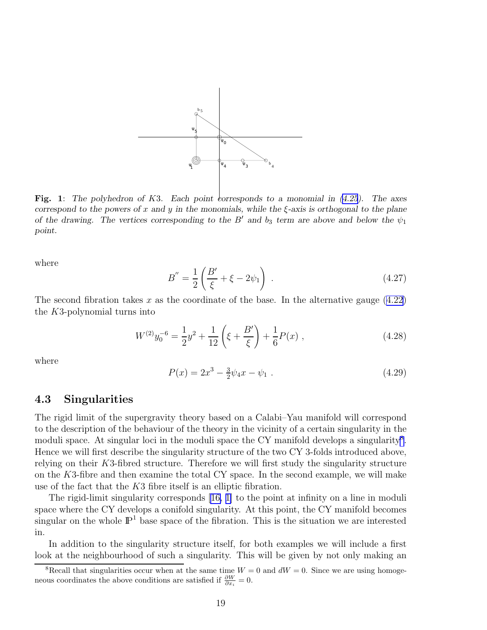<span id="page-20-0"></span>

Fig. 1: *The polyhedron of* K3*. Each point corresponds to a monomial in ([4.25](#page-19-0)). The axes correspond to the powers of* x *and* y *in the monomials, while the* ξ*-axis is orthogonal to the plane of the drawing. The vertices corresponding to the*  $B'$  *and*  $b_3$  *term are above and below the*  $\psi_1$ *point.*

where

$$
B'' = \frac{1}{2} \left( \frac{B'}{\xi} + \xi - 2\psi_1 \right) . \tag{4.27}
$$

The second fibration takes x as the coordinate of the base. In the alternative gauge  $(4.22)$ the K3-polynomial turns into

$$
W^{(2)}y_0^{-6} = \frac{1}{2}y^2 + \frac{1}{12}\left(\xi + \frac{B'}{\xi}\right) + \frac{1}{6}P(x) ,\qquad (4.28)
$$

where

$$
P(x) = 2x^3 - \frac{3}{2}\psi_4 x - \psi_1.
$$
\n(4.29)

#### 4.3 Singularities

The rigid limit of the supergravity theory based on a Calabi–Yau manifold will correspond to the description of the behaviour of the theory in the vicinity of a certain singularity in the moduli space. At singular loci in the moduli space the CY manifold develops a singularity<sup>8</sup>. Hence we will first describe the singularity structure of the two CY 3-folds introduced above, relying on their K3-fibred structure. Therefore we will first study the singularity structure on the K3-fibre and then examine the total CY space. In the second example, we will make use of the fact that the K3 fibre itself is an elliptic fibration.

The rigid-limit singularity corresponds [\[16,](#page-79-0) [1\]](#page-78-0) to the point at infinity on a line in moduli space where the CY develops a conifold singularity. At this point, the CY manifold becomes singular on the whole  $\mathbb{P}^1$  base space of the fibration. This is the situation we are interested in.

In addition to the singularity structure itself, for both examples we will include a first look at the neighbourhood of such a singularity. This will be given by not only making an

<sup>&</sup>lt;sup>8</sup>Recall that singularities occur when at the same time  $W = 0$  and  $dW = 0$ . Since we are using homogeneous coordinates the above conditions are satisfied if  $\frac{\partial W}{\partial x_i} = 0$ .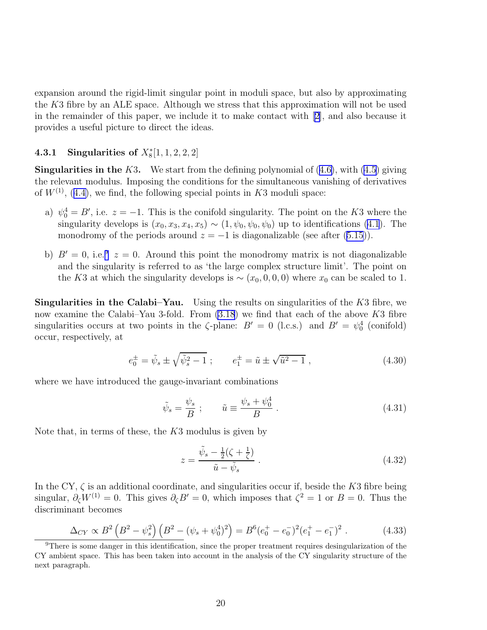<span id="page-21-0"></span>expansion around the rigid-limit singular point in moduli space, but also by approximating the  $K3$  fibre by an ALE space. Although we stress that this approximation will not be used in the remainder of this paper, we include it to make contact with [\[2\]](#page-78-0), and also because it provides a useful picture to direct the ideas.

#### **4.3.1 Singularities of**  $X_8^*[1, 1, 2, 2, 2]$

**Singularitiesin the K3.** We start from the defining polynomial of  $(4.6)$  $(4.6)$ , with  $(4.5)$  $(4.5)$  giving the relevant modulus. Imposing the conditions for the simultaneous vanishing of derivatives of $W^{(1)}$ , ([4.4\)](#page-16-0), we find, the following special points in K3 moduli space:

- a)  $\psi_0^4 = B'$ , i.e.  $z = -1$ . This is the conifold singularity. The point on the K3 where the singularity develops is  $(x_0, x_3, x_4, x_5) \sim (1, \psi_0, \psi_0, \psi_0)$  up to identifications [\(4.1](#page-15-0)). The monodromy of the periods around  $z = -1$  is diagonalizable (see after [\(5.15](#page-29-0))).
- b)  $B' = 0$ , i.e.<sup>9</sup>  $z = 0$ . Around this point the monodromy matrix is not diagonalizable and the singularity is referred to as 'the large complex structure limit'. The point on the K3 at which the singularity develops is  $\sim$   $(x_0, 0, 0, 0)$  where  $x_0$  can be scaled to 1.

**Singularities in the Calabi–Yau.** Using the results on singularities of the  $K3$  fibre, we now examine the Calabi–Yau 3-fold. From  $(3.18)$  we find that each of the above K3 fibre singularities occurs at two points in the  $\zeta$ -plane:  $B' = 0$  (l.c.s.) and  $B' = \psi_0^4$  (conifold) occur, respectively, at

$$
e_0^{\pm} = \tilde{\psi}_s \pm \sqrt{\tilde{\psi}_s^2 - 1} \; ; \qquad e_1^{\pm} = \tilde{u} \pm \sqrt{\tilde{u}^2 - 1} \; , \tag{4.30}
$$

where we have introduced the gauge-invariant combinations

$$
\tilde{\psi}_s = \frac{\psi_s}{B} \; ; \qquad \tilde{u} \equiv \frac{\psi_s + \psi_0^4}{B} \; . \tag{4.31}
$$

Note that, in terms of these, the  $K3$  modulus is given by

$$
z = \frac{\tilde{\psi}_s - \frac{1}{2}(\zeta + \frac{1}{\zeta})}{\tilde{u} - \tilde{\psi}_s} \,. \tag{4.32}
$$

In the CY,  $\zeta$  is an additional coordinate, and singularities occur if, beside the K3 fibre being singular,  $\partial_{\zeta}W^{(1)}=0$ . This gives  $\partial_{\zeta}B'=0$ , which imposes that  $\zeta^2=1$  or  $B=0$ . Thus the discriminant becomes

$$
\Delta_{CY} \propto B^2 \left( B^2 - \psi_s^2 \right) \left( B^2 - (\psi_s + \psi_0^4)^2 \right) = B^6 (e_0^+ - e_0^-)^2 (e_1^+ - e_1^-)^2 \ . \tag{4.33}
$$

<sup>&</sup>lt;sup>9</sup>There is some danger in this identification, since the proper treatment requires desingularization of the CY ambient space. This has been taken into account in the analysis of the CY singularity structure of the next paragraph.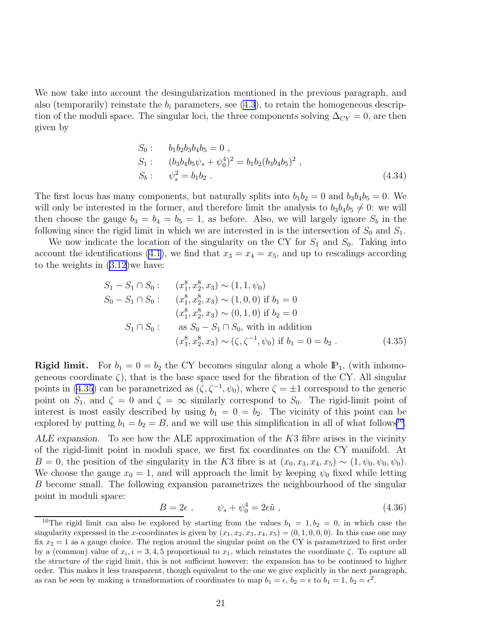<span id="page-22-0"></span>We now take into account the desingularization mentioned in the previous paragraph, and also (temporarily) reinstate the  $b_i$  parameters, see  $(4.3)$ , to retain the homogeneous description of the moduli space. The singular loci, the three components solving  $\Delta_{CY} = 0$ , are then given by

$$
S_0: \t b_1 b_2 b_3 b_4 b_5 = 0 ,\nS_1: \t (b_3 b_4 b_5 \psi_s + \psi_0^4)^2 = b_1 b_2 (b_3 b_4 b_5)^2 ,\nS_b: \t \psi_s^2 = b_1 b_2 .
$$
\t (4.34)

The first locus has many components, but naturally splits into  $b_1b_2 = 0$  and  $b_3b_4b_5 = 0$ . We will only be interested in the former, and therefore limit the analysis to  $b_3b_4b_5 \neq 0$ : we will then choose the gauge  $b_3 = b_4 = b_5 = 1$ , as before. Also, we will largely ignore  $S_b$  in the following since the rigid limit in which we are interested in is the intersection of  $S_0$  and  $S_1$ .

We now indicate the location of the singularity on the CY for  $S_1$  and  $S_0$ . Taking into account the identifications [\(4.1](#page-15-0)), we find that  $x_3 = x_4 = x_5$ , and up to rescalings according to the weights in [\(3.12\)](#page-12-0)we have:

$$
S_1 - S_1 \cap S_0: \t(x_1^8, x_2^8, x_3) \sim (1, 1, \psi_0)
$$
  
\n
$$
S_0 - S_1 \cap S_0: \t(x_1^8, x_2^8, x_3) \sim (1, 0, 0) \text{ if } b_1 = 0
$$
  
\n
$$
(x_1^8, x_2^8, x_3) \sim (0, 1, 0) \text{ if } b_2 = 0
$$
  
\n
$$
S_1 \cap S_0: \t as S_0 - S_1 \cap S_0, \text{ with in addition}
$$
  
\n
$$
(x_1^8, x_2^8, x_3) \sim (\zeta, \zeta^{-1}, \psi_0) \text{ if } b_1 = 0 = b_2.
$$
\n(4.35)

**Rigid limit.** For  $b_1 = 0 = b_2$  the CY becomes singular along a whole  $\mathbb{P}_1$ , (with inhomogeneous coordinate  $\zeta$ , that is the base space used for the fibration of the CY. All singular points in (4.35) can be parametrized as  $(\zeta, \zeta^{-1}, \psi_0)$ , where  $\zeta = \pm 1$  correspond to the generic point on  $S_1$ , and  $\zeta = 0$  and  $\zeta = \infty$  similarly correspond to  $S_0$ . The rigid-limit point of interest is most easily described by using  $b_1 = 0 = b_2$ . The vicinity of this point can be explored by putting  $b_1 = b_2 = B$ , and we will use this simplification in all of what follows<sup>10</sup>.

ALE expansion. To see how the ALE approximation of the  $K3$  fibre arises in the vicinity of the rigid-limit point in moduli space, we first fix coordinates on the CY manifold. At B = 0, the position of the singularity in the K3 fibre is at  $(x_0, x_3, x_4, x_5) \sim (1, \psi_0, \psi_0, \psi_0)$ . We choose the gauge  $x_0 = 1$ , and will approach the limit by keeping  $\psi_0$  fixed while letting B become small. The following expansion parametrizes the neighbourhood of the singular point in moduli space:

$$
B = 2\epsilon \;, \qquad \psi_s + \psi_0^4 = 2\epsilon \tilde{u} \;, \tag{4.36}
$$

<sup>&</sup>lt;sup>10</sup>The rigid limit can also be explored by starting from the values  $b_1 = 1, b_2 = 0$ , in which case the singularity expressed in the x-coordinates is given by  $(x_1, x_2, x_3, x_4, x_5) = (0, 1, 0, 0, 0)$ . In this case one may fix  $x_2 = 1$  as a gauge choice. The region around the singular point on the CY is parametrized to first order by a (common) value of  $x_i$ ,  $i = 3, 4, 5$  proportional to  $x_1$ , which reinstates the coordinate  $\zeta$ . To capture all the structure of the rigid limit, this is not sufficient however: the expansion has to be continued to higher order. This makes it less transparent, though equivalent to the one we give explicitly in the next paragraph, as can be seen by making a transformation of coordinates to map  $b_1 = \epsilon$ ,  $b_2 = \epsilon$  to  $b_1 = 1$ ,  $b_2 = \epsilon^2$ .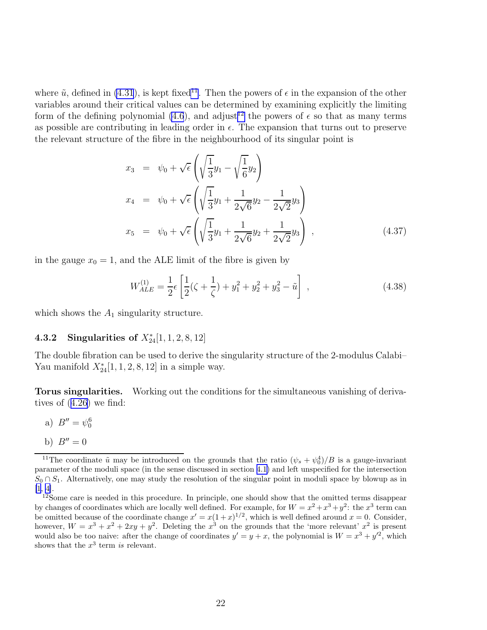where  $\tilde{u}$ , defined in [\(4.31](#page-21-0)), is kept fixed<sup>11</sup>. Then the powers of  $\epsilon$  in the expansion of the other variables around their critical values can be determined by examining explicitly the limiting form of the defining polynomial [\(4.6](#page-16-0)), and adjust<sup>12</sup> the powers of  $\epsilon$  so that as many terms as possible are contributing in leading order in  $\epsilon$ . The expansion that turns out to preserve the relevant structure of the fibre in the neighbourhood of its singular point is

$$
x_3 = \psi_0 + \sqrt{\epsilon} \left( \sqrt{\frac{1}{3}} y_1 - \sqrt{\frac{1}{6}} y_2 \right)
$$
  
\n
$$
x_4 = \psi_0 + \sqrt{\epsilon} \left( \sqrt{\frac{1}{3}} y_1 + \frac{1}{2\sqrt{6}} y_2 - \frac{1}{2\sqrt{2}} y_3 \right)
$$
  
\n
$$
x_5 = \psi_0 + \sqrt{\epsilon} \left( \sqrt{\frac{1}{3}} y_1 + \frac{1}{2\sqrt{6}} y_2 + \frac{1}{2\sqrt{2}} y_3 \right), \qquad (4.37)
$$

in the gauge  $x_0 = 1$ , and the ALE limit of the fibre is given by

$$
W_{ALE}^{(1)} = \frac{1}{2}\epsilon \left[ \frac{1}{2}(\zeta + \frac{1}{\zeta}) + y_1^2 + y_2^2 + y_3^2 - \tilde{u} \right],
$$
\n(4.38)

which shows the  $A_1$  singularity structure.

#### **4.3.2** Singularities of  $X_{24}^*[1, 1, 2, 8, 12]$

The double fibration can be used to derive the singularity structure of the 2-modulus Calabi– Yau manifold  $X_{24}^*[1, 1, 2, 8, 12]$  in a simple way.

Torus singularities. Working out the conditions for the simultaneous vanishing of derivatives of([4.26\)](#page-19-0) we find:

- a)  $B'' = \psi_0^6$
- b)  $B'' = 0$

<sup>&</sup>lt;sup>11</sup>The coordinate  $\tilde{u}$  may be introduced on the grounds that the ratio  $(\psi_s + \psi_0^4)/B$  is a gauge-invariant parameter of the moduli space (in the sense discussed in section [4.1\)](#page-15-0) and left unspecified for the intersection  $S_0 \cap S_1$ . Alternatively, one may study the resolution of the singular point in moduli space by blowup as in [\[1](#page-78-0), [4\]](#page-78-0).

<sup>&</sup>lt;sup>12</sup>Some care is needed in this procedure. In principle, one should show that the omitted terms disappear by changes of coordinates which are locally well defined. For example, for  $W = x^2 + x^3 + y^2$ : the  $x^3$  term can be omitted because of the coordinate change  $x' = x(1+x)^{1/2}$ , which is well defined around  $x = 0$ . Consider, however,  $W = x^3 + x^2 + 2xy + y^2$ . Deleting the  $x^3$  on the grounds that the 'more relevant'  $x^2$  is present would also be too naive: after the change of coordinates  $y' = y + x$ , the polynomial is  $W = x^3 + y'^2$ , which shows that the  $x^3$  term is relevant.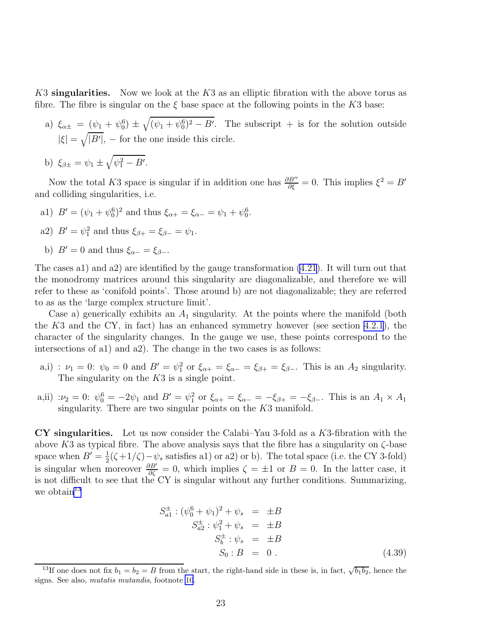K3 singularities. Now we look at the K3 as an elliptic fibration with the above torus as fibre. The fibre is singular on the  $\xi$  base space at the following points in the K3 base:

- a)  $\xi_{\alpha\pm} = (\psi_1 + \psi_0^6) \pm \sqrt{(\psi_1 + \psi_0^6)^2 B'}$ . The subscript + is for the solution outside  $|\xi| = \sqrt{|B'|}$ , – for the one inside this circle.
- b)  $\xi_{\beta \pm} = \psi_1 \pm \sqrt{\psi_1^2 B'}$ .

Now the total K3 space is singular if in addition one has  $\frac{\partial B''}{\partial \xi} = 0$ . This implies  $\xi^2 = B'$ and colliding singularities, i.e.

- a1)  $B' = (\psi_1 + \psi_0^6)^2$  and thus  $\xi_{\alpha+} = \xi_{\alpha-} = \psi_1 + \psi_0^6$ .
- a2)  $B' = \psi_1^2$  and thus  $\xi_{\beta+} = \xi_{\beta-} = \psi_1$ .
- b)  $B' = 0$  and thus  $\xi_{\alpha-} = \xi_{\beta-}$ .

The cases a1) and a2) are identified by the gauge transformation [\(4.21](#page-18-0)). It will turn out that the monodromy matrices around this singularity are diagonalizable, and therefore we will refer to these as 'conifold points'. Those around b) are not diagonalizable; they are referred to as as the 'large complex structure limit'.

Case a) generically exhibits an  $A_1$  singularity. At the points where the manifold (both the  $K3$  and the CY, in fact) has an enhanced symmetry however (see section [4.2.1](#page-17-0)), the character of the singularity changes. In the gauge we use, these points correspond to the intersections of a1) and a2). The change in the two cases is as follows:

- a,i) :  $\nu_1 = 0$ :  $\psi_0 = 0$  and  $B' = \psi_1^2$  or  $\xi_{\alpha+} = \xi_{\alpha-} = \xi_{\beta+} = \xi_{\beta-}$ . This is an  $A_2$  singularity. The singularity on the  $K3$  is a single point.
- a,ii) : $\nu_2 = 0$ :  $\psi_0^6 = -2\psi_1$  and  $B' = \psi_1^2$  or  $\xi_{\alpha+} = \xi_{\alpha-} = -\xi_{\beta+} = -\xi_{\beta-}$ . This is an  $A_1 \times A_1$ singularity. There are two singular points on the  $K3$  manifold.

 $CY$  singularities. Let us now consider the Calabi–Yau 3-fold as a K3-fibration with the above K3 as typical fibre. The above analysis says that the fibre has a singularity on  $\zeta$ -base space when  $B' = \frac{1}{2}$  $\frac{1}{2}(\zeta+1/\zeta)-\psi_s$  satisfies a1) or a2) or b). The total space (i.e. the CY 3-fold) is singular when moreover  $\frac{\partial B'}{\partial \zeta} = 0$ , which implies  $\zeta = \pm 1$  or  $B = 0$ . In the latter case, it is not difficult to see that the CY is singular without any further conditions. Summarizing, we obtain  $13$ 

$$
S_{a1}^{\pm} : (\psi_0^6 + \psi_1)^2 + \psi_s = \pm B S_{a2}^{\pm} : \psi_1^2 + \psi_s = \pm B S_b^{\pm} : \psi_s = \pm B S_0 : B = 0.
$$
 (4.39)

<sup>&</sup>lt;sup>13</sup>If one does not fix  $b_1 = b_2 = B$  from the start, the right-hand side in these is, in fact,  $\sqrt{b_1 b_2}$ , hence the signs. See also, mutatis mutandis, footnote [10](#page-22-0).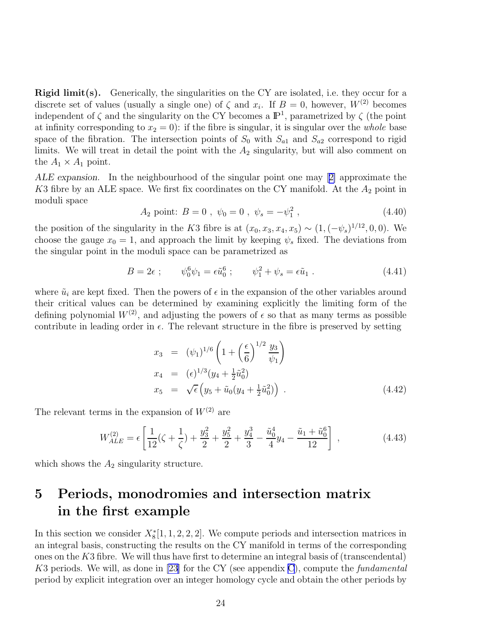<span id="page-25-0"></span>Rigid limit(s). Generically, the singularities on the CY are isolated, i.e. they occur for a discrete set of values (usually a single one) of  $\zeta$  and  $x_i$ . If  $B = 0$ , however,  $W^{(2)}$  becomes independent of  $\zeta$  and the singularity on the CY becomes a  $\mathbb{P}^1$ , parametrized by  $\zeta$  (the point at infinity corresponding to  $x_2 = 0$ : if the fibre is singular, it is singular over the *whole* base space of the fibration. The intersection points of  $S_0$  with  $S_{a1}$  and  $S_{a2}$  correspond to rigid limits. We will treat in detail the point with the  $A_2$  singularity, but will also comment on the  $A_1 \times A_1$  point.

ALE expansion. In the neighbourhood of the singular point one may[[2\]](#page-78-0) approximate the K3 fibre by an ALE space. We first fix coordinates on the CY manifold. At the  $A_2$  point in moduli space

A<sub>2</sub> point: 
$$
B = 0
$$
,  $\psi_0 = 0$ ,  $\psi_s = -\psi_1^2$ ,  $(4.40)$ 

the position of the singularity in the K3 fibre is at  $(x_0, x_3, x_4, x_5) \sim (1, (-\psi_s)^{1/12}, 0, 0)$ . We choose the gauge  $x_0 = 1$ , and approach the limit by keeping  $\psi_s$  fixed. The deviations from the singular point in the moduli space can be parametrized as

$$
B = 2\epsilon \; ; \qquad \psi_0^6 \psi_1 = \epsilon \tilde{u}_0^6 \; ; \qquad \psi_1^2 + \psi_s = \epsilon \tilde{u}_1 \; . \tag{4.41}
$$

where  $\tilde{u}_i$  are kept fixed. Then the powers of  $\epsilon$  in the expansion of the other variables around their critical values can be determined by examining explicitly the limiting form of the defining polynomial  $W^{(2)}$ , and adjusting the powers of  $\epsilon$  so that as many terms as possible contribute in leading order in  $\epsilon$ . The relevant structure in the fibre is preserved by setting

$$
x_3 = (\psi_1)^{1/6} \left( 1 + \left( \frac{\epsilon}{6} \right)^{1/2} \frac{y_3}{\psi_1} \right)
$$
  
\n
$$
x_4 = (\epsilon)^{1/3} (y_4 + \frac{1}{2} \tilde{u}_0^2)
$$
  
\n
$$
x_5 = \sqrt{\epsilon} \left( y_5 + \tilde{u}_0 (y_4 + \frac{1}{2} \tilde{u}_0^2) \right) . \tag{4.42}
$$

The relevant terms in the expansion of  $W^{(2)}$  are

$$
W_{ALE}^{(2)} = \epsilon \left[ \frac{1}{12} (\zeta + \frac{1}{\zeta}) + \frac{y_3^2}{2} + \frac{y_5^2}{2} + \frac{y_4^3}{3} - \frac{\tilde{u}_0^4}{4} y_4 - \frac{\tilde{u}_1 + \tilde{u}_0^6}{12} \right] ,
$$
 (4.43)

which shows the  $A_2$  singularity structure.

# 5 Periods, monodromies and intersection matrix in the first example

In this section we consider  $X_8^*[1, 1, 2, 2, 2]$ . We compute periods and intersection matrices in an integral basis, constructing the results on the CY manifold in terms of the corresponding ones on the  $K3$  fibre. We will thus have first to determine an integral basis of (transcendental) K3 periods. We will, as done in [\[23\]](#page-79-0) for the CY (see appendix [C](#page-73-0)), compute the *fundamental* period by explicit integration over an integer homology cycle and obtain the other periods by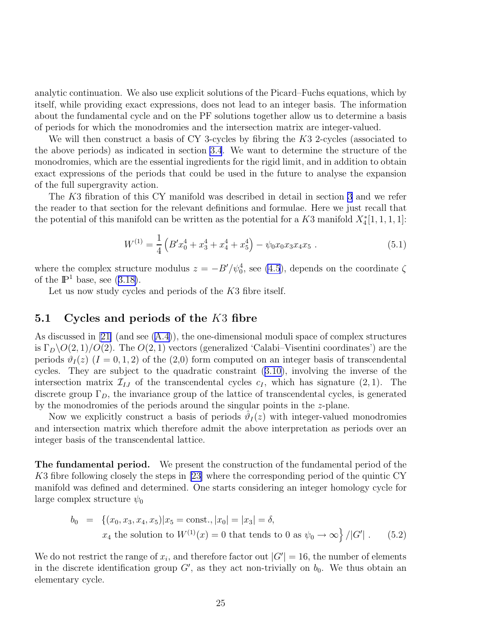analytic continuation. We also use explicit solutions of the Picard–Fuchs equations, which by itself, while providing exact expressions, does not lead to an integer basis. The information about the fundamental cycle and on the PF solutions together allow us to determine a basis of periods for which the monodromies and the intersection matrix are integer-valued.

We will then construct a basis of CY 3-cycles by fibring the K3 2-cycles (associated to the above periods) as indicated in section [3.4](#page-14-0). We want to determine the structure of the monodromies, which are the essential ingredients for the rigid limit, and in addition to obtain exact expressions of the periods that could be used in the future to analyse the expansion of the full supergravity action.

The K3 fibration of this CY manifold was described in detail in section [3](#page-9-0) and we refer the reader to that section for the relevant definitions and formulae. Here we just recall that the potential of this manifold can be written as the potential for a  $K3$  manifold  $X^*_4[1,1,1,1]$ :

$$
W^{(1)} = \frac{1}{4} \left( B' x_0^4 + x_3^4 + x_4^4 + x_5^4 \right) - \psi_0 x_0 x_3 x_4 x_5 \ . \tag{5.1}
$$

where the complex structure modulus  $z = -B'/\psi_0^4$ , see [\(4.5](#page-16-0)), depends on the coordinate  $\zeta$ ofthe  $\mathbb{P}^1$  base, see ([3.18\)](#page-13-0).

Let us now study cycles and periods of the K3 fibre itself.

#### 5.1 Cycles and periods of the  $K3$  fibre

As discussed in[[21\]](#page-79-0) (and see([A.4\)](#page-61-0)), the one-dimensional moduli space of complex structures is  $\Gamma_D \backslash O(2, 1)/O(2)$ . The  $O(2, 1)$  vectors (generalized 'Calabi–Visentini coordinates') are the periods  $\vartheta_I(z)$   $(I = 0, 1, 2)$  of the  $(2,0)$  form computed on an integer basis of transcendental cycles. They are subject to the quadratic constraint([3.10\)](#page-12-0), involving the inverse of the intersection matrix  $\mathcal{I}_{IJ}$  of the transcendental cycles  $c_I$ , which has signature  $(2, 1)$ . The discrete group  $\Gamma_D$ , the invariance group of the lattice of transcendental cycles, is generated by the monodromies of the periods around the singular points in the z-plane.

Now we explicitly construct a basis of periods  $\hat{\vartheta}_I(z)$  with integer-valued monodromies and intersection matrix which therefore admit the above interpretation as periods over an integer basis of the transcendental lattice.

The fundamental period. We present the construction of the fundamental period of the K3 fibre following closely the steps in[[23\]](#page-79-0) where the corresponding period of the quintic CY manifold was defined and determined. One starts considering an integer homology cycle for large complex structure  $\psi_0$ 

$$
b_0 = \{(x_0, x_3, x_4, x_5)|x_5 = \text{const.}, |x_0| = |x_3| = \delta, x_4 \text{ the solution to } W^{(1)}(x) = 0 \text{ that tends to 0 as } \psi_0 \to \infty \}/|G'|. \tag{5.2}
$$

We do not restrict the range of  $x_i$ , and therefore factor out  $|G'| = 16$ , the number of elements in the discrete identification group  $G'$ , as they act non-trivially on  $b_0$ . We thus obtain an elementary cycle.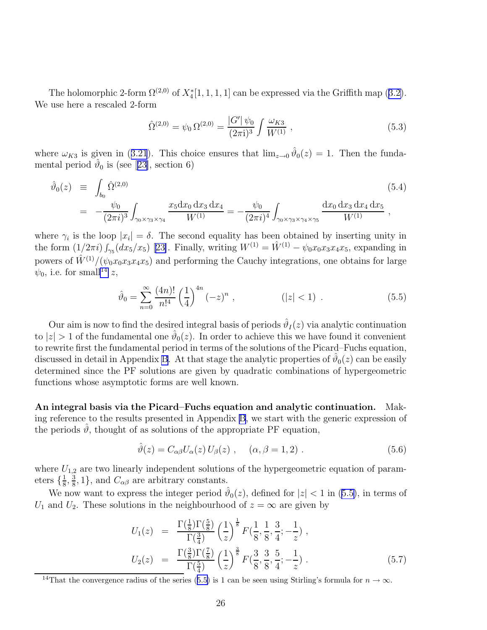<span id="page-27-0"></span>Theholomorphic 2-form  $\Omega^{(2,0)}$  of  $X_4^*[1,1,1,1]$  can be expressed via the Griffith map ([3.2\)](#page-10-0). We use here a rescaled 2-form

$$
\hat{\Omega}^{(2,0)} = \psi_0 \,\Omega^{(2,0)} = \frac{|G'|\,\psi_0}{(2\pi i)^3} \int \frac{\omega_{K3}}{W^{(1)}} \,,\tag{5.3}
$$

where $\omega_{K3}$  is given in ([3.21](#page-14-0)). This choice ensures that  $\lim_{z\to 0} \hat{\vartheta}_0(z) = 1$ . Then the fundamentalperiod  $\hat{\theta}_0$  is (see [[23\]](#page-79-0), section 6)

$$
\hat{\vartheta}_{0}(z) \equiv \int_{b_{0}} \hat{\Omega}^{(2,0)} \qquad (5.4)
$$
\n
$$
= -\frac{\psi_{0}}{(2\pi i)^{3}} \int_{\gamma_{0} \times \gamma_{3} \times \gamma_{4}} \frac{x_{5} dx_{0} dx_{3} dx_{4}}{W^{(1)}} = -\frac{\psi_{0}}{(2\pi i)^{4}} \int_{\gamma_{0} \times \gamma_{3} \times \gamma_{4} \times \gamma_{5}} \frac{dx_{0} dx_{3} dx_{4} dx_{5}}{W^{(1)}},
$$
\n(5.4)

where  $\gamma_i$  is the loop  $|x_i| = \delta$ . The second equality has been obtained by inserting unity in theform  $(1/2\pi i)\int_{\gamma_5}(dx_5/x_5)$  [[23\]](#page-79-0). Finally, writing  $W^{(1)} = \hat{W}^{(1)} - \psi_0 x_0 x_3 x_4 x_5$ , expanding in powers of  $\hat{W}^{(1)}/(\psi_0 x_0 x_3 x_4 x_5)$  and performing the Cauchy integrations, one obtains for large  $\psi_0$ , i.e. for small<sup>14</sup> z,

$$
\hat{\vartheta}_0 = \sum_{n=0}^{\infty} \frac{(4n)!}{n!^4} \left(\frac{1}{4}\right)^{4n} (-z)^n , \qquad (|z| < 1) . \tag{5.5}
$$

Our aim is now to find the desired integral basis of periods  $\hat{\vartheta}_I(z)$  via analytic continuation to  $|z| > 1$  of the fundamental one  $\hat{\vartheta}_0(z)$ . In order to achieve this we have found it convenient to rewrite first the fundamental period in terms of the solutions of the Picard–Fuchs equation, discussed in detail in Appendix [B](#page-68-0). At that stage the analytic properties of  $\hat{\vartheta}_0(z)$  can be easily determined since the PF solutions are given by quadratic combinations of hypergeometric functions whose asymptotic forms are well known.

An integral basis via the Picard–Fuchs equation and analytic continuation. Making reference to the results presented in Appendix [B](#page-68-0), we start with the generic expression of the periods  $\vartheta$ , thought of as solutions of the appropriate PF equation,

$$
\hat{\vartheta}(z) = C_{\alpha\beta} U_{\alpha}(z) U_{\beta}(z) , \quad (\alpha, \beta = 1, 2) . \tag{5.6}
$$

where  $U_{1,2}$  are two linearly independent solutions of the hypergeometric equation of parameters  $\{\frac{1}{8}$  $\frac{1}{8}$ ,  $\frac{3}{8}$  $\frac{3}{8}$ , 1, and  $C_{\alpha\beta}$  are arbitrary constants.

We now want to express the integer period  $\hat{\vartheta}_0(z)$ , defined for  $|z| < 1$  in (5.5), in terms of  $U_1$  and  $U_2$ . These solutions in the neighbourhood of  $z = \infty$  are given by

$$
U_1(z) = \frac{\Gamma(\frac{1}{8})\Gamma(\frac{5}{8})}{\Gamma(\frac{3}{4})} \left(\frac{1}{z}\right)^{\frac{1}{8}} F(\frac{1}{8}, \frac{1}{8}, \frac{3}{4}; -\frac{1}{z}) ,
$$
  
\n
$$
U_2(z) = \frac{\Gamma(\frac{3}{8})\Gamma(\frac{7}{8})}{\Gamma(\frac{5}{4})} \left(\frac{1}{z}\right)^{\frac{3}{8}} F(\frac{3}{8}, \frac{3}{8}, \frac{5}{4}; -\frac{1}{z}) .
$$
\n(5.7)

<sup>&</sup>lt;sup>14</sup>That the convergence radius of the series (5.5) is 1 can be seen using Stirling's formula for  $n \to \infty$ .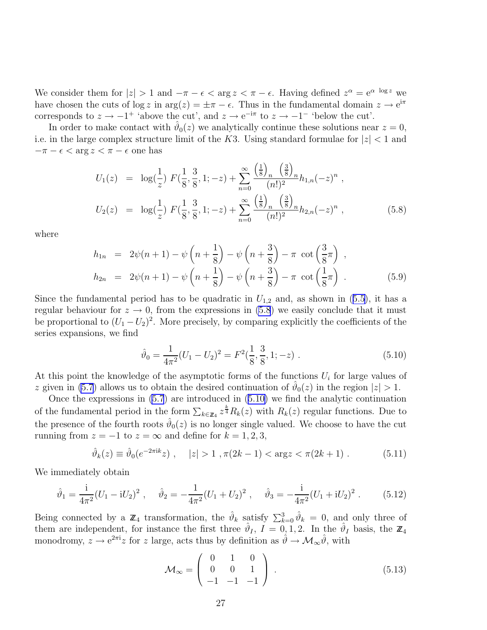<span id="page-28-0"></span>We consider them for  $|z| > 1$  and  $-\pi - \epsilon < \arg z < \pi - \epsilon$ . Having defined  $z^{\alpha} = e^{\alpha \log z}$  we have chosen the cuts of  $\log z$  in  $\arg(z) = \pm \pi - \epsilon$ . Thus in the fundamental domain  $z \to e^{i\pi}$ corresponds to  $z \to -1^+$  'above the cut', and  $z \to e^{-i\pi}$  to  $z \to -1^-$  'below the cut'.

In order to make contact with  $\hat{\vartheta}_0(z)$  we analytically continue these solutions near  $z=0$ , i.e. in the large complex structure limit of the K3. Using standard formulae for  $|z| < 1$  and  $-\pi - \epsilon < \arg z < \pi - \epsilon$  one has

$$
U_1(z) = \log(\frac{1}{z}) F(\frac{1}{8}, \frac{3}{8}, 1; -z) + \sum_{n=0}^{\infty} \frac{\left(\frac{1}{8}\right)_n \left(\frac{3}{8}\right)_n}{(n!)^2} h_{1,n}(-z)^n ,
$$
  
\n
$$
U_2(z) = \log(\frac{1}{z}) F(\frac{1}{8}, \frac{3}{8}, 1; -z) + \sum_{n=0}^{\infty} \frac{\left(\frac{1}{8}\right)_n \left(\frac{3}{8}\right)_n}{(n!)^2} h_{2,n}(-z)^n ,
$$
\n(5.8)

where

$$
h_{1n} = 2\psi(n+1) - \psi\left(n + \frac{1}{8}\right) - \psi\left(n + \frac{3}{8}\right) - \pi \cot\left(\frac{3}{8}\pi\right),
$$
  
\n
$$
h_{2n} = 2\psi(n+1) - \psi\left(n + \frac{1}{8}\right) - \psi\left(n + \frac{3}{8}\right) - \pi \cot\left(\frac{1}{8}\pi\right).
$$
\n(5.9)

Sincethe fundamental period has to be quadratic in  $U_{1,2}$  and, as shown in ([5.5\)](#page-27-0), it has a regular behaviour for  $z \to 0$ , from the expressions in (5.8) we easily conclude that it must be proportional to  $(U_1-U_2)^2$ . More precisely, by comparing explicitly the coefficients of the series expansions, we find

$$
\hat{\vartheta}_0 = \frac{1}{4\pi^2} (U_1 - U_2)^2 = F^2(\frac{1}{8}, \frac{3}{8}, 1; -z) \tag{5.10}
$$

At this point the knowledge of the asymptotic forms of the functions  $U_i$  for large values of z given in [\(5.7](#page-27-0)) allows us to obtain the desired continuation of  $\hat{\theta}_0(z)$  in the region  $|z| > 1$ .

Once the expressions in [\(5.7](#page-27-0)) are introduced in (5.10) we find the analytic continuation of the fundamental period in the form  $\sum_{k\in\mathbb{Z}_4} z^{\frac{k}{4}} R_k(z)$  with  $R_k(z)$  regular functions. Due to the presence of the fourth roots  $\hat{\vartheta}_0(z)$  is no longer single valued. We choose to have the cut running from  $z = -1$  to  $z = \infty$  and define for  $k = 1, 2, 3$ ,

$$
\hat{\vartheta}_k(z) \equiv \hat{\vartheta}_0(e^{-2\pi i k}z) , \quad |z| > 1 , \pi(2k - 1) < \arg z < \pi(2k + 1) . \tag{5.11}
$$

We immediately obtain

$$
\hat{\vartheta}_1 = \frac{\mathrm{i}}{4\pi^2} (U_1 - \mathrm{i}U_2)^2 \;, \quad \hat{\vartheta}_2 = -\frac{1}{4\pi^2} (U_1 + U_2)^2 \;, \quad \hat{\vartheta}_3 = -\frac{\mathrm{i}}{4\pi^2} (U_1 + \mathrm{i}U_2)^2 \;. \tag{5.12}
$$

Being connected by a  $\mathbb{Z}_4$  transformation, the  $\hat{\vartheta}_k$  satisfy  $\sum_{k=0}^3 \hat{\vartheta}_k = 0$ , and only three of them are independent, for instance the first three  $\hat{\vartheta}_I$ ,  $I = 0, 1, 2$ . In the  $\hat{\vartheta}_I$  basis, the  $\mathbb{Z}_4$ monodromy,  $z \to e^{2\pi i}z$  for z large, acts thus by definition as  $\hat{\theta} \to \mathcal{M}_{\infty} \hat{\theta}$ , with

$$
\mathcal{M}_{\infty} = \left( \begin{array}{ccc} 0 & 1 & 0 \\ 0 & 0 & 1 \\ -1 & -1 & -1 \end{array} \right) . \tag{5.13}
$$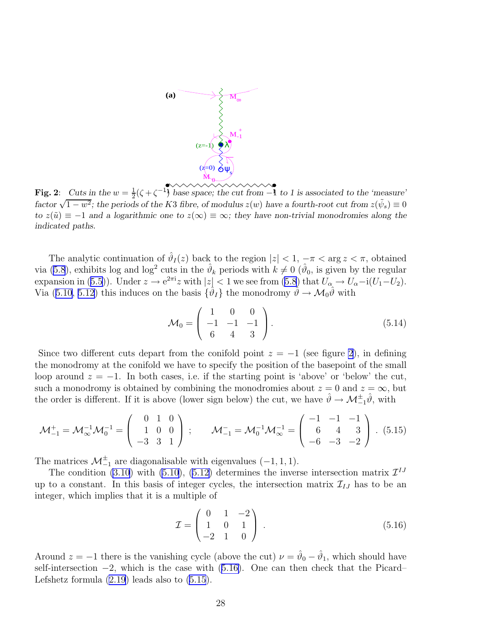<span id="page-29-0"></span>

Fig. 2: *Cuts in the*  $w = \frac{1}{2}(\zeta + \zeta^{-1})$  base space; the cut from -1  $\frac{1}{2}(\zeta + \zeta^{-1})$  base space; the cut from  $-1$  to 1 is associated to the 'measure' *factor*  $\sqrt{1-w^2}$ ; the periods of the K3 *fibre, of modulus*  $z(w)$  have a fourth-root cut from  $z(\tilde{\psi}_s) \equiv 0$ *to*  $z(\tilde{u}) \equiv -1$  *and a logarithmic one to*  $z(\infty) \equiv \infty$ *; they have non-trivial monodromies along the indicated paths.*

The analytic continuation of  $\hat{\vartheta}_I(z)$  back to the region  $|z| < 1, -\pi < \arg z < \pi$ , obtained via [\(5.8](#page-28-0)), exhibits log and log<sup>2</sup> cuts in the  $\hat{\theta}_k$  periods with  $k \neq 0$  ( $\hat{\theta}_0$ , is given by the regular expansionin ([5.5\)](#page-27-0)). Under  $z \to e^{2\pi i}z$  with  $|z| < 1$  we see from [\(5.8](#page-28-0)) that  $U_{\alpha} \to U_{\alpha} - i(U_1-U_2)$ . Via([5.10, 5.12\)](#page-28-0) this induces on the basis  $\{\hat{\vartheta}_I\}$  the monodromy  $\hat{\vartheta} \to \mathcal{M}_0 \hat{\vartheta}$  with

$$
\mathcal{M}_0 = \begin{pmatrix} 1 & 0 & 0 \\ -1 & -1 & -1 \\ 6 & 4 & 3 \end{pmatrix} . \tag{5.14}
$$

Since two different cuts depart from the conifold point  $z = -1$  (see figure 2), in defining the monodromy at the conifold we have to specify the position of the basepoint of the small loop around  $z = -1$ . In both cases, i.e. if the starting point is 'above' or 'below' the cut, such a monodromy is obtained by combining the monodromies about  $z = 0$  and  $z = \infty$ , but the order is different. If it is above (lower sign below) the cut, we have  $\hat{\theta} \to \mathcal{M}_{-1}^{\pm} \hat{\theta}$ , with

$$
\mathcal{M}_{-1}^{+} = \mathcal{M}_{\infty}^{-1} \mathcal{M}_{0}^{-1} = \begin{pmatrix} 0 & 1 & 0 \\ 1 & 0 & 0 \\ -3 & 3 & 1 \end{pmatrix} ; \qquad \mathcal{M}_{-1}^{-} = \mathcal{M}_{0}^{-1} \mathcal{M}_{\infty}^{-1} = \begin{pmatrix} -1 & -1 & -1 \\ 6 & 4 & 3 \\ -6 & -3 & -2 \end{pmatrix} . (5.15)
$$

The matrices  $\mathcal{M}_{-1}^{\pm}$  are diagonalisable with eigenvalues  $(-1, 1, 1)$ .

The condition [\(3.10](#page-12-0)) with [\(5.10](#page-28-0)),([5.12\)](#page-28-0) determines the inverse intersection matrix  $\mathcal{I}^{IJ}$ up to a constant. In this basis of integer cycles, the intersection matrix  $\mathcal{I}_{IJ}$  has to be an integer, which implies that it is a multiple of

$$
\mathcal{I} = \begin{pmatrix} 0 & 1 & -2 \\ 1 & 0 & 1 \\ -2 & 1 & 0 \end{pmatrix} . \tag{5.16}
$$

Around  $z = -1$  there is the vanishing cycle (above the cut)  $\nu = \hat{\vartheta}_0 - \hat{\vartheta}_1$ , which should have self-intersection  $-2$ , which is the case with (5.16). One can then check that the Picard– Lefshetz formula [\(2.19](#page-9-0)) leads also to (5.15).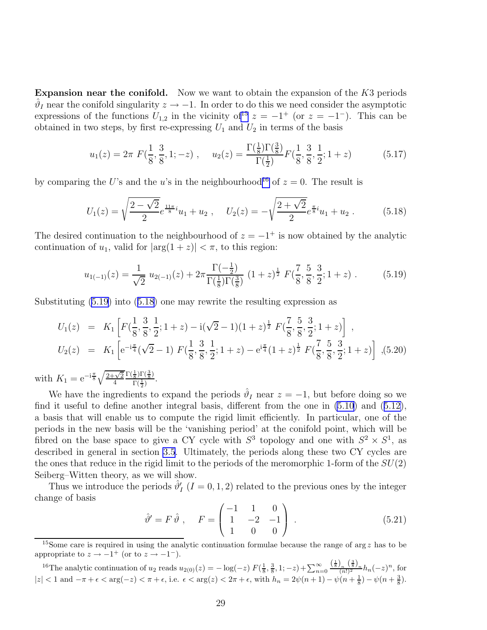<span id="page-30-0"></span>Expansion near the conifold. Now we want to obtain the expansion of the  $K3$  periods  $\hat{\vartheta}_I$  near the conifold singularity  $z \to -1$ . In order to do this we need consider the asymptotic expressions of the functions  $U_{1,2}$  in the vicinity of<sup>15</sup>  $z = -1$ <sup>+</sup> (or  $z = -1$ <sup>-</sup>). This can be obtained in two steps, by first re-expressing  $U_1$  and  $U_2$  in terms of the basis

$$
u_1(z) = 2\pi F\left(\frac{1}{8}, \frac{3}{8}, 1; -z\right), \quad u_2(z) = \frac{\Gamma\left(\frac{1}{8}\right)\Gamma\left(\frac{3}{8}\right)}{\Gamma\left(\frac{1}{2}\right)} F\left(\frac{1}{8}, \frac{3}{8}, \frac{1}{2}; 1+z\right) \tag{5.17}
$$

by comparing the U's and the u's in the neighbourhood<sup>16</sup> of  $z = 0$ . The result is

$$
U_1(z) = \sqrt{\frac{2 - \sqrt{2}}{2}} e^{\frac{11\pi}{8}i} u_1 + u_2 \ , \quad U_2(z) = -\sqrt{\frac{2 + \sqrt{2}}{2}} e^{\frac{\pi}{8}i} u_1 + u_2 \ . \tag{5.18}
$$

The desired continuation to the neighbourhood of  $z = -1$ <sup>+</sup> is now obtained by the analytic continuation of  $u_1$ , valid for  $|\arg(1+z)| < \pi$ , to this region:

$$
u_{1(-1)}(z) = \frac{1}{\sqrt{2}} u_{2(-1)}(z) + 2\pi \frac{\Gamma(-\frac{1}{2})}{\Gamma(\frac{1}{8})\Gamma(\frac{3}{8})} (1+z)^{\frac{1}{2}} F(\frac{7}{8}, \frac{5}{8}, \frac{3}{2}; 1+z) .
$$
 (5.19)

Substituting (5.19) into (5.18) one may rewrite the resulting expression as

$$
U_1(z) = K_1 \left[ F(\frac{1}{8}, \frac{3}{8}, \frac{1}{2}; 1+z) - i(\sqrt{2}-1)(1+z)^{\frac{1}{2}} F(\frac{7}{8}, \frac{5}{8}, \frac{3}{2}; 1+z) \right],
$$
  
\n
$$
U_2(z) = K_1 \left[ e^{-i\frac{\pi}{4}}(\sqrt{2}-1) F(\frac{1}{8}, \frac{3}{8}, \frac{1}{2}; 1+z) - e^{i\frac{\pi}{4}}(1+z)^{\frac{1}{2}} F(\frac{7}{8}, \frac{5}{8}, \frac{3}{2}; 1+z) \right],
$$
(5.20)

with  $K_1 = e^{-i\frac{\pi}{8}} \sqrt{\frac{2+\sqrt{2}}{4}}$ 4  $\Gamma(\frac{1}{8})\Gamma(\frac{3}{8})$  $\frac{\sqrt{8}}{\Gamma(\frac{1}{2})}$ .

We have the ingredients to expand the periods  $\hat{\vartheta}_I$  near  $z = -1$ , but before doing so we find it useful to define another integral basis, different from the one in [\(5.10](#page-28-0)) and([5.12\)](#page-28-0), a basis that will enable us to compute the rigid limit efficiently. In particular, one of the periods in the new basis will be the 'vanishing period' at the conifold point, which will be fibred on the base space to give a CY cycle with  $S^3$  topology and one with  $S^2 \times S^1$ , as described in general in section [3.5](#page-14-0). Ultimately, the periods along these two CY cycles are the ones that reduce in the rigid limit to the periods of the meromorphic 1-form of the  $SU(2)$ Seiberg–Witten theory, as we will show.

Thus we introduce the periods  $\hat{\vartheta}'_I$   $(I = 0, 1, 2)$  related to the previous ones by the integer change of basis

$$
\hat{\vartheta}' = F \hat{\vartheta} , \quad F = \begin{pmatrix} -1 & 1 & 0 \\ 1 & -2 & -1 \\ 1 & 0 & 0 \end{pmatrix} . \tag{5.21}
$$

<sup>&</sup>lt;sup>15</sup>Some care is required in using the analytic continuation formulae because the range of arg z has to be appropriate to  $z \to -1^+$  (or to  $z \to -1^-$ ).

<sup>&</sup>lt;sup>16</sup>The analytic continuation of  $u_2$  reads  $u_{2(0)}(z) = -\log(-z) F(\frac{1}{8}, \frac{3}{8}, 1; -z) + \sum_{n=0}^{\infty}$  $\frac{\left(\frac{1}{8}\right)_n \left(\frac{3}{8}\right)_n}{(n!)^2} h_n(-z)^n$ , for  $|z| < 1$  and  $-\pi + \epsilon < \arg(-z) < \pi + \epsilon$ , i.e.  $\epsilon < \arg(z) < 2\pi + \epsilon$ , with  $h_n = 2\psi(n+1) - \psi(n+\frac{1}{8}) - \psi(n+\frac{3}{8})$ .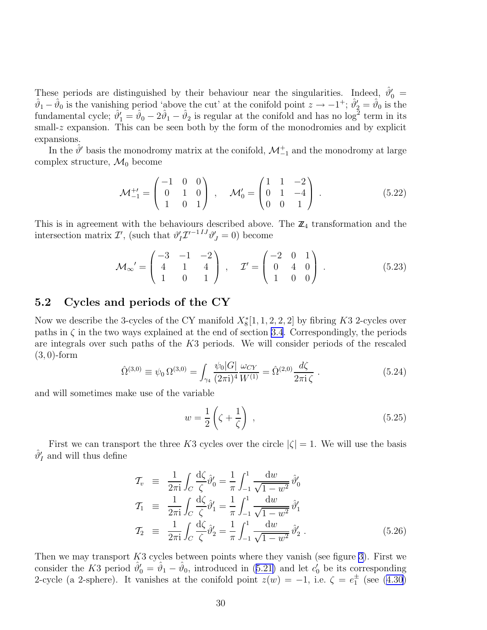<span id="page-31-0"></span>These periods are distinguished by their behaviour near the singularities. Indeed,  $\hat{\theta}'_0$  =  $\hat{\vartheta}_1 - \hat{\vartheta}_0$  is the vanishing period 'above the cut' at the conifold point  $z \to -1^+$ ;  $\hat{\vartheta}'_2 = \hat{\vartheta}_0$  is the fundamental cycle;  $\hat{\theta}'_1 = \hat{\theta}_0 - 2\hat{\theta}_1 - \hat{\theta}_2$  is regular at the conifold and has no log<sup>2</sup> term in its small-z expansion. This can be seen both by the form of the monodromies and by explicit expansions.

In the  $\hat{\theta}'$  basis the monodromy matrix at the conifold,  $\mathcal{M}_{-1}^+$  and the monodromy at large complex structure,  $\mathcal{M}_0$  become

$$
\mathcal{M}_{-1}^{+'} = \begin{pmatrix} -1 & 0 & 0 \\ 0 & 1 & 0 \\ 1 & 0 & 1 \end{pmatrix} , \quad \mathcal{M}'_0 = \begin{pmatrix} 1 & 1 & -2 \\ 0 & 1 & -4 \\ 0 & 0 & 1 \end{pmatrix} . \tag{5.22}
$$

This is in agreement with the behaviours described above. The  $\mathbb{Z}_4$  transformation and the intersection matrix  $\mathcal{I}'$ , (such that  $\vartheta'_I \mathcal{I}'^{-1IJ} \vartheta'_J = 0$ ) become

$$
\mathcal{M}_{\infty}^{\prime} = \begin{pmatrix} -3 & -1 & -2 \\ 4 & 1 & 4 \\ 1 & 0 & 1 \end{pmatrix}, \quad \mathcal{I}^{\prime} = \begin{pmatrix} -2 & 0 & 1 \\ 0 & 4 & 0 \\ 1 & 0 & 0 \end{pmatrix}. \tag{5.23}
$$

#### 5.2 Cycles and periods of the CY

Now we describe the 3-cycles of the CY manifold  $X_8^*[1, 1, 2, 2, 2]$  by fibring K3 2-cycles over paths in  $\zeta$  in the two ways explained at the end of section [3.4](#page-14-0). Correspondingly, the periods are integrals over such paths of the K3 periods. We will consider periods of the rescaled (3, 0)-form

$$
\hat{\Omega}^{(3,0)} \equiv \psi_0 \,\Omega^{(3,0)} = \int_{\gamma_4} \frac{\psi_0 |G|}{(2\pi i)^4} \frac{\omega_{CY}}{W^{(1)}} = \hat{\Omega}^{(2,0)} \frac{d\zeta}{2\pi i \,\zeta} \,. \tag{5.24}
$$

and will sometimes make use of the variable

$$
w = \frac{1}{2} \left( \zeta + \frac{1}{\zeta} \right) , \qquad (5.25)
$$

First we can transport the three K3 cycles over the circle  $|\zeta| = 1$ . We will use the basis  $\hat{\vartheta}_I'$  and will thus define

$$
\mathcal{T}_{v} \equiv \frac{1}{2\pi i} \int_{C} \frac{d\zeta}{\zeta} \hat{\vartheta}'_{0} = \frac{1}{\pi} \int_{-1}^{1} \frac{dw}{\sqrt{1 - w^{2}}} \hat{\vartheta}'_{0}
$$
\n
$$
\mathcal{T}_{1} \equiv \frac{1}{2\pi i} \int_{C} \frac{d\zeta}{\zeta} \hat{\vartheta}'_{1} = \frac{1}{\pi} \int_{-1}^{1} \frac{dw}{\sqrt{1 - w^{2}}} \hat{\vartheta}'_{1}
$$
\n
$$
\mathcal{T}_{2} \equiv \frac{1}{2\pi i} \int_{C} \frac{d\zeta}{\zeta} \hat{\vartheta}'_{2} = \frac{1}{\pi} \int_{-1}^{1} \frac{dw}{\sqrt{1 - w^{2}}} \hat{\vartheta}'_{2}.
$$
\n(5.26)

Then we may transport  $K3$  cycles between points where they vanish (see figure [3\)](#page-32-0). First we considerthe K3 period  $\hat{\theta}'_0 = \hat{\theta}_1 - \hat{\theta}_0$ , introduced in ([5.21\)](#page-30-0) and let  $c'_0$  be its corresponding 2-cycle(a 2-sphere). It vanishes at the conifold point  $z(w) = -1$ , i.e.  $\zeta = e_1^{\pm}$  (see ([4.30\)](#page-21-0)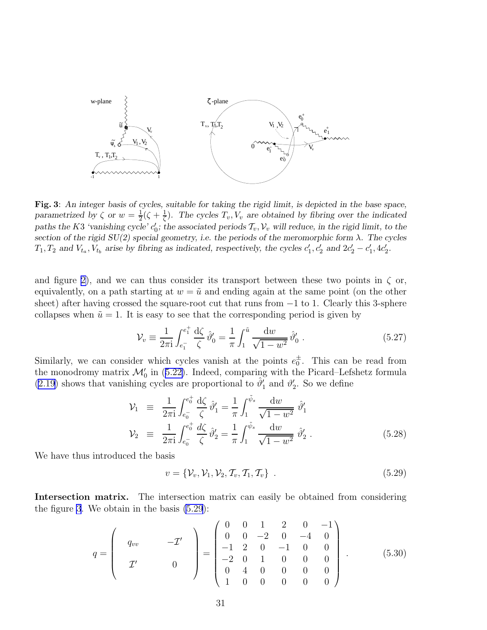<span id="page-32-0"></span>

Fig. 3: *An integer basis of cycles, suitable for taking the rigid limit, is depicted in the base space, parametrized by*  $\zeta$  *or*  $w = \frac{1}{2}$  $\frac{1}{2}(\zeta + \frac{1}{\zeta})$  $\frac{1}{\zeta}$ ). The cycles  $T_v, V_v$  are obtained by fibring over the indicated paths the K3 *'vanishing cycle'*  $c'_0$ ; the associated periods  $\mathcal{T}_v$ ,  $\mathcal{V}_v$  will reduce, in the rigid limit, to the *section of the rigid*  $SU(2)$  *special geometry, i.e. the periods of the meromorphic form*  $\lambda$ *. The cycles*  $T_1, T_2$  and  $V_{t_a}, V_{t_b}$  arise by fibring as indicated, respectively, the cycles  $c'_1, c'_2$  and  $2c'_2 - c'_1, 4c'_2$ .

and figure [2\)](#page-29-0), and we can thus consider its transport between these two points in  $\zeta$  or, equivalently, on a path starting at  $w = \tilde{u}$  and ending again at the same point (on the other sheet) after having crossed the square-root cut that runs from  $-1$  to 1. Clearly this 3-sphere collapses when  $\tilde{u} = 1$ . It is easy to see that the corresponding period is given by

$$
\mathcal{V}_v \equiv \frac{1}{2\pi i} \int_{e_1^-}^{e_1^+} \frac{d\zeta}{\zeta} \,\hat{\vartheta}'_0 = \frac{1}{\pi} \int_1^{\tilde{u}} \frac{dw}{\sqrt{1 - w^2}} \,\hat{\vartheta}'_0 \,. \tag{5.27}
$$

Similarly, we can consider which cycles vanish at the points  $e_0^{\pm}$ . This can be read from themonodromy matrix  $\mathcal{M}'_0$  in ([5.22\)](#page-31-0). Indeed, comparing with the Picard–Lefshetz formula [\(2.19](#page-9-0)) shows that vanishing cycles are proportional to  $\hat{\theta}'_1$  and  $\theta'_2$ . So we define

$$
\mathcal{V}_1 \equiv \frac{1}{2\pi i} \int_{e_0^-}^{e_0^+} \frac{d\zeta}{\zeta} \hat{\vartheta}_1' = \frac{1}{\pi} \int_1^{\tilde{\psi}_s} \frac{dw}{\sqrt{1 - w^2}} \hat{\vartheta}_1' \n\mathcal{V}_2 \equiv \frac{1}{2\pi i} \int_{e_0^-}^{e_0^+} \frac{d\zeta}{\zeta} \hat{\vartheta}_2' = \frac{1}{\pi} \int_1^{\tilde{\psi}_s} \frac{dw}{\sqrt{1 - w^2}} \hat{\vartheta}_2' .
$$
\n(5.28)

We have thus introduced the basis

$$
v = \{ \mathcal{V}_v, \mathcal{V}_1, \mathcal{V}_2, \mathcal{T}_v, \mathcal{T}_1, \mathcal{T}_v \} \tag{5.29}
$$

Intersection matrix. The intersection matrix can easily be obtained from considering the figure 3. We obtain in the basis (5.29):

$$
q = \begin{pmatrix} q_{vv} & -\mathcal{I}' \\ \mathcal{I}' & 0 \end{pmatrix} = \begin{pmatrix} 0 & 0 & 1 & 2 & 0 & -1 \\ 0 & 0 & -2 & 0 & -4 & 0 \\ -1 & 2 & 0 & -1 & 0 & 0 \\ -2 & 0 & 1 & 0 & 0 & 0 \\ 0 & 4 & 0 & 0 & 0 & 0 \\ 1 & 0 & 0 & 0 & 0 & 0 \end{pmatrix} . \tag{5.30}
$$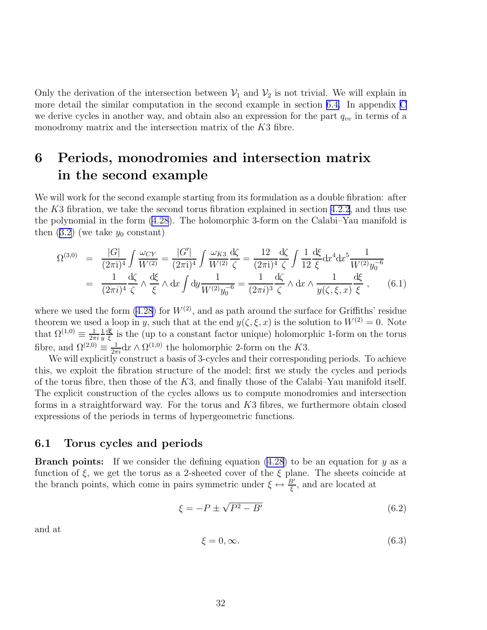<span id="page-33-0"></span>Only the derivation of the intersection between  $\mathcal{V}_1$  and  $\mathcal{V}_2$  is not trivial. We will explain in more detail the similar computation in the second example in section [6.4.](#page-42-0) In appendix [C](#page-73-0) we derive cycles in another way, and obtain also an expression for the part  $q_{vv}$  in terms of a monodromy matrix and the intersection matrix of the K3 fibre.

# 6 Periods, monodromies and intersection matrix in the second example

We will work for the second example starting from its formulation as a double fibration: after the K3 fibration, we take the second torus fibration explained in section [4.2.2](#page-19-0), and thus use the polynomial in the form [\(4.28](#page-20-0)). The holomorphic 3-form on the Calabi–Yau manifold is then $(3.2)$  $(3.2)$  (we take  $y_0$  constant)

$$
\Omega^{(3,0)} = \frac{|G|}{(2\pi i)^4} \int \frac{\omega_{CY}}{W^{(2)}} = \frac{|G'|}{(2\pi i)^4} \int \frac{\omega_{K3}}{W^{(2)}} \frac{d\zeta}{\zeta} = \frac{12}{(2\pi i)^4} \frac{d\zeta}{\zeta} \int \frac{1}{12} \frac{d\zeta}{\xi} dx^4 dx^5 \frac{1}{W^{(2)} y_0^{-6}}
$$
  
= 
$$
\frac{1}{(2\pi i)^4} \frac{d\zeta}{\zeta} \wedge \frac{d\xi}{\zeta} \wedge dx \int dy \frac{1}{W^{(2)} y_0^{-6}} = \frac{1}{(2\pi i)^3} \frac{d\zeta}{\zeta} \wedge dx \wedge \frac{1}{y(\zeta, \xi, x)} \frac{d\zeta}{\zeta} , \qquad (6.1)
$$

where we used the form  $(4.28)$  for  $W^{(2)}$ , and as path around the surface for Griffiths' residue theorem we used a loop in y, such that at the end  $y(\zeta,\xi,x)$  is the solution to  $W^{(2)}=0$ . Note that  $\Omega^{(1,0)} \equiv \frac{1}{2\pi}$  $2\pi i$ 1  $\overline{y}$ dξ  $\frac{1}{\xi}$  is the (up to a constant factor unique) holomorphic 1-form on the torus fibre, and  $\Omega^{(2,0)} \equiv \frac{1}{2\pi i} dx \wedge \Omega^{(1,0)}$  the holomorphic 2-form on the K3.

We will explicitly construct a basis of 3-cycles and their corresponding periods. To achieve this, we exploit the fibration structure of the model; first we study the cycles and periods of the torus fibre, then those of the  $K3$ , and finally those of the Calabi–Yau manifold itself. The explicit construction of the cycles allows us to compute monodromies and intersection forms in a straightforward way. For the torus and K3 fibres, we furthermore obtain closed expressions of the periods in terms of hypergeometric functions.

#### 6.1 Torus cycles and periods

**Branch points:** If we consider the defining equation  $(4.28)$  to be an equation for y as a function of  $\xi$ , we get the torus as a 2-sheeted cover of the  $\xi$  plane. The sheets coincide at the branch points, which come in pairs symmetric under  $\xi \leftrightarrow \frac{B'}{\xi}$ , and are located at

$$
\xi = -P \pm \sqrt{P^2 - B'}\tag{6.2}
$$

and at

$$
\xi = 0, \infty. \tag{6.3}
$$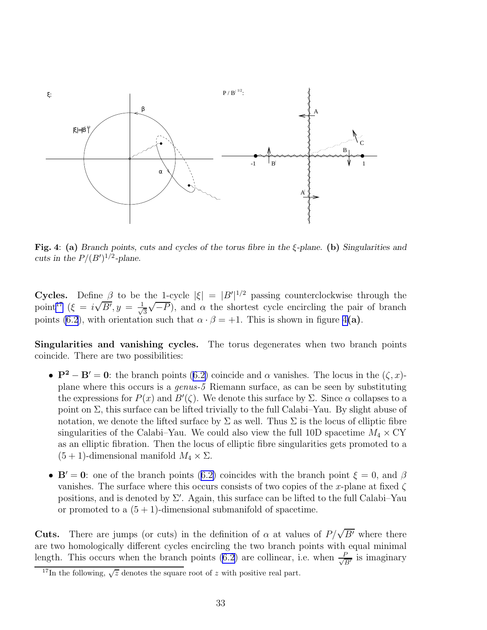<span id="page-34-0"></span>

Fig. 4: (a) *Branch points, cuts and cycles of the torus fibre in the* ξ*-plane.* (b) *Singularities and cuts in the*  $P/(B')^{1/2}$ -plane.

Cycles. Define  $\beta$  to be the 1-cycle  $|\xi| = |B'|^{1/2}$  passing counterclockwise through the point<sup>17</sup>  $(\xi = i\sqrt{B'}, y = \frac{1}{\sqrt{B'}})$ 3  $(\sqrt{-P})$ , and  $\alpha$  the shortest cycle encircling the pair of branch points [\(6.2](#page-33-0)), with orientation such that  $\alpha \cdot \beta = +1$ . This is shown in figure 4(a).

Singularities and vanishing cycles. The torus degenerates when two branch points coincide. There are two possibilities:

- • $\mathbf{P}^2 \mathbf{B}' = 0$ : the branch points ([6.2\)](#page-33-0) coincide and  $\alpha$  vanishes. The locus in the  $(\zeta, x)$ plane where this occurs is a *genus-5* Riemann surface, as can be seen by substituting the expressions for  $P(x)$  and  $B'(\zeta)$ . We denote this surface by  $\Sigma$ . Since  $\alpha$  collapses to a point on  $\Sigma$ , this surface can be lifted trivially to the full Calabi–Yau. By slight abuse of notation, we denote the lifted surface by  $\Sigma$  as well. Thus  $\Sigma$  is the locus of elliptic fibre singularities of the Calabi–Yau. We could also view the full 10D spacetime  $M_4 \times C<sup>Y</sup>$ as an elliptic fibration. Then the locus of elliptic fibre singularities gets promoted to a  $(5 + 1)$ -dimensional manifold  $M_4 \times \Sigma$ .
- • $\mathbf{B}' = \mathbf{0}$ : one of the branch points ([6.2\)](#page-33-0) coincides with the branch point  $\xi = 0$ , and  $\beta$ vanishes. The surface where this occurs consists of two copies of the x-plane at fixed  $\zeta$ positions, and is denoted by  $\Sigma'$ . Again, this surface can be lifted to the full Calabi–Yau or promoted to a  $(5 + 1)$ -dimensional submanifold of spacetime.

**Cuts.** There are jumps (or cuts) in the definition of  $\alpha$  at values of  $P/\sqrt{B'}$  where there are two homologically different cycles encircling the two branch points with equal minimal length. This occurs when the branch points [\(6.2](#page-33-0)) are collinear, i.e. when  $\frac{F}{\sqrt{2}}$  $\frac{P}{B'}$  is imaginary

<sup>&</sup>lt;sup>17</sup>In the following,  $\sqrt{z}$  denotes the square root of z with positive real part.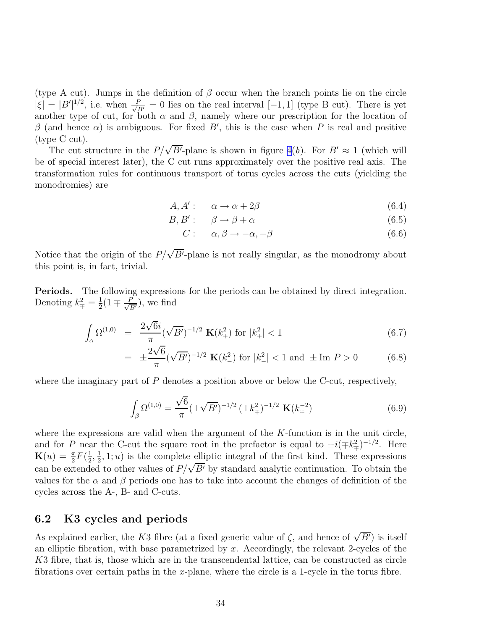(type A cut). Jumps in the definition of  $\beta$  occur when the branch points lie on the circle  $|\xi| = |B'|^{1/2}$ , i.e. when  $\frac{P}{\sqrt{B'}} = 0$  lies on the real interval  $[-1, 1]$  (type B cut). There is yet another type of cut, for both  $\alpha$  and  $\beta$ , namely where our prescription for the location of β (and hence  $\alpha$ ) is ambiguous. For fixed B', this is the case when P is real and positive (type C cut).

The cut structure in the  $P/\sqrt{B'}$ -plane is shown in figure [4\(](#page-34-0)*b*). For  $B' \approx 1$  (which will be of special interest later), the C cut runs approximately over the positive real axis. The transformation rules for continuous transport of torus cycles across the cuts (yielding the monodromies) are

$$
A, A': \quad \alpha \to \alpha + 2\beta \tag{6.4}
$$

$$
B, B': \qquad \beta \to \beta + \alpha \tag{6.5}
$$

$$
C: \quad \alpha, \beta \to -\alpha, -\beta \tag{6.6}
$$

Notice that the origin of the  $P/\sqrt{B'}$ -plane is not really singular, as the monodromy about this point is, in fact, trivial.

Periods. The following expressions for the periods can be obtained by direct integration. Denoting  $k_{\mp}^2 = \frac{1}{2}$  $\frac{1}{2}(1 \mp \frac{P}{\sqrt{B'}}),$  we find

$$
\int_{\alpha} \Omega^{(1,0)} = \frac{2\sqrt{6}i}{\pi} (\sqrt{B'})^{-1/2} \mathbf{K}(k_+^2) \text{ for } |k_+^2| < 1 \tag{6.7}
$$

$$
= \pm \frac{2\sqrt{6}}{\pi} (\sqrt{B'})^{-1/2} \mathbf{K}(k_-^2) \text{ for } |k_-^2| < 1 \text{ and } \pm \text{Im } P > 0 \tag{6.8}
$$

where the imaginary part of  $P$  denotes a position above or below the C-cut, respectively,

$$
\int_{\beta} \Omega^{(1,0)} = \frac{\sqrt{6}}{\pi} (\pm \sqrt{B'})^{-1/2} (\pm k_{\mp}^2)^{-1/2} \mathbf{K}(k_{\mp}^{-2})
$$
\n(6.9)

where the expressions are valid when the argument of the  $K$ -function is in the unit circle, and for P near the C-cut the square root in the prefactor is equal to  $\pm i(\mp k_{\mp}^2)^{-1/2}$ . Here  $\mathbf{K}(u) = \frac{\pi}{2}F(\frac{1}{2})$  $\frac{1}{2}, \frac{1}{2}$  $\frac{1}{2}$ , 1; *u*) is the complete elliptic integral of the first kind. These expressions can be extended to other values of  $P/\sqrt{B'}$  by standard analytic continuation. To obtain the values for the  $\alpha$  and  $\beta$  periods one has to take into account the changes of definition of the cycles across the A-, B- and C-cuts.

#### 6.2 K3 cycles and periods

As explained earlier, the K3 fibre (at a fixed generic value of  $\zeta$ , and hence of  $\sqrt{B'}$ ) is itself an elliptic fibration, with base parametrized by  $x$ . Accordingly, the relevant 2-cycles of the K3 fibre, that is, those which are in the transcendental lattice, can be constructed as circle fibrations over certain paths in the x-plane, where the circle is a 1-cycle in the torus fibre.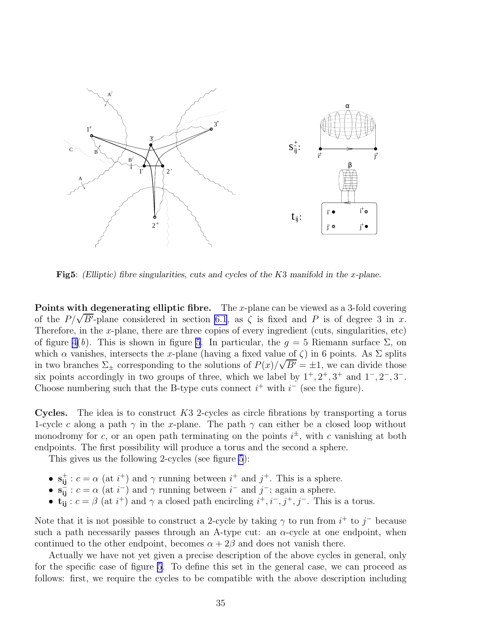<span id="page-36-0"></span>

Fig5: *(Elliptic)* fibre singularities, cuts and cycles of the K3 manifold in the x-plane.

**Points with degenerating elliptic fibre.** The x-plane can be viewed as a 3-fold covering of the  $P/\sqrt{B'}$ -plane considered in section [6.1](#page-33-0), as  $\zeta$  is fixed and P is of degree 3 in x. Therefore, in the x-plane, there are three copies of every ingredient (cuts, singularities, etc) of figure [4\(](#page-34-0)*b*). This is shown in figure 5. In particular, the  $g = 5$  Riemann surface  $\Sigma$ , on which  $\alpha$  vanishes, intersects the x-plane (having a fixed value of  $\zeta$ ) in 6 points. As  $\Sigma$  splits in two branches  $\Sigma_{\pm}$  corresponding to the solutions of  $P(x)/\sqrt{B'} = \pm 1$ , we can divide those six points accordingly in two groups of three, which we label by  $1^+, 2^+, 3^+$  and  $1^-, 2^-, 3^-$ . Choose numbering such that the B-type cuts connect  $i^+$  with  $i^-$  (see the figure).

**Cycles.** The idea is to construct  $K3$  2-cycles as circle fibrations by transporting a torus 1-cycle c along a path  $\gamma$  in the x-plane. The path  $\gamma$  can either be a closed loop without monodromy for c, or an open path terminating on the points  $i^{\pm}$ , with c vanishing at both endpoints. The first possibility will produce a torus and the second a sphere.

This gives us the following 2-cycles (see figure 5):

- $s_{ij}^+$ :  $c = \alpha$  (at  $i^+$ ) and  $\gamma$  running between  $i^+$  and  $j^+$ . This is a sphere.
- $\mathbf{s}_{ij}^- : c = \alpha$  (at  $i^-$ ) and  $\gamma$  running between  $i^-$  and  $j^-$ ; again a sphere.
- $\mathbf{t}_{ij}: c = \beta$  (at  $i^+$ ) and  $\gamma$  a closed path encircling  $i^+, i^-, j^+, j^-$ . This is a torus.

Note that it is not possible to construct a 2-cycle by taking  $\gamma$  to run from  $i^+$  to  $j^-$  because such a path necessarily passes through an A-type cut: an  $\alpha$ -cycle at one endpoint, when continued to the other endpoint, becomes  $\alpha + 2\beta$  and does not vanish there.

Actually we have not yet given a precise description of the above cycles in general, only for the specific case of figure 5. To define this set in the general case, we can proceed as follows: first, we require the cycles to be compatible with the above description including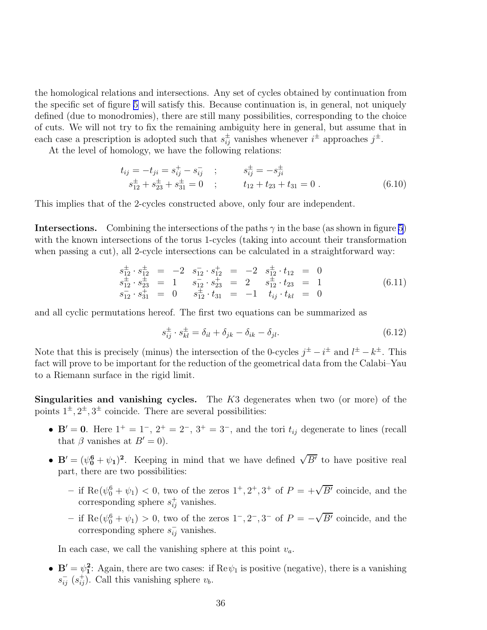<span id="page-37-0"></span>the homological relations and intersections. Any set of cycles obtained by continuation from the specific set of figure [5](#page-36-0) will satisfy this. Because continuation is, in general, not uniquely defined (due to monodromies), there are still many possibilities, corresponding to the choice of cuts. We will not try to fix the remaining ambiguity here in general, but assume that in each case a prescription is adopted such that  $s_{ij}^{\pm}$  vanishes whenever  $i^{\pm}$  approaches  $j^{\pm}$ .

At the level of homology, we have the following relations:

$$
t_{ij} = -t_{ji} = s_{ij}^{+} - s_{ij}^{-} \t ; \t s_{ij}^{\pm} = -s_{ji}^{\pm} s_{12}^{\pm} + s_{23}^{\pm} + s_{31}^{\pm} = 0 \t ; \t t_{12} + t_{23} + t_{31} = 0 .
$$
 (6.10)

This implies that of the 2-cycles constructed above, only four are independent.

**Intersections.** Combining the intersections of the paths  $\gamma$  in the base (as shown in figure [5\)](#page-36-0) with the known intersections of the torus 1-cycles (taking into account their transformation when passing a cut), all 2-cycle intersections can be calculated in a straightforward way:

$$
s_{12}^{\pm} \cdot s_{12}^{\pm} = -2 \quad s_{12}^{-} \cdot s_{12}^{\pm} = -2 \quad s_{12}^{\pm} \cdot t_{12} = 0
$$
  
\n
$$
s_{12}^{\pm} \cdot s_{23}^{\pm} = 1 \quad s_{12}^{-} \cdot s_{23}^{\pm} = 2 \quad s_{12}^{\pm} \cdot t_{23} = 1
$$
  
\n
$$
s_{12}^{-} \cdot s_{31}^{\pm} = 0 \quad s_{12}^{\pm} \cdot t_{31} = -1 \quad t_{ij} \cdot t_{kl} = 0
$$
\n(6.11)

and all cyclic permutations hereof. The first two equations can be summarized as

$$
s_{ij}^{\pm} \cdot s_{kl}^{\pm} = \delta_{il} + \delta_{jk} - \delta_{ik} - \delta_{jl}.\tag{6.12}
$$

Note that this is precisely (minus) the intersection of the 0-cycles  $j^{\pm} - i^{\pm}$  and  $l^{\pm} - k^{\pm}$ . This fact will prove to be important for the reduction of the geometrical data from the Calabi–Yau to a Riemann surface in the rigid limit.

Singularities and vanishing cycles. The K3 degenerates when two (or more) of the points  $1^{\pm}$ ,  $2^{\pm}$ ,  $3^{\pm}$  coincide. There are several possibilities:

- $\mathbf{B}' = \mathbf{0}$ . Here  $1^+ = 1^-$ ,  $2^+ = 2^-$ ,  $3^+ = 3^-$ , and the tori  $t_{ij}$  degenerate to lines (recall that  $\beta$  vanishes at  $B'=0$ ).
- $\mathbf{B}' = (\psi_0^6 + \psi_1)^2$ . Keeping in mind that we have defined  $\sqrt{B'}$  to have positive real part, there are two possibilities:
	- if  $\text{Re}(\psi_0^6 + \psi_1)$  < 0, two of the zeros  $1^+, 2^+, 3^+$  of  $P = +\sqrt{B'}$  coincide, and the corresponding sphere  $s_{ij}^+$  vanishes.
	- − if Re( $\psi_0^6 + \psi_1$ ) > 0, two of the zeros 1<sup>-</sup>, 2<sup>-</sup>, 3<sup>-</sup> of  $P = -\sqrt{B'}$  coincide, and the corresponding sphere  $s_{ij}^-$  vanishes.

In each case, we call the vanishing sphere at this point  $v_a$ .

•  $\mathbf{B}' = \psi_1^2$ : Again, there are two cases: if  $\text{Re}\,\psi_1$  is positive (negative), there is a vanishing  $s_{ij}^{-}$  ( $s_{ij}^{+}$ ). Call this vanishing sphere  $v_b$ .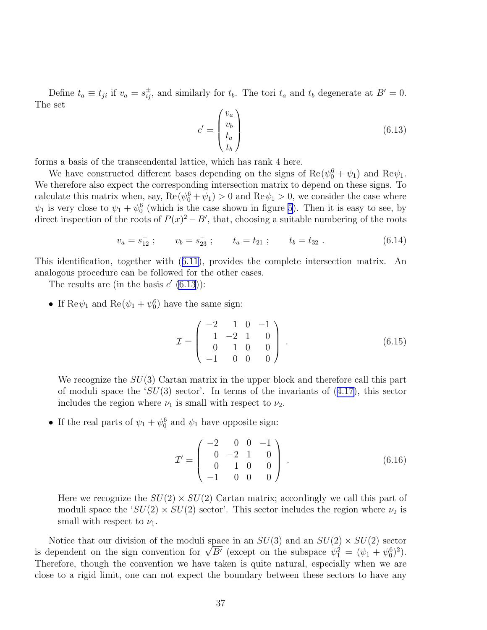<span id="page-38-0"></span>Define  $t_a \equiv t_{ji}$  if  $v_a = s_{ij}^{\pm}$ , and similarly for  $t_b$ . The tori  $t_a$  and  $t_b$  degenerate at  $B' = 0$ . The set

$$
c' = \begin{pmatrix} v_a \\ v_b \\ t_a \\ t_b \end{pmatrix}
$$
 (6.13)

forms a basis of the transcendental lattice, which has rank 4 here.

We have constructed different bases depending on the signs of  $\text{Re}(\psi_0^6 + \psi_1)$  and  $\text{Re}\psi_1$ . We therefore also expect the corresponding intersection matrix to depend on these signs. To calculate this matrix when, say,  $\text{Re}(\psi_0^6 + \psi_1) > 0$  and  $\text{Re}\psi_1 > 0$ , we consider the case where  $\psi_1$  is very close to  $\psi_1 + \psi_0^6$  (which is the case shown in figure [5](#page-36-0)). Then it is easy to see, by direct inspection of the roots of  $P(x)^2 - B'$ , that, choosing a suitable numbering of the roots

$$
v_a = s_{12}^- \; ; \qquad v_b = s_{23}^- \; ; \qquad t_a = t_{21} \; ; \qquad t_b = t_{32} \; . \tag{6.14}
$$

This identification, together with([6.11](#page-37-0)), provides the complete intersection matrix. An analogous procedure can be followed for the other cases.

The results are (in the basis  $c'(6.13)$ ):

• If  $\text{Re}\psi_1$  and  $\text{Re}(\psi_1 + \psi_0^6)$  have the same sign:

$$
\mathcal{I} = \begin{pmatrix} -2 & 1 & 0 & -1 \\ 1 & -2 & 1 & 0 \\ 0 & 1 & 0 & 0 \\ -1 & 0 & 0 & 0 \end{pmatrix} . \tag{6.15}
$$

We recognize the  $SU(3)$  Cartan matrix in the upper block and therefore call this part ofmoduli space the ' $SU(3)$  sector'. In terms of the invariants of  $(4.17)$  $(4.17)$ , this sector includes the region where  $\nu_1$  is small with respect to  $\nu_2$ .

• If the real parts of  $\psi_1 + \psi_0^6$  and  $\psi_1$  have opposite sign:

$$
\mathcal{I}' = \begin{pmatrix} -2 & 0 & 0 & -1 \\ 0 & -2 & 1 & 0 \\ 0 & 1 & 0 & 0 \\ -1 & 0 & 0 & 0 \end{pmatrix} . \tag{6.16}
$$

Here we recognize the  $SU(2) \times SU(2)$  Cartan matrix; accordingly we call this part of moduli space the ' $SU(2) \times SU(2)$  sector'. This sector includes the region where  $\nu_2$  is small with respect to  $\nu_1$ .

Notice that our division of the moduli space in an  $SU(3)$  and an  $SU(2) \times SU(2)$  sector is dependent on the sign convention for  $\sqrt{B'}$  (except on the subspace  $\psi_1^2 = (\psi_1 + \psi_0^6)^2$ ). Therefore, though the convention we have taken is quite natural, especially when we are close to a rigid limit, one can not expect the boundary between these sectors to have any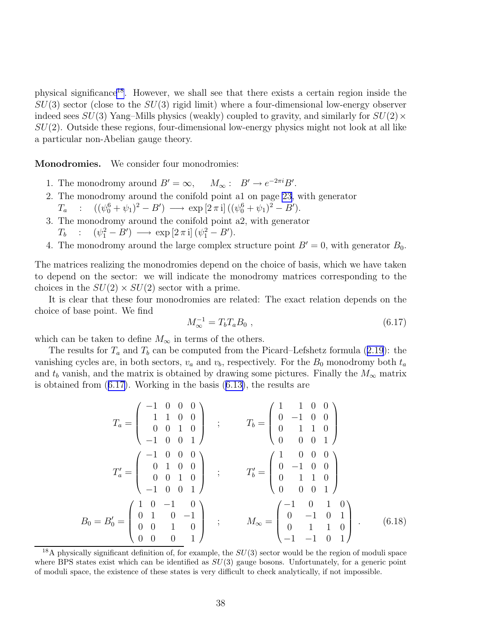<span id="page-39-0"></span>physical significance<sup>18</sup>. However, we shall see that there exists a certain region inside the  $SU(3)$  sector (close to the  $SU(3)$  rigid limit) where a four-dimensional low-energy observer indeed sees  $SU(3)$  Yang–Mills physics (weakly) coupled to gravity, and similarly for  $SU(2) \times$  $SU(2)$ . Outside these regions, four-dimensional low-energy physics might not look at all like a particular non-Abelian gauge theory.

Monodromies. We consider four monodromies:

- 1. The monodromy around  $B' = \infty$ ,  $M_{\infty}: B' \to e^{-2\pi i} B'$ .
- 2. The monodromy around the conifold point a1 on page [23](#page-24-0), with generator  $T_a$  :  $((\psi_0^6 + \psi_1)^2 - B') \longrightarrow \exp[2 \pi i] ((\psi_0^6 + \psi_1)^2 - B').$
- 3. The monodromy around the conifold point a2, with generator
	- $T_b$  :  $(\psi_1^2 B') \longrightarrow \exp\left[2\,\pi\,\mathrm{i}\right] (\psi_1^2 B').$
- 4. The monodromy around the large complex structure point  $B' = 0$ , with generator  $B_0$ .

The matrices realizing the monodromies depend on the choice of basis, which we have taken to depend on the sector: we will indicate the monodromy matrices corresponding to the choices in the  $SU(2) \times SU(2)$  sector with a prime.

It is clear that these four monodromies are related: The exact relation depends on the choice of base point. We find

$$
M_{\infty}^{-1} = T_b T_a B_0 , \qquad (6.17)
$$

which can be taken to define  $M_{\infty}$  in terms of the others.

Theresults for  $T_a$  and  $T_b$  can be computed from the Picard–Lefshetz formula ([2.19](#page-9-0)): the vanishing cycles are, in both sectors,  $v_a$  and  $v_b$ , respectively. For the  $B_0$  monodromy both  $t_a$ and  $t<sub>b</sub>$  vanish, and the matrix is obtained by drawing some pictures. Finally the  $M_{\infty}$  matrix is obtained from (6.17). Working in the basis([6.13\)](#page-38-0), the results are

$$
T_a = \begin{pmatrix} -1 & 0 & 0 & 0 \\ 1 & 1 & 0 & 0 \\ 0 & 0 & 1 & 0 \\ -1 & 0 & 0 & 1 \end{pmatrix} ; T_b = \begin{pmatrix} 1 & 1 & 0 & 0 \\ 0 & -1 & 0 & 0 \\ 0 & 1 & 1 & 0 \\ 0 & 0 & 0 & 1 \end{pmatrix}
$$

$$
T'_a = \begin{pmatrix} -1 & 0 & 0 & 0 \\ 0 & 1 & 0 & 0 \\ 0 & 0 & 1 & 0 \\ -1 & 0 & 0 & 1 \end{pmatrix} ; T'_b = \begin{pmatrix} 1 & 0 & 0 & 0 \\ 0 & -1 & 0 & 0 \\ 0 & 1 & 1 & 0 \\ 0 & 0 & 0 & 1 \end{pmatrix}
$$

$$
B_0 = B'_0 = \begin{pmatrix} 1 & 0 & -1 & 0 \\ 0 & 1 & 0 & -1 \\ 0 & 0 & 1 & 0 \\ 0 & 0 & 0 & 1 \end{pmatrix} ; M_\infty = \begin{pmatrix} -1 & 0 & 1 & 0 \\ 0 & -1 & 0 & 1 \\ 0 & 1 & 1 & 0 \\ -1 & -1 & 0 & 1 \end{pmatrix} . \tag{6.18}
$$

<sup>&</sup>lt;sup>18</sup>A physically significant definition of, for example, the  $SU(3)$  sector would be the region of moduli space where BPS states exist which can be identified as  $SU(3)$  gauge bosons. Unfortunately, for a generic point of moduli space, the existence of these states is very difficult to check analytically, if not impossible.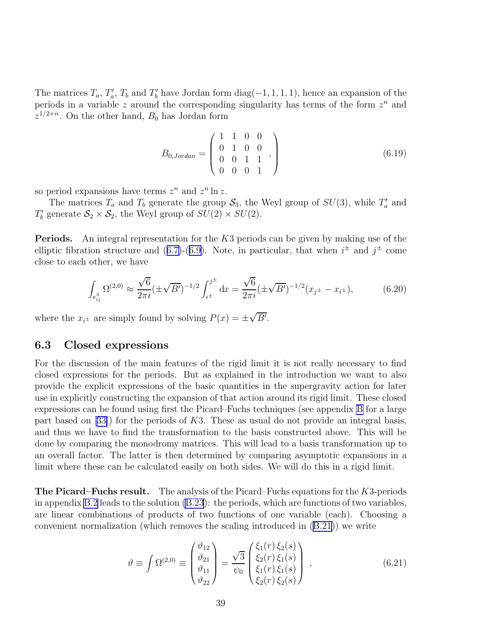<span id="page-40-0"></span>The matrices  $T_a$ ,  $T'_a$ ,  $T_b$  and  $T'_b$  have Jordan form  $diag(-1, 1, 1, 1)$ , hence an expansion of the periods in a variable  $z$  around the corresponding singularity has terms of the form  $z<sup>n</sup>$  and  $z^{1/2+n}$ . On the other hand,  $B_0$  has Jordan form

$$
B_{0,Jordan} = \begin{pmatrix} 1 & 1 & 0 & 0 \\ 0 & 1 & 0 & 0 \\ 0 & 0 & 1 & 1 \\ 0 & 0 & 0 & 1 \end{pmatrix}
$$
 (6.19)

so period expansions have terms  $z^n$  and  $z^n \ln z$ .

The matrices  $T_a$  and  $T_b$  generate the group  $S_3$ , the Weyl group of  $SU(3)$ , while  $T'_a$  and  $T'_{b}$  generate  $S_2 \times S_2$ , the Weyl group of  $SU(2) \times SU(2)$ .

**Periods.** An integral representation for the  $K3$  periods can be given by making use of the ellipticfibration structure and  $(6.7)-(6.9)$  $(6.7)-(6.9)$  $(6.7)-(6.9)$  $(6.7)-(6.9)$ . Note, in particular, that when  $i^{\pm}$  and  $j^{\pm}$  come close to each other, we have

$$
\int_{s_{ij}^{\pm}} \Omega^{(2,0)} \approx \frac{\sqrt{6}}{2\pi i} (\pm \sqrt{B'})^{-1/2} \int_{i^{\pm}}^{j^{\pm}} dx = \frac{\sqrt{6}}{2\pi i} (\pm \sqrt{B'})^{-1/2} (x_{j^{\pm}} - x_{i^{\pm}}),
$$
(6.20)

where the  $x_{i^{\pm}}$  are simply found by solving  $P(x) = \pm \sqrt{B'}$ .

## 6.3 Closed expressions

For the discussion of the main features of the rigid limit it is not really necessary to find closed expressions for the periods. But as explained in the introduction we want to also provide the explicit expressions of the basic quantities in the supergravity action for later use in explicitly constructing the expansion of that action around its rigid limit. These closed expressions can be found using first the Picard–Fuchs techniques (see appendix [B](#page-68-0) for a large partbased on  $(33)$  for the periods of K3. These as usual do not provide an integral basis, and thus we have to find the transformation to the basis constructed above. This will be done by comparing the monodromy matrices. This will lead to a basis transformation up to an overall factor. The latter is then determined by comparing asymptotic expansions in a limit where these can be calculated easily on both sides. We will do this in a rigid limit.

The Picard–Fuchs result. The analysis of the Picard–Fuchs equations for the K3-periods in appendix [B.2](#page-70-0) leads to the solution [\(B.23](#page-72-0)): the periods, which are functions of two variables, are linear combinations of products of two functions of one variable (each). Choosing a convenient normalization (which removes the scaling introduced in([B.21](#page-71-0))) we write

$$
\vartheta \equiv \int \Omega^{(2,0)} \equiv \begin{pmatrix} \vartheta_{12} \\ \vartheta_{21} \\ \vartheta_{11} \\ \vartheta_{22} \end{pmatrix} = \frac{\sqrt{3}}{\psi_0} \begin{pmatrix} \xi_1(r) \xi_2(s) \\ \xi_2(r) \xi_1(s) \\ \xi_1(r) \xi_1(s) \\ \xi_2(r) \xi_2(s) \end{pmatrix} , \qquad (6.21)
$$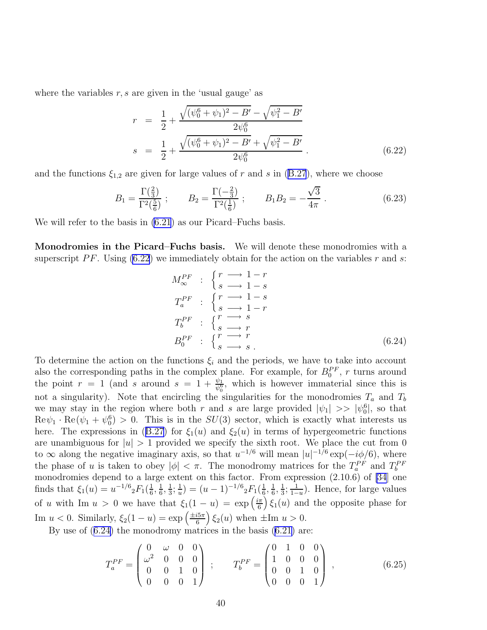<span id="page-41-0"></span>where the variables  $r, s$  are given in the 'usual gauge' as

$$
r = \frac{1}{2} + \frac{\sqrt{(\psi_0^6 + \psi_1)^2 - B'} - \sqrt{\psi_1^2 - B'}}{2\psi_0^6}
$$
  

$$
s = \frac{1}{2} + \frac{\sqrt{(\psi_0^6 + \psi_1)^2 - B'} + \sqrt{\psi_1^2 - B'}}{2\psi_0^6}.
$$
 (6.22)

and the functions  $\xi_{1,2}$  are given for large values of r and s in [\(B.27](#page-72-0)), where we choose

$$
B_1 = \frac{\Gamma(\frac{2}{3})}{\Gamma^2(\frac{5}{6})} ; \qquad B_2 = \frac{\Gamma(-\frac{2}{3})}{\Gamma^2(\frac{1}{6})} ; \qquad B_1 B_2 = -\frac{\sqrt{3}}{4\pi} . \tag{6.23}
$$

We will refer to the basis in  $(6.21)$  as our Picard–Fuchs basis.

Monodromies in the Picard–Fuchs basis. We will denote these monodromies with a superscript PF. Using  $(6.22)$  we immediately obtain for the action on the variables r and s:

$$
M_{\infty}^{PF} : \begin{cases} r \longrightarrow 1-r \\ s \longrightarrow 1-s \\ T_a^{PF} : \begin{cases} r \longrightarrow 1-s \\ s \longrightarrow 1-r \end{cases} \\ T_b^{PF} : \begin{cases} r \longrightarrow s \\ s \longrightarrow r \\ s \longrightarrow r \end{cases} \\ B_0^{PF} : \begin{cases} r \longrightarrow r \\ s \longrightarrow s \end{cases} \end{cases} \tag{6.24}
$$

To determine the action on the functions  $\xi_i$  and the periods, we have to take into account also the corresponding paths in the complex plane. For example, for  $B_0^{PF}$ , r turns around the point  $r = 1$  (and s around  $s = 1 + \frac{\psi_1}{\psi_0^6}$ , which is however immaterial since this is not a singularity). Note that encircling the singularities for the monodromies  $T_a$  and  $T_b$ we may stay in the region where both r and s are large provided  $|\psi_1| \gg |\psi_0^6|$ , so that  $\text{Re}\psi_1 \cdot \text{Re}(\psi_1 + \psi_0^6) > 0$ . This is in the  $SU(3)$  sector, which is exactly what interests us here.The expressions in ([B.27](#page-72-0)) for  $\xi_1(u)$  and  $\xi_2(u)$  in terms of hypergeometric functions are unambiguous for  $|u| > 1$  provided we specify the sixth root. We place the cut from 0 to  $\infty$  along the negative imaginary axis, so that  $u^{-1/6}$  will mean  $|u|^{-1/6} \exp(-i\phi/6)$ , where the phase of u is taken to obey  $|\phi| < \pi$ . The monodromy matrices for the  $T_a^{PF}$  and  $T_b^{PF}$ monodromies depend to a large extent on this factor. From expression (2.10.6) of [\[34](#page-80-0)] one finds that  $\xi_1(u) = u^{-1/6} {}_2F_1(\frac{1}{6})$  $\frac{1}{6}, \frac{1}{6}$  $\frac{1}{6}, \frac{1}{3}$  $\frac{1}{3}$ ;  $\frac{1}{u}$  $\frac{1}{u}$ ) =  $(u-1)^{-1/6} {}_{2}F_{1}(\frac{1}{6})$  $\frac{1}{6}, \frac{1}{6}$  $\frac{1}{6}, \frac{1}{3}$  $\frac{1}{3}$ ;  $\frac{1}{1-}$  $\frac{1}{1-u}$ ). Hence, for large values of u with Im  $u > 0$  we have that  $\xi_1(1-u) = \exp\left(\frac{i\pi}{6}\right)$  $\left(\frac{\pi}{6}\right)\xi_1(u)$  and the opposite phase for Im  $u < 0$ . Similarly,  $\xi_2(1-u) = \exp\left(\frac{\pm i5\pi}{6}\right) \xi_2(u)$  when  $\pm \text{Im } u > 0$ .

By use of (6.24) the monodromy matrices in the basis([6.21\)](#page-40-0) are:

$$
T_a^{PF} = \begin{pmatrix} 0 & \omega & 0 & 0 \\ \omega^2 & 0 & 0 & 0 \\ 0 & 0 & 1 & 0 \\ 0 & 0 & 0 & 1 \end{pmatrix} ; \qquad T_b^{PF} = \begin{pmatrix} 0 & 1 & 0 & 0 \\ 1 & 0 & 0 & 0 \\ 0 & 0 & 1 & 0 \\ 0 & 0 & 0 & 1 \end{pmatrix} , \tag{6.25}
$$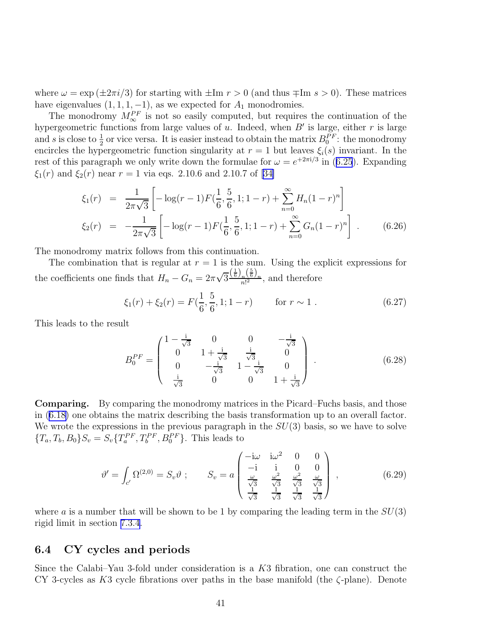<span id="page-42-0"></span>where  $\omega = \exp(\pm 2\pi i/3)$  for starting with  $\pm \text{Im } r > 0$  (and thus  $\mp \text{Im } s > 0$ ). These matrices have eigenvalues  $(1, 1, 1, -1)$ , as we expected for  $A_1$  monodromies.

The monodromy  $M_{\infty}^{PF}$  is not so easily computed, but requires the continuation of the hypergeometric functions from large values of u. Indeed, when  $B'$  is large, either r is large and s is close to  $\frac{1}{2}$  or vice versa. It is easier instead to obtain the matrix  $B_0^{PF}$ : the monodromy encircles the hypergeometric function singularity at  $r = 1$  but leaves  $\xi_i(s)$  invariant. In the restof this paragraph we only write down the formulae for  $\omega = e^{+2\pi i/3}$  in ([6.25](#page-41-0)). Expanding  $\xi_1(r)$  and  $\xi_2(r)$  near  $r = 1$  via eqs. 2.10.6 and 2.10.7 of [\[34\]](#page-80-0)

$$
\xi_1(r) = \frac{1}{2\pi\sqrt{3}} \left[ -\log(r-1) F(\frac{1}{6}, \frac{5}{6}, 1; 1-r) + \sum_{n=0}^{\infty} H_n (1-r)^n \right]
$$
  

$$
\xi_2(r) = -\frac{1}{2\pi\sqrt{3}} \left[ -\log(r-1) F(\frac{1}{6}, \frac{5}{6}, 1; 1-r) + \sum_{n=0}^{\infty} G_n (1-r)^n \right].
$$
 (6.26)

The monodromy matrix follows from this continuation.

The combination that is regular at  $r = 1$  is the sum. Using the explicit expressions for the coefficients one finds that  $H_n - G_n = 2\pi \sqrt{3} \frac{\left(\frac{1}{6}\right)_n \left(\frac{5}{6}\right)_n}{n!^2}$ , and therefore

$$
\xi_1(r) + \xi_2(r) = F(\frac{1}{6}, \frac{5}{6}, 1; 1 - r) \qquad \text{for } r \sim 1.
$$
 (6.27)

This leads to the result

$$
B_0^{PF} = \begin{pmatrix} 1 - \frac{i}{\sqrt{3}} & 0 & 0 & -\frac{i}{\sqrt{3}} \\ 0 & 1 + \frac{i}{\sqrt{3}} & \frac{i}{\sqrt{3}} & 0 \\ 0 & -\frac{i}{\sqrt{3}} & 1 - \frac{i}{\sqrt{3}} & 0 \\ \frac{i}{\sqrt{3}} & 0 & 0 & 1 + \frac{i}{\sqrt{3}} \end{pmatrix} .
$$
 (6.28)

Comparing. By comparing the monodromy matrices in the Picard–Fuchs basis, and those in([6.18\)](#page-39-0) one obtains the matrix describing the basis transformation up to an overall factor. We wrote the expressions in the previous paragraph in the  $SU(3)$  basis, so we have to solve  ${T_a, T_b, B_0} S_v = S_v {T_a^{PF}, T_b^{PF}, B_0^{PF}}.$  This leads to

$$
\vartheta' = \int_{c'} \Omega^{(2,0)} = S_v \vartheta \; ; \qquad S_v = a \begin{pmatrix} -i\omega & i\omega^2 & 0 & 0 \\ -i & i & 0 & 0 \\ \frac{\omega}{\sqrt{3}} & \frac{\omega^2}{\sqrt{3}} & \frac{\omega^2}{\sqrt{3}} & \frac{\omega}{\sqrt{3}} \\ \frac{1}{\sqrt{3}} & \frac{1}{\sqrt{3}} & \frac{1}{\sqrt{3}} & \frac{1}{\sqrt{3}} \end{pmatrix} , \tag{6.29}
$$

where a is a number that will be shown to be 1 by comparing the leading term in the  $SU(3)$ rigid limit in section [7.3.4.](#page-56-0)

## 6.4 CY cycles and periods

Since the Calabi–Yau 3-fold under consideration is a K3 fibration, one can construct the CY 3-cycles as K3 cycle fibrations over paths in the base manifold (the  $\zeta$ -plane). Denote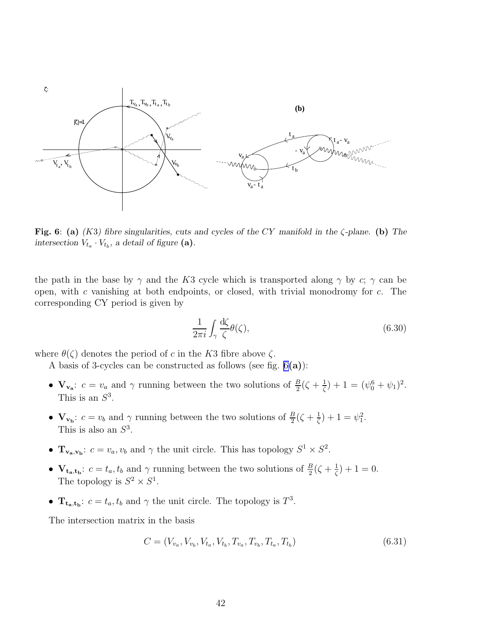<span id="page-43-0"></span>

Fig. 6: (a) *(*K3*) fibre singularities, cuts and cycles of the* CY *manifold in the* ζ*-plane.* (b) *The* intersection  $V_{t_a} \cdot V_{t_b}$ , a detail of figure (a).

the path in the base by  $\gamma$  and the K3 cycle which is transported along  $\gamma$  by c;  $\gamma$  can be open, with c vanishing at both endpoints, or closed, with trivial monodromy for  $c$ . The corresponding CY period is given by

$$
\frac{1}{2\pi i} \int_{\gamma} \frac{d\zeta}{\zeta} \theta(\zeta),\tag{6.30}
$$

where  $\theta(\zeta)$  denotes the period of c in the K3 fibre above  $\zeta$ .

A basis of 3-cycles can be constructed as follows (see fig.  $6(a)$ ):

- $\mathbf{V}_{\mathbf{v}_a}$ :  $c = v_a$  and  $\gamma$  running between the two solutions of  $\frac{B}{2}(\zeta + \frac{1}{\zeta})$  $(\frac{1}{\zeta}) + 1 = (\psi_0^6 + \psi_1)^2.$ This is an  $S^3$ .
- $\mathbf{V}_{\mathbf{v}_{\mathbf{b}}}: c = v_b$  and  $\gamma$  running between the two solutions of  $\frac{B}{2}(\zeta + \frac{1}{\zeta})$  $(\frac{1}{\zeta})+1=\psi_1^2.$ This is also an  $S^3$ .
- $\mathbf{T}_{\mathbf{v}_a,\mathbf{v}_b}$ :  $c = v_a, v_b$  and  $\gamma$  the unit circle. This has topology  $S^1 \times S^2$ .
- $V_{t_a,t_b}: c = t_a, t_b$  and  $\gamma$  running between the two solutions of  $\frac{B}{2}(\zeta + \frac{1}{\zeta})$  $(\frac{1}{\zeta}) + 1 = 0.$ The topology is  $S^2 \times S^1$ .
- $\mathbf{T_{t_a,t_b}}$ :  $c = t_a, t_b$  and  $\gamma$  the unit circle. The topology is  $T^3$ .

The intersection matrix in the basis

$$
C = (V_{v_a}, V_{v_b}, V_{t_a}, V_{t_b}, T_{v_a}, T_{v_b}, T_{t_a}, T_{t_b})
$$
\n(6.31)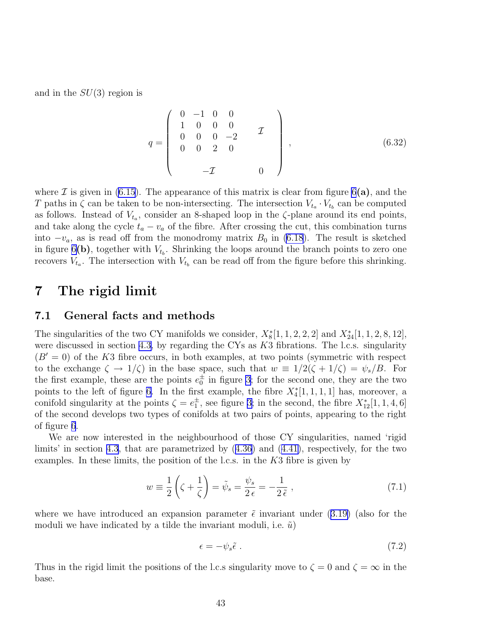<span id="page-44-0"></span>and in the  $SU(3)$  region is

$$
q = \left(\begin{array}{cccc} 0 & -1 & 0 & 0 \\ 1 & 0 & 0 & 0 \\ 0 & 0 & 0 & -2 \\ 0 & 0 & 2 & 0 \\ & & -\mathcal{I} & 0 \end{array}\right), \tag{6.32}
$$

where  $\mathcal I$  is given in [\(6.15](#page-38-0)). The appearance of this matrix is clear from figure [6](#page-43-0)(a), and the T paths in  $\zeta$  can be taken to be non-intersecting. The intersection  $V_{t_a} \cdot V_{t_b}$  can be computed as follows. Instead of  $V_{t_a}$ , consider an 8-shaped loop in the  $\zeta$ -plane around its end points, and take along the cycle  $t_a - v_a$  of the fibre. After crossing the cut, this combination turns into  $-v_a$ , as is read off from the monodromy matrix  $B_0$  in [\(6.18](#page-39-0)). The result is sketched in figure [6](#page-43-0)(b), together with  $V_{t_b}$ . Shrinking the loops around the branch points to zero one recovers  $V_{t_a}$ . The intersection with  $V_{t_b}$  can be read off from the figure before this shrinking.

# 7 The rigid limit

## 7.1 General facts and methods

The singularities of the two CY manifolds we consider,  $X_8^*[1, 1, 2, 2, 2]$  and  $X_{24}^*[1, 1, 2, 8, 12]$ , were discussed in section [4.3,](#page-20-0) by regarding the CYs as K3 fibrations. The l.c.s. singularity  $(B' = 0)$  of the K3 fibre occurs, in both examples, at two points (symmetric with respect to the exchange  $\zeta \to 1/\zeta$  in the base space, such that  $w \equiv 1/2(\zeta + 1/\zeta) = \psi_s/B$ . For the first example, these are the points  $e_0^{\pm}$  in figure [3](#page-32-0); for the second one, they are the two points to the left of figure [6.](#page-43-0) In the first example, the fibre  $X_4^*[1,1,1,1]$  has, moreover, a conifold singularity at the points  $\zeta = e_1^{\pm}$ , see figure [3;](#page-32-0) in the second, the fibre  $X_{12}^*[1, 1, 4, 6]$ of the second develops two types of conifolds at two pairs of points, appearing to the right of figure [6](#page-43-0).

We are now interested in the neighbourhood of those CY singularities, named 'rigid limits' in section [4.3](#page-20-0), that are parametrized by([4.36\)](#page-22-0) and([4.41\)](#page-25-0), respectively, for the two examples. In these limits, the position of the l.c.s. in the  $K3$  fibre is given by

$$
w \equiv \frac{1}{2} \left( \zeta + \frac{1}{\zeta} \right) = \tilde{\psi}_s = \frac{\psi_s}{2 \epsilon} = -\frac{1}{2 \tilde{\epsilon}}, \qquad (7.1)
$$

wherewe have introduced an expansion parameter  $\tilde{\epsilon}$  invariant under ([3.19\)](#page-13-0) (also for the moduli we have indicated by a tilde the invariant moduli, i.e.  $\tilde{u}$ )

$$
\epsilon = -\psi_s \tilde{\epsilon} \tag{7.2}
$$

Thus in the rigid limit the positions of the l.c.s singularity move to  $\zeta = 0$  and  $\zeta = \infty$  in the base.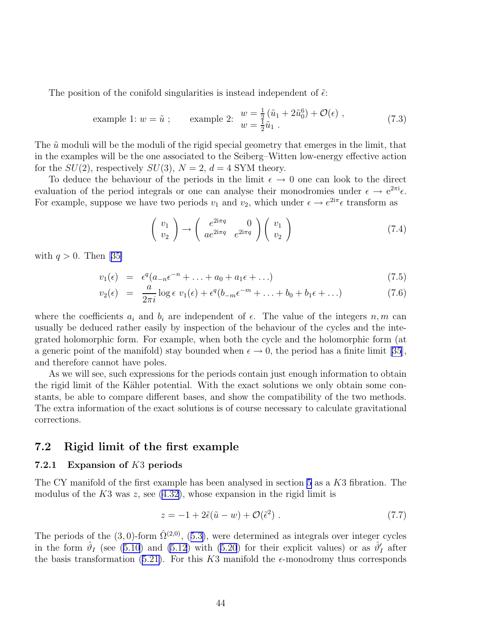<span id="page-45-0"></span>The position of the conifold singularities is instead independent of  $\tilde{\epsilon}$ :

example 1: 
$$
w = \tilde{u}
$$
; example 2:  $\begin{array}{l} w = \frac{1}{2}(\tilde{u}_1 + 2\tilde{u}_0^6) + \mathcal{O}(\epsilon) \end{array}$ , (7.3)

The  $\tilde{u}$  moduli will be the moduli of the rigid special geometry that emerges in the limit, that in the examples will be the one associated to the Seiberg–Witten low-energy effective action for the  $SU(2)$ , respectively  $SU(3)$ ,  $N = 2$ ,  $d = 4$  SYM theory.

To deduce the behaviour of the periods in the limit  $\epsilon \to 0$  one can look to the direct evaluation of the period integrals or one can analyse their monodromies under  $\epsilon \to e^{2\pi i} \epsilon$ . For example, suppose we have two periods  $v_1$  and  $v_2$ , which under  $\epsilon \to e^{2i\pi} \epsilon$  transform as

$$
\left(\begin{array}{c}v_1\\v_2\end{array}\right)\rightarrow\left(\begin{array}{cc}e^{2i\pi q}&0\\ae^{2i\pi q}&e^{2i\pi q}\end{array}\right)\left(\begin{array}{c}v_1\\v_2\end{array}\right)
$$
(7.4)

with $q > 0$ . Then [[35\]](#page-80-0)

$$
v_1(\epsilon) = \epsilon^q (a_{-n} \epsilon^{-n} + \ldots + a_0 + a_1 \epsilon + \ldots) \tag{7.5}
$$

$$
v_2(\epsilon) = \frac{a}{2\pi i} \log \epsilon \ v_1(\epsilon) + \epsilon^q (b_{-m}\epsilon^{-m} + \ldots + b_0 + b_1\epsilon + \ldots) \tag{7.6}
$$

where the coefficients  $a_i$  and  $b_i$  are independent of  $\epsilon$ . The value of the integers  $n, m$  can usually be deduced rather easily by inspection of the behaviour of the cycles and the integrated holomorphic form. For example, when both the cycle and the holomorphic form (at a generic point of the manifold) stay bounded when  $\epsilon \to 0$ , the period has a finite limit [\[35\]](#page-80-0), and therefore cannot have poles.

As we will see, such expressions for the periods contain just enough information to obtain the rigid limit of the Kähler potential. With the exact solutions we only obtain some constants, be able to compare different bases, and show the compatibility of the two methods. The extra information of the exact solutions is of course necessary to calculate gravitational corrections.

## 7.2 Rigid limit of the first example

#### 7.2.1 Expansion of K3 periods

The CY manifold of the first example has been analysed in section [5](#page-25-0) as a K3 fibration. The modulusof the  $K3$  was z, see  $(4.32)$  $(4.32)$ , whose expansion in the rigid limit is

$$
z = -1 + 2\tilde{\epsilon}(\tilde{u} - w) + \mathcal{O}(\tilde{\epsilon}^2) \tag{7.7}
$$

Theperiods of the (3,0)-form  $\hat{\Omega}^{(2,0)}$ , ([5.3\)](#page-27-0), were determined as integrals over integer cycles in the form  $\hat{\vartheta}_I$  (see [\(5.10](#page-28-0)) and [\(5.12](#page-28-0)) with [\(5.20](#page-30-0)) for their explicit values) or as  $\hat{\vartheta}'_I$  after thebasis transformation ([5.21\)](#page-30-0). For this K3 manifold the  $\epsilon$ -monodromy thus corresponds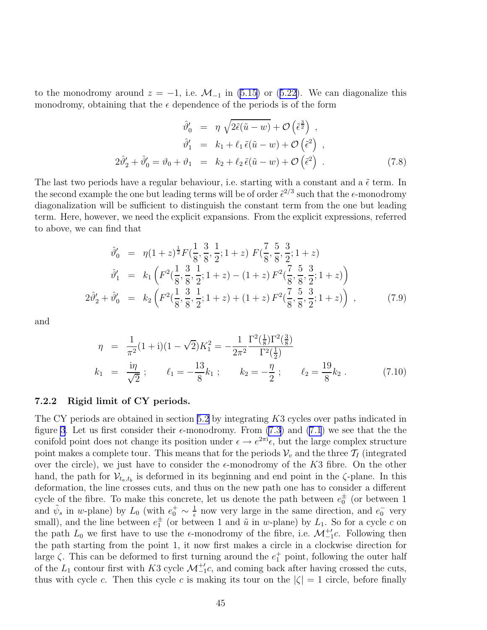<span id="page-46-0"></span>tothe monodromy around  $z = -1$ , i.e.  $\mathcal{M}_{-1}$  in [\(5.15](#page-29-0)) or ([5.22\)](#page-31-0). We can diagonalize this monodromy, obtaining that the  $\epsilon$  dependence of the periods is of the form

$$
\hat{\vartheta}'_0 = \eta \sqrt{2\tilde{\epsilon}(\tilde{u} - w)} + \mathcal{O}\left(\tilde{\epsilon}^{\frac{3}{2}}\right) ,
$$
  
\n
$$
\hat{\vartheta}'_1 = k_1 + \ell_1 \tilde{\epsilon}(\tilde{u} - w) + \mathcal{O}\left(\tilde{\epsilon}^2\right) ,
$$
  
\n
$$
2\hat{\vartheta}'_2 + \hat{\vartheta}'_0 = \vartheta_0 + \vartheta_1 = k_2 + \ell_2 \tilde{\epsilon}(\tilde{u} - w) + \mathcal{O}\left(\tilde{\epsilon}^2\right) .
$$
\n(7.8)

The last two periods have a regular behaviour, i.e. starting with a constant and a  $\tilde{\epsilon}$  term. In the second example the one but leading terms will be of order  $\tilde{\epsilon}^{2/3}$  such that the  $\epsilon$ -monodromy diagonalization will be sufficient to distinguish the constant term from the one but leading term. Here, however, we need the explicit expansions. From the explicit expressions, referred to above, we can find that

$$
\hat{\vartheta}'_0 = \eta (1+z)^{\frac{1}{2}} F(\frac{1}{8}, \frac{3}{8}, \frac{1}{2}; 1+z) F(\frac{7}{8}, \frac{5}{8}, \frac{3}{2}; 1+z) \n\hat{\vartheta}'_1 = k_1 \left( F^2(\frac{1}{8}, \frac{3}{8}, \frac{1}{2}; 1+z) - (1+z) F^2(\frac{7}{8}, \frac{5}{8}, \frac{3}{2}; 1+z) \right) \n2\hat{\vartheta}'_2 + \hat{\vartheta}'_0 = k_2 \left( F^2(\frac{1}{8}, \frac{3}{8}, \frac{1}{2}; 1+z) + (1+z) F^2(\frac{7}{8}, \frac{5}{8}, \frac{3}{2}; 1+z) \right) ,
$$
\n(7.9)

and

$$
\eta = \frac{1}{\pi^2} (1 + i)(1 - \sqrt{2}) K_1^2 = -\frac{1}{2\pi^2} \frac{\Gamma^2(\frac{1}{8}) \Gamma^2(\frac{3}{8})}{\Gamma^2(\frac{1}{2})}
$$
  
\n
$$
k_1 = \frac{i\eta}{\sqrt{2}}; \qquad \ell_1 = -\frac{13}{8} k_1; \qquad k_2 = -\frac{\eta}{2}; \qquad \ell_2 = \frac{19}{8} k_2.
$$
 (7.10)

#### 7.2.2 Rigid limit of CY periods.

The CY periods are obtained in section [5.2](#page-31-0) by integrating K3 cycles over paths indicated in figure [3](#page-32-0). Let us first consider their  $\epsilon$ -monodromy. From [\(7.3](#page-45-0)) and [\(7.1](#page-44-0)) we see that the the conifold point does not change its position under  $\epsilon \to e^{2\pi i} \epsilon$ , but the large complex structure point makes a complete tour. This means that for the periods  $\mathcal{V}_v$  and the three  $\mathcal{T}_I$  (integrated over the circle), we just have to consider the  $\epsilon$ -monodromy of the K3 fibre. On the other hand, the path for  $\mathcal{V}_{t_a,t_b}$  is deformed in its beginning and end point in the  $\zeta$ -plane. In this deformation, the line crosses cuts, and thus on the new path one has to consider a different cycle of the fibre. To make this concrete, let us denote the path between  $e_0^{\pm}$  (or between 1 and  $\tilde{\psi}_s$  in w-plane) by  $L_0$  (with  $e_0^+ \sim \frac{1}{\epsilon}$  $\frac{1}{\epsilon}$  now very large in the same direction, and  $e_0^-$  very small), and the line between  $e_1^{\pm}$  (or between 1 and  $\tilde{u}$  in w-plane) by  $L_1$ . So for a cycle c on the path  $L_0$  we first have to use the  $\epsilon$ -monodromy of the fibre, i.e.  $\mathcal{M}_{-1}^{+}\mathcal{L}$ . Following then the path starting from the point 1, it now first makes a circle in a clockwise direction for large  $\zeta$ . This can be deformed to first turning around the  $e_1^+$  point, following the outer half of the  $L_1$  contour first with K3 cycle  $\mathcal{M}_{-1}^{+}c$ , and coming back after having crossed the cuts, thus with cycle c. Then this cycle c is making its tour on the  $|\zeta| = 1$  circle, before finally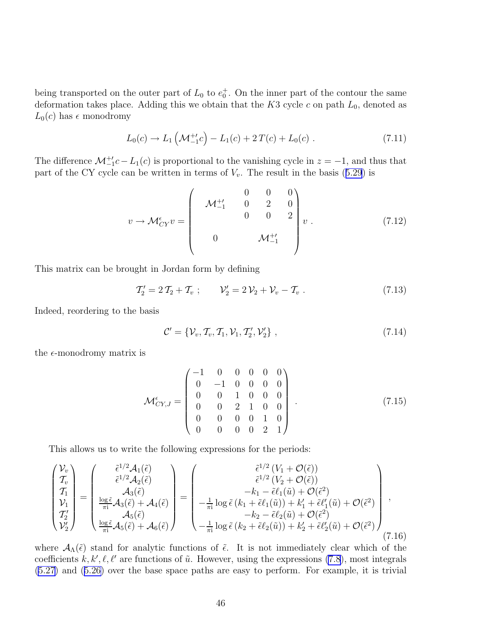<span id="page-47-0"></span>being transported on the outer part of  $L_0$  to  $e_0^+$ . On the inner part of the contour the same deformation takes place. Adding this we obtain that the  $K3$  cycle c on path  $L_0$ , denoted as  $L_0(c)$  has  $\epsilon$  monodromy

$$
L_0(c) \to L_1\left(\mathcal{M}_{-1}^{+'}c\right) - L_1(c) + 2T(c) + L_0(c) \tag{7.11}
$$

The difference  $\mathcal{M}_{-1}^{+}c - L_1(c)$  is proportional to the vanishing cycle in  $z = -1$ , and thus that partof the CY cycle can be written in terms of  $V_v$ . The result in the basis ([5.29](#page-32-0)) is

$$
v \to \mathcal{M}_{CY}^{\epsilon} v = \begin{pmatrix} 0 & 0 & 0 \\ \mathcal{M}_{-1}^{+'} & 0 & 2 & 0 \\ 0 & 0 & 2 \\ 0 & \mathcal{M}_{-1}^{+'} \end{pmatrix} v . \tag{7.12}
$$

This matrix can be brought in Jordan form by defining

$$
\mathcal{T}'_2 = 2\,\mathcal{T}_2 + \mathcal{T}_v \; ; \qquad \mathcal{V}'_2 = 2\,\mathcal{V}_2 + \mathcal{V}_v - \mathcal{T}_v \; . \tag{7.13}
$$

Indeed, reordering to the basis

$$
\mathcal{C}' = \{ \mathcal{V}_v, \mathcal{T}_v, \mathcal{T}_1, \mathcal{V}_1, \mathcal{T}'_2, \mathcal{V}'_2 \}, \qquad (7.14)
$$

the  $\epsilon$ -monodromy matrix is

$$
\mathcal{M}_{CY,J}^{\epsilon} = \begin{pmatrix}\n-1 & 0 & 0 & 0 & 0 & 0 \\
0 & -1 & 0 & 0 & 0 & 0 \\
0 & 0 & 1 & 0 & 0 & 0 \\
0 & 0 & 2 & 1 & 0 & 0 \\
0 & 0 & 0 & 0 & 1 & 0 \\
0 & 0 & 0 & 0 & 2 & 1\n\end{pmatrix} . \tag{7.15}
$$

This allows us to write the following expressions for the periods:

$$
\begin{pmatrix}\nV_v \\
T_v \\
T_1 \\
V_1 \\
T'_2 \\
V'_2\n\end{pmatrix} = \begin{pmatrix}\n\tilde{\epsilon}^{1/2} \mathcal{A}_1(\tilde{\epsilon}) \\
\tilde{\epsilon}^{1/2} \mathcal{A}_2(\tilde{\epsilon}) \\
\mathcal{A}_3(\tilde{\epsilon}) \\
\frac{\log \tilde{\epsilon}}{\pi i} \mathcal{A}_3(\tilde{\epsilon}) + \mathcal{A}_4(\tilde{\epsilon}) \\
\frac{\log \tilde{\epsilon}}{\pi i} \mathcal{A}_5(\tilde{\epsilon}) + \mathcal{A}_6(\tilde{\epsilon})\n\end{pmatrix} = \begin{pmatrix}\n\tilde{\epsilon}^{1/2} (V_1 + \mathcal{O}(\tilde{\epsilon})) \\
\tilde{\epsilon}^{1/2} (V_2 + \mathcal{O}(\tilde{\epsilon})) \\
-k_1 - \tilde{\epsilon} \ell_1(\tilde{u}) + \mathcal{O}(\tilde{\epsilon}^2) \\
-k_1 - \tilde{\epsilon} \ell_1(\tilde{u}) + \mathcal{O}(\tilde{\epsilon}^2) \\
-k_2 - \tilde{\epsilon} \ell_2(\tilde{u}) + \mathcal{O}(\tilde{\epsilon}^2) \\
-k_2 - \tilde{\epsilon} \ell_2(\tilde{u}) + \mathcal{O}(\tilde{\epsilon}^2)\n\end{pmatrix},
$$
\n(7.16)

where  $\mathcal{A}_{\Lambda}(\tilde{\epsilon})$  stand for analytic functions of  $\tilde{\epsilon}$ . It is not immediately clear which of the coefficients  $k, k', \ell, \ell'$  are functions of  $\tilde{u}$ . However, using the expressions [\(7.8](#page-46-0)), most integrals [\(5.27](#page-32-0)) and([5.26\)](#page-31-0) over the base space paths are easy to perform. For example, it is trivial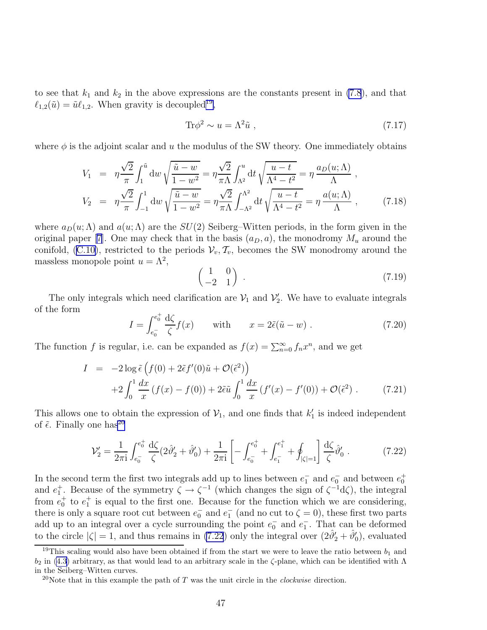to see that  $k_1$  and  $k_2$  in the above expressions are the constants present in [\(7.8](#page-46-0)), and that  $\ell_{1,2}(\tilde{u}) = \tilde{u}\ell_{1,2}$ . When gravity is decoupled<sup>19</sup>,

$$
\text{Tr}\phi^2 \sim u = \Lambda^2 \tilde{u} \;, \tag{7.17}
$$

where  $\phi$  is the adjoint scalar and u the modulus of the SW theory. One immediately obtains

$$
V_1 = \eta \frac{\sqrt{2}}{\pi} \int_1^{\tilde{u}} dw \sqrt{\frac{\tilde{u} - w}{1 - w^2}} = \eta \frac{\sqrt{2}}{\pi \Lambda} \int_{\Lambda^2}^u dt \sqrt{\frac{u - t}{\Lambda^4 - t^2}} = \eta \frac{a_D(u; \Lambda)}{\Lambda},
$$
  

$$
V_2 = \eta \frac{\sqrt{2}}{\pi} \int_{-1}^1 dw \sqrt{\frac{\tilde{u} - w}{1 - w^2}} = \eta \frac{\sqrt{2}}{\pi \Lambda} \int_{-\Lambda^2}^{\Lambda^2} dt \sqrt{\frac{u - t}{\Lambda^4 - t^2}} = \eta \frac{a(u; \Lambda)}{\Lambda},
$$
(7.18)

where  $a_D(u; \Lambda)$  and  $a(u; \Lambda)$  are the  $SU(2)$  Seiberg–Witten periods, in the form given in the originalpaper [[7\]](#page-79-0). One may check that in the basis  $(a_D, a)$ , the monodromy  $M_u$  around the conifold, [\(C.10\)](#page-77-0), restricted to the periods  $V_v, \mathcal{T}_v$ , becomes the SW monodromy around the massless monopole point  $u = \Lambda^2$ ,

$$
\begin{pmatrix} 1 & 0 \ -2 & 1 \end{pmatrix} . \tag{7.19}
$$

The only integrals which need clarification are  $V_1$  and  $V_2'$ . We have to evaluate integrals of the form

$$
I = \int_{e_0^-}^{e_0^+} \frac{d\zeta}{\zeta} f(x) \quad \text{with} \quad x = 2\tilde{\epsilon}(\tilde{u} - w) . \tag{7.20}
$$

The function f is regular, i.e. can be expanded as  $f(x) = \sum_{n=0}^{\infty} f_n x^n$ , and we get

$$
I = -2\log \tilde{\epsilon} \left( f(0) + 2\tilde{\epsilon} f'(0)\tilde{u} + \mathcal{O}(\tilde{\epsilon}^2) \right)
$$
  
+2\int\_0^1 \frac{dx}{x} (f(x) - f(0)) + 2\tilde{\epsilon}\tilde{u} \int\_0^1 \frac{dx}{x} (f'(x) - f'(0)) + \mathcal{O}(\tilde{\epsilon}^2). (7.21)

This allows one to obtain the expression of  $V_1$ , and one finds that  $k'_1$  is indeed independent of  $\tilde{\epsilon}$ . Finally one has<sup>20</sup>

$$
\mathcal{V}'_2 = \frac{1}{2\pi i} \int_{e_0^-}^{e_0^+} \frac{d\zeta}{\zeta} (2\hat{\vartheta}'_2 + \hat{\vartheta}'_0) + \frac{1}{2\pi i} \left[ - \int_{e_0^-}^{e_0^+} + \int_{e_1^-}^{e_1^+} + \oint_{|\zeta|=1} \right] \frac{d\zeta}{\zeta} \hat{\vartheta}'_0 \,. \tag{7.22}
$$

In the second term the first two integrals add up to lines between  $e_1^-$  and  $e_0^-$  and between  $e_0^+$ and  $e_1^+$ . Because of the symmetry  $\zeta \to \zeta^{-1}$  (which changes the sign of  $\zeta^{-1}d\zeta$ ), the integral from  $e_0^+$  to  $e_1^+$  is equal to the first one. Because for the function which we are considering, there is only a square root cut between  $e_0^-$  and  $e_1^-$  (and no cut to  $\zeta = 0$ ), these first two parts add up to an integral over a cycle surrounding the point  $e_0^-$  and  $e_1^-$ . That can be deformed to the circle  $|\zeta| = 1$ , and thus remains in (7.22) only the integral over  $(2\hat{\theta}'_2 + \hat{\theta}'_0)$ , evaluated

<sup>&</sup>lt;sup>19</sup>This scaling would also have been obtained if from the start we were to leave the ratio between  $b_1$  and  $b_2$  in [\(4.3](#page-16-0)) arbitrary, as that would lead to an arbitrary scale in the  $\zeta$ -plane, which can be identified with  $\Lambda$ in the Seiberg–Witten curves.

<sup>&</sup>lt;sup>20</sup>Note that in this example the path of T was the unit circle in the *clockwise* direction.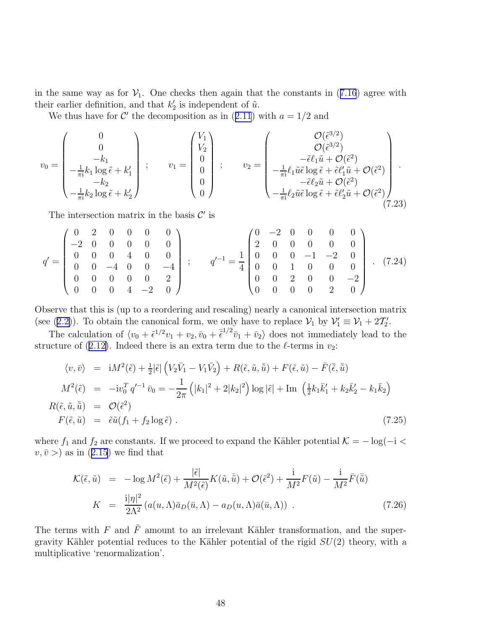inthe same way as for  $V_1$ . One checks then again that the constants in ([7.16](#page-47-0)) agree with their earlier definition, and that  $k'_2$  is independent of  $\tilde{u}$ .

Wethus have for  $\mathcal{C}'$  the decomposition as in ([2.11](#page-7-0)) with  $a = 1/2$  and

$$
v_0 = \begin{pmatrix} 0 \\ 0 \\ -k_1 \\ -\frac{1}{\pi i} k_1 \log \tilde{\epsilon} + k_1' \\ -k_2 \\ -\frac{1}{\pi i} k_2 \log \tilde{\epsilon} + k_2' \end{pmatrix} ; \qquad v_1 = \begin{pmatrix} V_1 \\ V_2 \\ 0 \\ 0 \\ 0 \end{pmatrix} ; \qquad v_2 = \begin{pmatrix} \mathcal{O}(\tilde{\epsilon}^{3/2}) \\ \mathcal{O}(\tilde{\epsilon}^{3/2}) \\ -\frac{1}{\pi i} \ell_1 \tilde{u} \tilde{\epsilon} \log \tilde{\epsilon} + \tilde{\epsilon} \ell_1' \tilde{u} + \mathcal{O}(\tilde{\epsilon}^2) \\ -\frac{1}{\pi i} \ell_2 \tilde{u} \tilde{\epsilon} \log \tilde{\epsilon} + \tilde{\epsilon} \ell_2' \tilde{u} + \mathcal{O}(\tilde{\epsilon}^2) \\ -\frac{1}{\pi i} \ell_2 \tilde{u} \tilde{\epsilon} \log \tilde{\epsilon} + \tilde{\epsilon} \ell_2' \tilde{u} + \mathcal{O}(\tilde{\epsilon}^2) \end{pmatrix} . \tag{7.23}
$$

The intersection matrix in the basis  $\mathcal{C}'$  is

$$
q' = \begin{pmatrix} 0 & 2 & 0 & 0 & 0 & 0 \\ -2 & 0 & 0 & 0 & 0 & 0 \\ 0 & 0 & 0 & 4 & 0 & 0 \\ 0 & 0 & -4 & 0 & 0 & -4 \\ 0 & 0 & 0 & 0 & 0 & 2 \\ 0 & 0 & 0 & 4 & -2 & 0 \end{pmatrix} ; \qquad q'^{-1} = \frac{1}{4} \begin{pmatrix} 0 & -2 & 0 & 0 & 0 & 0 \\ 2 & 0 & 0 & 0 & 0 & 0 \\ 0 & 0 & 0 & -1 & -2 & 0 \\ 0 & 0 & 1 & 0 & 0 & 0 \\ 0 & 0 & 2 & 0 & 0 & -2 \\ 0 & 0 & 0 & 2 & 0 \end{pmatrix} . (7.24)
$$

Observe that this is (up to a reordering and rescaling) nearly a canonical intersection matrix (see([2.2\)](#page-5-0)). To obtain the canonical form, we only have to replace  $\mathcal{V}_1$  by  $\mathcal{V}'_1 \equiv \mathcal{V}_1 + 2\mathcal{T}'_2$ .

The calculation of  $\langle v_0 + \tilde{\epsilon}^{1/2} v_1 + v_2, \bar{v}_0 + \bar{\tilde{\epsilon}}^{1/2} \bar{v}_1 + \bar{v}_2 \rangle$  does not immediately lead to the structureof ([2.12\)](#page-7-0). Indeed there is an extra term due to the  $\ell$ -terms in  $v_2$ :

$$
\langle v, \bar{v} \rangle = iM^2(\tilde{\epsilon}) + \frac{1}{2} |\tilde{\epsilon}| \left( V_2 \bar{V}_1 - V_1 \bar{V}_2 \right) + R(\tilde{\epsilon}, \tilde{u}, \bar{\tilde{u}}) + F(\tilde{\epsilon}, \tilde{u}) - \bar{F}(\bar{\tilde{\epsilon}}, \bar{\tilde{u}}) M^2(\tilde{\epsilon}) = -i v_0^T q'^{-1} \bar{v}_0 = -\frac{1}{2\pi} \left( |k_1|^2 + 2|k_2|^2 \right) \log |\tilde{\epsilon}| + \text{Im} \left( \frac{1}{2} k_1 \bar{k}'_1 + k_2 \bar{k}'_2 - k_1 \bar{k}_2 \right) R(\tilde{\epsilon}, \tilde{u}, \bar{\tilde{u}}) = \mathcal{O}(\tilde{\epsilon}^2) F(\tilde{\epsilon}, \tilde{u}) = \tilde{\epsilon} \tilde{u} (f_1 + f_2 \log \tilde{\epsilon})
$$
 (7.25)

where  $f_1$  and  $f_2$  are constants. If we proceed to expand the Kähler potential  $\mathcal{K} = -\log(-i \leq$  $v, \bar{v} >$  $v, \bar{v} >$  $v, \bar{v} >$  as in ([2.15](#page-7-0)) we find that

$$
\mathcal{K}(\tilde{\epsilon}, \tilde{u}) = -\log M^2(\tilde{\epsilon}) + \frac{|\tilde{\epsilon}|}{M^2(\tilde{\epsilon})} K(\tilde{u}, \bar{\tilde{u}}) + \mathcal{O}(\tilde{\epsilon}^2) + \frac{\mathrm{i}}{M^2} F(\tilde{u}) - \frac{\mathrm{i}}{M^2} \bar{F}(\bar{\tilde{u}})
$$

$$
K = \frac{\mathrm{i} |\eta|^2}{2\Lambda^2} \left( a(u, \Lambda) \bar{a}_D(\bar{u}, \Lambda) - a_D(u, \Lambda) \bar{a}(\bar{u}, \Lambda) \right) . \tag{7.26}
$$

The terms with F and  $\tilde{F}$  amount to an irrelevant Kähler transformation, and the supergravity Kähler potential reduces to the Kähler potential of the rigid  $SU(2)$  theory, with a multiplicative 'renormalization'.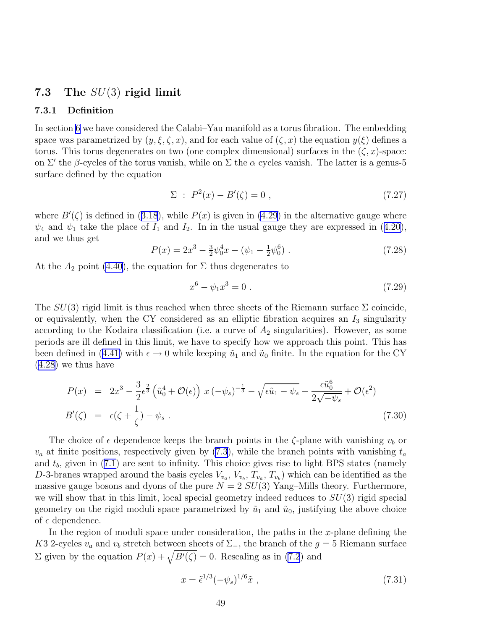## <span id="page-50-0"></span>7.3 The  $SU(3)$  rigid limit

### 7.3.1 Definition

In section [6](#page-33-0) we have considered the Calabi–Yau manifold as a torus fibration. The embedding space was parametrized by  $(y, \xi, \zeta, x)$ , and for each value of  $(\zeta, x)$  the equation  $y(\xi)$  defines a torus. This torus degenerates on two (one complex dimensional) surfaces in the  $(\zeta, x)$ -space: on  $\Sigma'$  the  $\beta$ -cycles of the torus vanish, while on  $\Sigma$  the  $\alpha$  cycles vanish. The latter is a genus-5 surface defined by the equation

$$
\Sigma : P^2(x) - B'(\zeta) = 0 , \qquad (7.27)
$$

where $B'(\zeta)$  is defined in ([3.18](#page-13-0)), while  $P(x)$  is given in [\(4.29](#page-20-0)) in the alternative gauge where  $\psi_4$ and  $\psi_1$  take the place of  $I_1$  and  $I_2$ . In in the usual gauge they are expressed in ([4.20\)](#page-18-0), and we thus get

$$
P(x) = 2x^3 - \frac{3}{2}\psi_0^4 x - (\psi_1 - \frac{1}{2}\psi_0^6) \tag{7.28}
$$

At the  $A_2$  point [\(4.40](#page-25-0)), the equation for  $\Sigma$  thus degenerates to

$$
x^6 - \psi_1 x^3 = 0 \tag{7.29}
$$

The  $SU(3)$  rigid limit is thus reached when three sheets of the Riemann surface  $\Sigma$  coincide, or equivalently, when the CY considered as an elliptic fibration acquires an  $I_3$  singularity according to the Kodaira classification (i.e. a curve of  $A_2$  singularities). However, as some periods are ill defined in this limit, we have to specify how we approach this point. This has beendefined in ([4.41\)](#page-25-0) with  $\epsilon \to 0$  while keeping  $\tilde{u}_1$  and  $\tilde{u}_0$  finite. In the equation for the CY [\(4.28](#page-20-0)) we thus have

$$
P(x) = 2x^3 - \frac{3}{2}\epsilon^{\frac{2}{3}} \left(\tilde{u}_0^4 + \mathcal{O}(\epsilon)\right) x \left(-\psi_s\right)^{-\frac{1}{3}} - \sqrt{\epsilon \tilde{u}_1 - \psi_s} - \frac{\epsilon \tilde{u}_0^6}{2\sqrt{-\psi_s}} + \mathcal{O}(\epsilon^2)
$$
  
\n
$$
B'(\zeta) = \epsilon(\zeta + \frac{1}{\zeta}) - \psi_s.
$$
\n(7.30)

The choice of  $\epsilon$  dependence keeps the branch points in the  $\zeta$ -plane with vanishing  $v_b$  or  $v_a$  at finite positions, respectively given by [\(7.3](#page-45-0)), while the branch points with vanishing  $t_a$ and $t<sub>b</sub>$ , given in ([7.1\)](#page-44-0) are sent to infinity. This choice gives rise to light BPS states (namely D-3-branes wrapped around the basis cycles  $V_{v_a}$ ,  $V_{v_b}$ ,  $T_{v_a}$ ,  $T_{v_b}$ ) which can be identified as the massive gauge bosons and dyons of the pure  $N = 2$   $SU(3)$  Yang–Mills theory. Furthermore, we will show that in this limit, local special geometry indeed reduces to  $SU(3)$  rigid special geometry on the rigid moduli space parametrized by  $\tilde{u}_1$  and  $\tilde{u}_0$ , justifying the above choice of  $\epsilon$  dependence.

In the region of moduli space under consideration, the paths in the  $x$ -plane defining the K3 2-cycles  $v_a$  and  $v_b$  stretch between sheets of  $\Sigma$ , the branch of the  $g = 5$  Riemann surface  $\Sigma$  given by the equation  $P(x) + \sqrt{B'(\zeta)} = 0$ . Rescaling as in [\(7.2](#page-44-0)) and

$$
x = \tilde{\epsilon}^{1/3} (-\psi_s)^{1/6} \tilde{x} \tag{7.31}
$$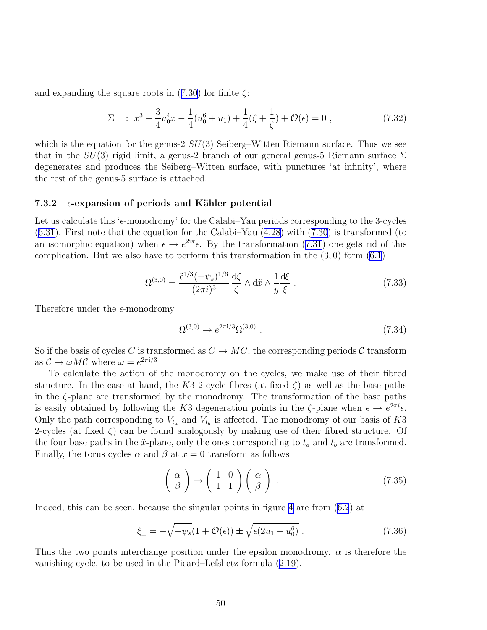<span id="page-51-0"></span>andexpanding the square roots in  $(7.30)$  $(7.30)$  $(7.30)$  for finite  $\zeta$ :

$$
\Sigma_{-} : \tilde{x}^3 - \frac{3}{4} \tilde{u}_0^4 \tilde{x} - \frac{1}{4} (\tilde{u}_0^6 + \tilde{u}_1) + \frac{1}{4} (\zeta + \frac{1}{\zeta}) + \mathcal{O}(\tilde{\epsilon}) = 0 , \qquad (7.32)
$$

which is the equation for the genus-2  $SU(3)$  Seiberg–Witten Riemann surface. Thus we see that in the  $SU(3)$  rigid limit, a genus-2 branch of our general genus-5 Riemann surface  $\Sigma$ degenerates and produces the Seiberg–Witten surface, with punctures 'at infinity', where the rest of the genus-5 surface is attached.

#### 7.3.2  $\epsilon$ -expansion of periods and Kähler potential

Let us calculate this ' $\epsilon$ -monodromy' for the Calabi–Yau periods corresponding to the 3-cycles  $(6.31)$  $(6.31)$ .First note that the equation for the Calabi–Yau  $(4.28)$  $(4.28)$  with  $(7.30)$  is transformed (to an isomorphic equation) when  $\epsilon \to e^{2i\pi} \epsilon$ . By the transformation [\(7.31](#page-50-0)) one gets rid of this complication. But we also have to perform this transformation in the  $(3,0)$  form  $(6.1)$ 

$$
\Omega^{(3,0)} = \frac{\tilde{\epsilon}^{1/3}(-\psi_s)^{1/6}}{(2\pi i)^3} \frac{\mathrm{d}\zeta}{\zeta} \wedge \mathrm{d}\tilde{x} \wedge \frac{1}{y} \frac{\mathrm{d}\xi}{\xi} \,. \tag{7.33}
$$

Therefore under the  $\epsilon$ -monodromy

$$
\Omega^{(3,0)} \to e^{2\pi i/3} \Omega^{(3,0)} \tag{7.34}
$$

So if the basis of cycles C is transformed as  $C \to MC$ , the corresponding periods C transform as  $C \to \omega M C$  where  $\omega = e^{2\pi i/3}$ 

To calculate the action of the monodromy on the cycles, we make use of their fibred structure. In the case at hand, the K3 2-cycle fibres (at fixed  $\zeta$ ) as well as the base paths in the  $\zeta$ -plane are transformed by the monodromy. The transformation of the base paths is easily obtained by following the K3 degeneration points in the  $\zeta$ -plane when  $\epsilon \to e^{2\pi i} \epsilon$ . Only the path corresponding to  $V_{t_a}$  and  $V_{t_b}$  is affected. The monodromy of our basis of K3 2-cycles (at fixed  $\zeta$ ) can be found analogously by making use of their fibred structure. Of the four base paths in the  $\tilde{x}$ -plane, only the ones corresponding to  $t_a$  and  $t_b$  are transformed. Finally, the torus cycles  $\alpha$  and  $\beta$  at  $\tilde{x} = 0$  transform as follows

$$
\left(\begin{array}{c}\alpha\\ \beta\end{array}\right)\to\left(\begin{array}{cc}1 & 0\\ 1 & 1\end{array}\right)\left(\begin{array}{c}\alpha\\ \beta\end{array}\right)\ .\tag{7.35}
$$

Indeed, this can be seen, because the singular points in figure [4](#page-34-0) are from [\(6.2](#page-33-0)) at

$$
\xi_{\pm} = -\sqrt{-\psi_s} (1 + \mathcal{O}(\tilde{\epsilon})) \pm \sqrt{\tilde{\epsilon} (2\tilde{u}_1 + \tilde{u}_0^6)} . \tag{7.36}
$$

Thus the two points interchange position under the epsilon monodromy.  $\alpha$  is therefore the vanishing cycle, to be used in the Picard–Lefshetz formula [\(2.19](#page-9-0)).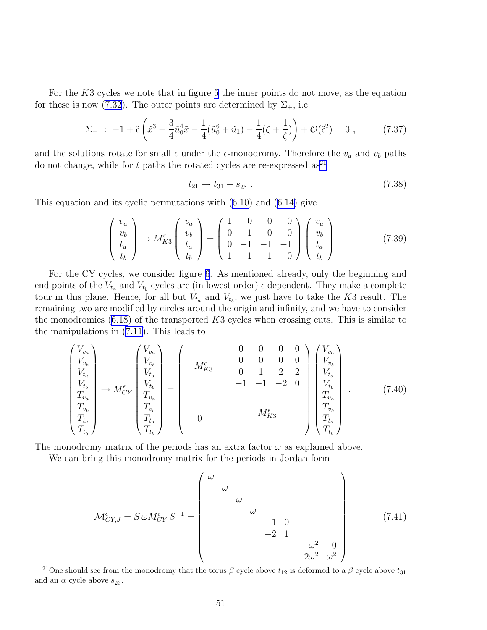For the K3 cycles we note that in figure [5](#page-36-0) the inner points do not move, as the equation for these is now [\(7.32](#page-51-0)). The outer points are determined by  $\Sigma_{+}$ , i.e.

$$
\Sigma_{+} : -1 + \tilde{\epsilon} \left( \tilde{x}^{3} - \frac{3}{4} \tilde{u}_{0}^{4} \tilde{x} - \frac{1}{4} (\tilde{u}_{0}^{6} + \tilde{u}_{1}) - \frac{1}{4} (\zeta + \frac{1}{\zeta}) \right) + \mathcal{O}(\tilde{\epsilon}^{2}) = 0 , \qquad (7.37)
$$

and the solutions rotate for small  $\epsilon$  under the  $\epsilon$ -monodromy. Therefore the  $v_a$  and  $v_b$  paths do not change, while for t paths the rotated cycles are re-expressed as<sup>21</sup>

$$
t_{21} \to t_{31} - s_{23} \tag{7.38}
$$

This equation and its cyclic permutations with [\(6.10](#page-37-0)) and([6.14\)](#page-38-0) give

$$
\begin{pmatrix} v_a \\ v_b \\ t_a \\ t_b \end{pmatrix} \rightarrow M_{K3}^{\epsilon} \begin{pmatrix} v_a \\ v_b \\ t_a \\ t_b \end{pmatrix} = \begin{pmatrix} 1 & 0 & 0 & 0 \\ 0 & 1 & 0 & 0 \\ 0 & -1 & -1 & -1 \\ 1 & 1 & 1 & 0 \end{pmatrix} \begin{pmatrix} v_a \\ v_b \\ t_a \\ t_b \end{pmatrix}
$$
(7.39)

For the CY cycles, we consider figure [6.](#page-43-0) As mentioned already, only the beginning and end points of the  $V_{t_a}$  and  $V_{t_b}$  cycles are (in lowest order)  $\epsilon$  dependent. They make a complete tour in this plane. Hence, for all but  $V_{t_a}$  and  $V_{t_b}$ , we just have to take the K3 result. The remaining two are modified by circles around the origin and infinity, and we have to consider the monodromies  $(6.18)$  of the transported K3 cycles when crossing cuts. This is similar to the manipulations in [\(7.11](#page-47-0)). This leads to

$$
\begin{pmatrix}\nV_{v_a} \\
V_{v_b} \\
V_{t_a} \\
V_{t_b} \\
T_{v_b} \\
T_{t_a} \\
T_{t_a} \\
T_{t_b}\n\end{pmatrix} \rightarrow M_{CY}^{\epsilon} \begin{pmatrix}\nV_{v_a} \\
V_{v_b} \\
V_{t_a} \\
V_{t_b} \\
T_{v_b} \\
T_{t_a} \\
T_{t_b}\n\end{pmatrix} = \begin{pmatrix}\n0 & 0 & 0 & 0 \\
0 & 0 & 0 & 0 \\
0 & 1 & 2 & 2 \\
0 & 1 & 2 & 2 \\
0 & 0 & 0 & 0 \\
0 & 0 & 0 & 0 \\
0 & 0 & 0 & 0 \\
0 & 0 & 0 & 0 \\
0 & 0 & 0 & 0 \\
0 & 0 & 0 & 0 \\
0 & 0 & 0 & 0 \\
0 & 0 & 0 & 0 \\
0 & 0 & 0 & 0 \\
0 & 0 & 0 & 0 \\
0 & 0 & 0 & 0 \\
0 & 0 & 0 & 0 \\
0 & 0 & 0 & 0 \\
0 & 0 & 0 & 0 \\
0 & 0 & 0 & 0 \\
0 & 0 & 0 & 0 \\
0 & 0 & 0 & 0 \\
0 & 0 & 0 & 0 \\
0 & 0 & 0 & 0 \\
0 & 0 & 0 & 0 \\
0 & 0 & 0 & 0 \\
0 & 0 & 0 & 0 \\
0 & 0 & 0 & 0 \\
0 & 0 & 0 & 0 \\
0 & 0 & 0 & 0 \\
0 & 0 & 0 & 0 \\
0 & 0 & 0 & 0 \\
0 & 0 & 0 & 0 \\
0 & 0 & 0 & 0 \\
0 & 0 & 0 & 0 \\
0 & 0 & 0 & 0 \\
0 & 0 & 0 & 0 \\
0 & 0 & 0 & 0 \\
0 & 0 & 0 & 0 \\
0 & 0 & 0 & 0 \\
0 & 0 & 0 & 0 \\
0 & 0 & 0 & 0 \\
0 & 0 & 0 & 0 \\
0 & 0 & 0 & 0 \\
0 & 0 & 0 & 0 \\
0 & 0 & 0 & 0 \\
0 & 0 & 0 & 0 \\
0 & 0 & 0 & 0 \\
0 & 0 & 0 & 0 \\
0 & 0 & 0 & 0 \\
0 & 0 & 0 & 0 \\
0 & 0 & 0 & 0 \\
0 & 0 & 0 & 0 \\
0 & 0 & 0 & 0 \\
0 & 0 & 0 & 0 \\
0 & 0 & 0 & 0 \\
0 & 0 & 0 & 0 \\
0 & 0 & 0 & 0
$$

The monodromy matrix of the periods has an extra factor  $\omega$  as explained above.

We can bring this monodromy matrix for the periods in Jordan form

$$
\mathcal{M}_{CY,J}^{\epsilon} = S \omega M_{CY}^{\epsilon} S^{-1} = \begin{pmatrix} \omega & & & & \\ & \omega & & & \\ & & \omega & & \\ & & & 1 & 0 & \\ & & & -2 & 1 & \\ & & & & -2\omega^2 & \omega^2 \end{pmatrix}
$$
(7.41)

<sup>&</sup>lt;sup>21</sup>One should see from the monodromy that the torus  $\beta$  cycle above  $t_{12}$  is deformed to a  $\beta$  cycle above  $t_{31}$ and an  $\alpha$  cycle above  $s_{23}^-$ .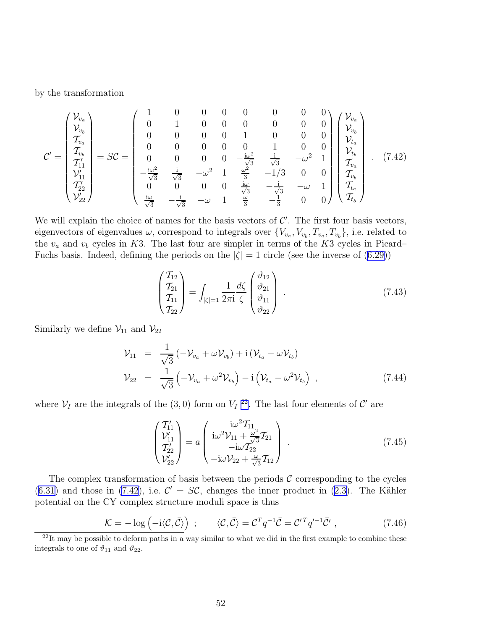<span id="page-53-0"></span>by the transformation

$$
\mathcal{C}' = \begin{pmatrix} \mathcal{V}_{v_a} \\ \mathcal{V}_{v_b} \\ \mathcal{T}_{v_b} \\ \mathcal{T}'_{11} \\ \mathcal{V}'_{11} \\ \mathcal{T}'_{22} \\ \mathcal{V}'_{22} \end{pmatrix} = S\mathcal{C} = \begin{pmatrix} 1 & 0 & 0 & 0 & 0 & 0 & 0 & 0 & 0 \\ 0 & 1 & 0 & 0 & 0 & 0 & 0 & 0 \\ 0 & 0 & 0 & 0 & 1 & 0 & 0 & 0 \\ 0 & 0 & 0 & 0 & 0 & 1 & 0 & 0 \\ 0 & 0 & 0 & 0 & -\frac{\mathrm{i}\omega^2}{\sqrt{3}} & \frac{\mathrm{i}}{\sqrt{3}} & -\omega^2 & 1 \\ -\frac{\mathrm{i}\omega^2}{\sqrt{3}} & \frac{\mathrm{i}}{\sqrt{3}} & -\omega^2 & 1 & \frac{\omega^2}{3} & -1/3 & 0 & 0 \\ 0 & 0 & 0 & 0 & \frac{\mathrm{i}\omega}{\sqrt{3}} & -1/3 & 0 & 0 \\ \frac{\mathrm{i}\omega}{\sqrt{3}} & -\frac{\mathrm{i}}{\sqrt{3}} & -\omega & 1 & \frac{\omega}{3} & -\frac{\mathrm{i}}{\sqrt{3}} & -\omega & 1 \\ \frac{\mathrm{i}\omega}{\sqrt{3}} & -\frac{\mathrm{i}}{\sqrt{3}} & -\omega & 1 & \frac{\omega}{3} & -\frac{1}{3} & 0 & 0 \end{pmatrix} \begin{pmatrix} \mathcal{V}_{v_a} \\ \mathcal{V}_{v_b} \\ \mathcal{V}_{t_b} \\ \mathcal{T}_{v_b} \\ \mathcal{T}_{t_b} \\ \mathcal{T}_{t_b} \\ \mathcal{T}_{t_b} \end{pmatrix} . \quad (7.42)
$$

We will explain the choice of names for the basis vectors of  $\mathcal{C}'$ . The first four basis vectors, eigenvectors of eigenvalues  $\omega$ , correspond to integrals over  $\{V_{v_a}, V_{v_b}, T_{v_a}, T_{v_b}\}\)$ , i.e. related to the  $v_a$  and  $v_b$  cycles in K3. The last four are simpler in terms of the K3 cycles in Picard– Fuchs basis. Indeed, defining the periods on the  $|\zeta| = 1$  circle (see the inverse of [\(6.29](#page-42-0)))

$$
\begin{pmatrix} T_{12} \\ T_{21} \\ T_{11} \\ T_{22} \end{pmatrix} = \int_{|\zeta|=1} \frac{1}{2\pi i} \frac{d\zeta}{\zeta} \begin{pmatrix} \vartheta_{12} \\ \vartheta_{21} \\ \vartheta_{11} \\ \vartheta_{22} \end{pmatrix} . \tag{7.43}
$$

Similarly we define  $\mathcal{V}_{11}$  and  $\mathcal{V}_{22}$ 

$$
\mathcal{V}_{11} = \frac{1}{\sqrt{3}} \left( -\mathcal{V}_{v_a} + \omega \mathcal{V}_{v_b} \right) + \mathrm{i} \left( \mathcal{V}_{t_a} - \omega \mathcal{V}_{t_b} \right)
$$
\n
$$
\mathcal{V}_{22} = \frac{1}{\sqrt{3}} \left( -\mathcal{V}_{v_a} + \omega^2 \mathcal{V}_{v_b} \right) - \mathrm{i} \left( \mathcal{V}_{t_a} - \omega^2 \mathcal{V}_{t_b} \right) , \qquad (7.44)
$$

where  $V_I$  are the integrals of the (3,0) form on  $V_I$ <sup>22</sup>. The last four elements of  $\mathcal{C}'$  are

$$
\begin{pmatrix} T'_{11} \\ \mathcal{V}'_{11} \\ T'_{22} \\ \mathcal{V}'_{22} \end{pmatrix} = a \begin{pmatrix} i\omega^2 T_{11} \\ i\omega^2 \mathcal{V}_{11} + \frac{\omega^2}{\sqrt{3}} T_{21} \\ -i\omega T_{22} \\ -i\omega \mathcal{V}_{22} + \frac{\omega}{\sqrt{3}} T_{12} \end{pmatrix} . \tag{7.45}
$$

The complex transformation of basis between the periods  $\mathcal C$  corresponding to the cycles  $(6.31)$  $(6.31)$ and those in  $(7.42)$ , i.e.  $\mathcal{C}' = \mathcal{SC}$ , changes the inner product in  $(2.3)$  $(2.3)$ . The Kähler potential on the CY complex structure moduli space is thus

$$
\mathcal{K} = -\log\left(-i\langle \mathcal{C}, \bar{\mathcal{C}} \rangle\right) ; \qquad \langle \mathcal{C}, \bar{\mathcal{C}} \rangle = \mathcal{C}^T q^{-1} \bar{\mathcal{C}} = \mathcal{C}'^T q'^{-1} \bar{\mathcal{C}}', \qquad (7.46)
$$

 $^{22}$ It may be possible to deform paths in a way similar to what we did in the first example to combine these integrals to one of  $\vartheta_{11}$  and  $\vartheta_{22}$ .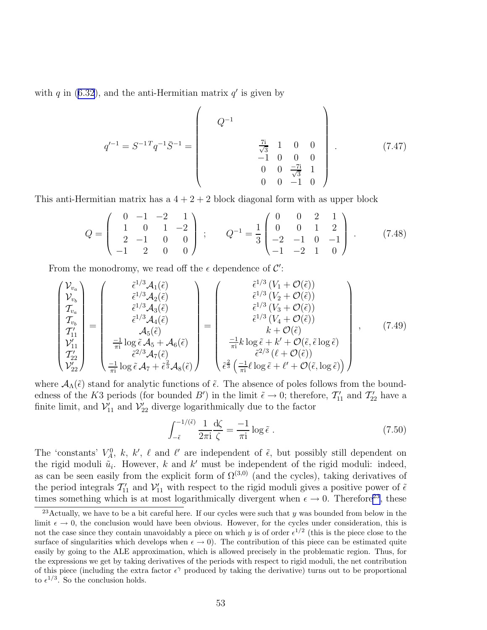<span id="page-54-0"></span>with q in  $(6.32)$ , and the anti-Hermitian matrix q' is given by

$$
q'^{-1} = S^{-1} q^{-1} \bar{S}^{-1} = \begin{pmatrix} Q^{-1} & & & \\ & Q^{-1} & & \\ & & \frac{7\mathbf{i}}{\sqrt{3}} & 1 & 0 & 0 \\ & & -1 & 0 & 0 & 0 \\ & & 0 & 0 & \frac{-7\mathbf{i}}{\sqrt{3}} & 1 \\ & & 0 & 0 & -1 & 0 \end{pmatrix} . \tag{7.47}
$$

This anti-Hermitian matrix has a  $4 + 2 + 2$  block diagonal form with as upper block

$$
Q = \begin{pmatrix} 0 & -1 & -2 & 1 \\ 1 & 0 & 1 & -2 \\ 2 & -1 & 0 & 0 \\ -1 & 2 & 0 & 0 \end{pmatrix} ; \qquad Q^{-1} = \frac{1}{3} \begin{pmatrix} 0 & 0 & 2 & 1 \\ 0 & 0 & 1 & 2 \\ -2 & -1 & 0 & -1 \\ -1 & -2 & 1 & 0 \end{pmatrix} . \tag{7.48}
$$

From the monodromy, we read off the  $\epsilon$  dependence of  $\mathcal{C}'$ :

$$
\begin{pmatrix}\nV_{v_a} \\
V_{v_b} \\
T_{v_a} \\
T_{v_b} \\
T'_{11} \\
T'_{22} \\
V'_{22}\n\end{pmatrix} = \begin{pmatrix}\n\tilde{\epsilon}^{1/3} \mathcal{A}_1(\tilde{\epsilon}) \\
\tilde{\epsilon}^{1/3} \mathcal{A}_2(\tilde{\epsilon}) \\
\tilde{\epsilon}^{1/3} \mathcal{A}_3(\tilde{\epsilon}) \\
\tilde{\epsilon}^{1/3} \mathcal{A}_4(\tilde{\epsilon}) \\
\tilde{\epsilon}^{1/3} \mathcal{A}_4(\tilde{\epsilon}) \\
\tilde{\epsilon}^{1/3} \mathcal{A}_4(\tilde{\epsilon}) \\
\tilde{\epsilon}^{1/3} \mathcal{A}_4(\tilde{\epsilon}) \\
\tilde{\epsilon}^{1/3} \mathcal{A}_4(\tilde{\epsilon}) \\
\tilde{\epsilon}^{1/3} \mathcal{A}_4(\tilde{\epsilon}) \\
\tilde{\epsilon}^{1/3} \mathcal{A}_4(\tilde{\epsilon}) \\
\tilde{\epsilon}^{1/3} \mathcal{A}_4(\tilde{\epsilon}) \\
\tilde{\epsilon}^{1/3} \mathcal{A}_4(\tilde{\epsilon}) \\
\tilde{\epsilon}^{1/3} \mathcal{A}_4(\tilde{\epsilon}) \\
\tilde{\epsilon}^{1/3} \mathcal{A}_4(\tilde{\epsilon}) \\
\tilde{\epsilon}^{1/3} \mathcal{A}_4(\tilde{\epsilon}) \\
\tilde{\epsilon}^{1/3} \mathcal{A}_4(\tilde{\epsilon}) \\
\tilde{\epsilon}^{1/3} \mathcal{A}_4(\tilde{\epsilon}) \\
\tilde{\epsilon}^{1/3} \mathcal{A}_4(\tilde{\epsilon}) \\
\tilde{\epsilon}^{1/3} \mathcal{A}_4(\tilde{\epsilon}) \\
\tilde{\epsilon}^{1/3} \mathcal{A}_4(\tilde{\epsilon}) \\
\tilde{\epsilon}^{1/3} \mathcal{A}_4(\tilde{\epsilon}) \\
\tilde{\epsilon}^{1/3} \mathcal{A}_4(\tilde{\epsilon}) \\
\tilde{\epsilon}^{1/3} \mathcal{A}_4(\tilde{\epsilon}) \\
\tilde{\epsilon}^{1/3} \mathcal{A}_4(\tilde{\epsilon}) \\
\tilde{\epsilon}^{1/3} \mathcal{A}_4(\tilde{\epsilon}) \\
\tilde{\epsilon}^{1/3} \mathcal{A}_4(\tilde{\epsilon}) \\
\tilde{\epsilon}^{1/3} \mathcal{A}_4(\tilde{\epsilon}) \\
\tilde{\epsilon}^{1/3} \mathcal{A}_4(\
$$

where  $\mathcal{A}_{\Lambda}(\tilde{\epsilon})$  stand for analytic functions of  $\tilde{\epsilon}$ . The absence of poles follows from the boundedness of the K3 periods (for bounded B') in the limit  $\tilde{\epsilon} \to 0$ ; therefore,  $T'_{11}$  and  $T'_{22}$  have a finite limit, and  $\mathcal{V}'_{11}$  and  $\mathcal{V}'_{22}$  diverge logarithmically due to the factor

$$
\int_{-\tilde{\epsilon}}^{-1/(\tilde{\epsilon})} \frac{1}{2\pi i} \frac{d\zeta}{\zeta} = -\frac{1}{\pi i} \log \tilde{\epsilon} . \tag{7.50}
$$

The 'constants'  $V_A^0$ , k, k',  $\ell$  and  $\ell'$  are independent of  $\tilde{\epsilon}$ , but possibly still dependent on the rigid moduli  $\tilde{u}_i$ . However, k and k' must be independent of the rigid moduli: indeed, as can be seen easily from the explicit form of  $\Omega^{(3,0)}$  (and the cycles), taking derivatives of the period integrals  $T'_{11}$  and  $V'_{11}$  with respect to the rigid moduli gives a positive power of  $\tilde{\epsilon}$ times something which is at most logarithmically divergent when  $\epsilon \to 0$ . Therefore<sup>23</sup>, these

<sup>&</sup>lt;sup>23</sup>Actually, we have to be a bit careful here. If our cycles were such that y was bounded from below in the limit  $\epsilon \to 0$ , the conclusion would have been obvious. However, for the cycles under consideration, this is not the case since they contain unavoidably a piece on which y is of order  $\epsilon^{1/2}$  (this is the piece close to the surface of singularities which develops when  $\epsilon \to 0$ . The contribution of this piece can be estimated quite easily by going to the ALE approximation, which is allowed precisely in the problematic region. Thus, for the expressions we get by taking derivatives of the periods with respect to rigid moduli, the net contribution of this piece (including the extra factor  $\epsilon^{\gamma}$  produced by taking the derivative) turns out to be proportional to  $\epsilon^{1/3}$ . So the conclusion holds.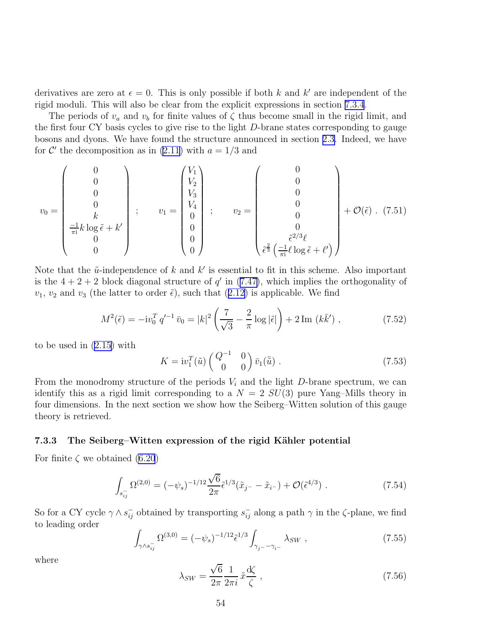<span id="page-55-0"></span>derivatives are zero at  $\epsilon = 0$ . This is only possible if both k and k' are independent of the rigid moduli. This will also be clear from the explicit expressions in section [7.3.4](#page-56-0).

The periods of  $v_a$  and  $v_b$  for finite values of  $\zeta$  thus become small in the rigid limit, and the first four CY basis cycles to give rise to the light D-brane states corresponding to gauge bosons and dyons. We have found the structure announced in section [2.3.](#page-7-0) Indeed, we have for  $\mathcal{C}'$  the decomposition as in [\(2.11\)](#page-7-0) with  $a = 1/3$  and

$$
v_0 = \begin{pmatrix} 0 \\ 0 \\ 0 \\ 0 \\ -\frac{1}{\pi i}k \log \tilde{\epsilon} + k' \\ 0 \\ 0 \end{pmatrix} ; \qquad v_1 = \begin{pmatrix} V_1 \\ V_2 \\ V_3 \\ 0 \\ 0 \\ 0 \\ 0 \end{pmatrix} ; \qquad v_2 = \begin{pmatrix} 0 \\ 0 \\ 0 \\ 0 \\ 0 \\ \tilde{\epsilon}^2 \left( \frac{-1}{\pi i} \ell \log \tilde{\epsilon} + \ell' \right) \end{pmatrix} + \mathcal{O}(\tilde{\epsilon}) . (7.51)
$$

Note that the  $\tilde{u}$ -independence of k and k' is essential to fit in this scheme. Also important isthe  $4+2+2$  block diagonal structure of  $q'$  in ([7.47\)](#page-54-0), which implies the orthogonality of  $v_1, v_2$  $v_1, v_2$  $v_1, v_2$  and  $v_3$  (the latter to order  $\tilde{\epsilon}$ ), such that ([2.12\)](#page-7-0) is applicable. We find

$$
M^{2}(\tilde{\epsilon}) = -iv_{0}^{T} q'^{-1} \bar{v}_{0} = |k|^{2} \left(\frac{7}{\sqrt{3}} - \frac{2}{\pi} \log |\tilde{\epsilon}|\right) + 2 \operatorname{Im}(k\bar{k}'),\tag{7.52}
$$

to be used in([2.15\)](#page-7-0) with

$$
K = \mathrm{i}v_1^T(\tilde{u}) \begin{pmatrix} Q^{-1} & 0\\ 0 & 0 \end{pmatrix} \bar{v}_1(\bar{\tilde{u}}) . \tag{7.53}
$$

From the monodromy structure of the periods  $V_i$  and the light D-brane spectrum, we can identify this as a rigid limit corresponding to a  $N = 2$   $SU(3)$  pure Yang–Mills theory in four dimensions. In the next section we show how the Seiberg–Witten solution of this gauge theory is retrieved.

#### 7.3.3 The Seiberg–Witten expression of the rigid Kähler potential

For finite  $\zeta$  we obtained [\(6.20](#page-40-0))

$$
\int_{s_{ij}^-} \Omega^{(2,0)} = (-\psi_s)^{-1/12} \frac{\sqrt{6}}{2\pi} \tilde{\epsilon}^{1/3} (\tilde{x}_{j^-} - \tilde{x}_{i^-}) + \mathcal{O}(\tilde{\epsilon}^{4/3}) \ . \tag{7.54}
$$

So for a CY cycle  $\gamma \wedge s_{ij}^-$  obtained by transporting  $s_{ij}^-$  along a path  $\gamma$  in the  $\zeta$ -plane, we find to leading order

$$
\int_{\gamma \wedge s_{ij}^-} \Omega^{(3,0)} = (-\psi_s)^{-1/12} \tilde{\epsilon}^{1/3} \int_{\gamma_{j^-} - \gamma_{i^-}} \lambda_{SW} , \qquad (7.55)
$$

where

$$
\lambda_{SW} = \frac{\sqrt{6}}{2\pi} \frac{1}{2\pi i} \tilde{x} \frac{d\zeta}{\zeta} \,,\tag{7.56}
$$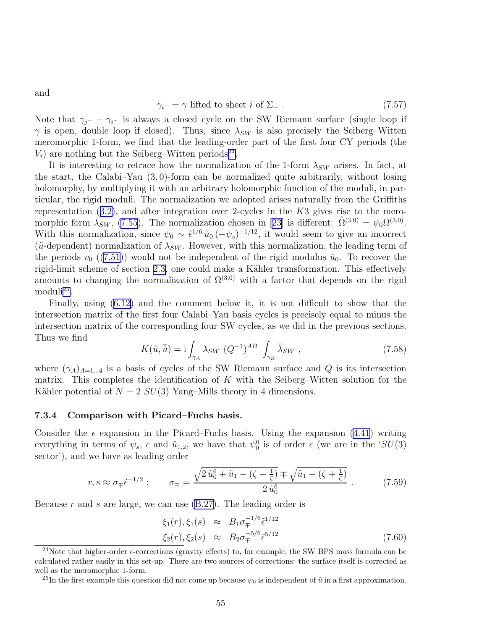$$
\gamma_{i^-} = \gamma \text{ lifted to sheet } i \text{ of } \Sigma_- \ . \tag{7.57}
$$

Note that  $\gamma_{j}$ −  $\gamma_{i}$  is always a closed cycle on the SW Riemann surface (single loop if  $\gamma$  is open, double loop if closed). Thus, since  $\lambda_{SW}$  is also precisely the Seiberg–Witten meromorphic 1-form, we find that the leading-order part of the first four CY periods (the  $V_i$ ) are nothing but the Seiberg–Witten periods<sup>24</sup>.

It is interesting to retrace how the normalization of the 1-form  $\lambda_{SW}$  arises. In fact, at the start, the Calabi–Yau  $(3,0)$ -form can be normalized quite arbitrarily, without losing holomorphy, by multiplying it with an arbitrary holomorphic function of the moduli, in particular, the rigid moduli. The normalization we adopted arises naturally from the Griffiths representation $(3.2)$  $(3.2)$ , and after integration over 2-cycles in the K3 gives rise to the meromorphic form  $\lambda_{SW}$ , [\(7.55](#page-55-0)). The normalization chosen in [\[23\]](#page-79-0) is different:  $\hat{\Omega}^{(3,0)} = \psi_0 \Omega^{(3,0)}$ . With this normalization, since  $\psi_0 \sim \tilde{\epsilon}^{1/6} \tilde{u}_0 \, (-\psi_s)^{-1/12}$ , it would seem to give an incorrect ( $\tilde{u}$ -dependent) normalization of  $\lambda_{SW}$ . However, with this normalization, the leading term of the periods  $v_0$  ([\(7.51](#page-55-0))) would not be independent of the rigid modulus  $\tilde{u}_0$ . To recover the rigid-limit scheme of section [2.3,](#page-7-0) one could make a Kähler transformation. This effectively amounts to changing the normalization of  $\Omega^{(3,0)}$  with a factor that depends on the rigid moduli<sup>25</sup>.

Finally, using([6.12\)](#page-37-0) and the comment below it, it is not difficult to show that the intersection matrix of the first four Calabi–Yau basis cycles is precisely equal to minus the intersection matrix of the corresponding four SW cycles, as we did in the previous sections. Thus we find

$$
K(\tilde{u}, \bar{\tilde{u}}) = \mathbf{i} \int_{\gamma_A} \lambda_{SW} \ (Q^{-1})^{AB} \ \int_{\gamma_B} \bar{\lambda}_{SW} \ , \tag{7.58}
$$

where  $(\gamma_A)_{A=1...4}$  is a basis of cycles of the SW Riemann surface and Q is its intersection matrix. This completes the identification of  $K$  with the Seiberg–Witten solution for the Kähler potential of  $N = 2$   $SU(3)$  Yang–Mills theory in 4 dimensions.

#### 7.3.4 Comparison with Picard–Fuchs basis.

Consider the  $\epsilon$  expansion in the Picard–Fuchs basis. Using the expansion [\(4.41](#page-25-0)) writing everything in terms of  $\psi_s$ ,  $\epsilon$  and  $\tilde{u}_{1,2}$ , we have that  $\psi_0^6$  is of order  $\epsilon$  (we are in the 'SU(3) sector'), and we have as leading order

$$
r, s \approx \sigma_{\mp} \tilde{\epsilon}^{-1/2} \; ; \qquad \sigma_{\mp} = \frac{\sqrt{2 \, \tilde{u}_0^6 + \tilde{u}_1 - (\zeta + \frac{1}{\zeta})} \mp \sqrt{\tilde{u}_1 - (\zeta + \frac{1}{\zeta})}}{2 \, \tilde{u}_0^6} \; . \tag{7.59}
$$

Becauser and s are large, we can use  $(B.27)$  $(B.27)$  $(B.27)$ . The leading order is

$$
\xi_1(r), \xi_1(s) \approx B_1 \sigma_{\mp}^{-1/6} \tilde{\epsilon}^{1/12} \n\xi_2(r), \xi_2(s) \approx B_2 \sigma_{\mp}^{-5/6} \tilde{\epsilon}^{5/12}
$$
\n(7.60)

<span id="page-56-0"></span>and

<sup>&</sup>lt;sup>24</sup>Note that higher-order  $\epsilon$ -corrections (gravity effects) to, for example, the SW BPS mass formula can be calculated rather easily in this set-up. There are two sources of corrections: the surface itself is corrected as well as the meromorphic 1-form.

<sup>&</sup>lt;sup>25</sup>In the first example this question did not come up because  $\psi_0$  is independent of  $\tilde{u}$  in a first approximation.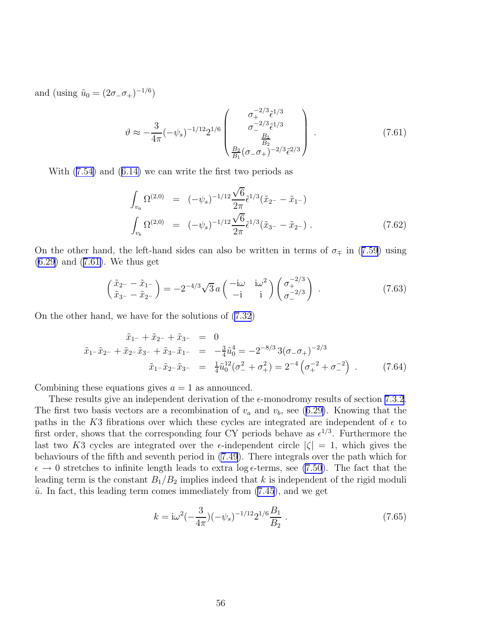and (using  $\tilde{u}_0 = (2\sigma_-\sigma_+)^{-1/6}$ )

$$
\vartheta \approx -\frac{3}{4\pi} (-\psi_s)^{-1/12} 2^{1/6} \begin{pmatrix} \sigma_+^{-2/3} \tilde{\epsilon}^{1/3} \\ \sigma_-^{-2/3} \tilde{\epsilon}^{1/3} \\ \frac{B_1}{B_2} \\ \frac{B_2}{B_1} (\sigma_- \sigma_+)^{-2/3} \tilde{\epsilon}^{2/3} \end{pmatrix} . \tag{7.61}
$$

With([7.54\)](#page-55-0) and([6.14\)](#page-38-0) we can write the first two periods as

$$
\int_{v_a} \Omega^{(2,0)} = (-\psi_s)^{-1/12} \frac{\sqrt{6}}{2\pi} \tilde{\epsilon}^{1/3} (\tilde{x}_{2} - \tilde{x}_{1} -)
$$
\n
$$
\int_{v_b} \Omega^{(2,0)} = (-\psi_s)^{-1/12} \frac{\sqrt{6}}{2\pi} \tilde{\epsilon}^{1/3} (\tilde{x}_{3} - \tilde{x}_{2} -).
$$
\n(7.62)

Onthe other hand, the left-hand sides can also be written in terms of  $\sigma_{\mp}$  in ([7.59](#page-56-0)) using [\(6.29](#page-42-0)) and (7.61). We thus get

$$
\begin{pmatrix}\n\tilde{x}_{2} - \tilde{x}_{1} \\
\tilde{x}_{3} - \tilde{x}_{2} - \end{pmatrix} = -2^{-4/3}\sqrt{3}a \begin{pmatrix}\n-\mathrm{i}\omega & \mathrm{i}\omega^{2} \\
-\mathrm{i} & \mathrm{i}\n\end{pmatrix} \begin{pmatrix}\n\sigma_{+}^{-2/3} \\
\sigma_{-}^{-2/3}\n\end{pmatrix} .
$$
\n(7.63)

On the other hand, we have for the solutions of [\(7.32](#page-51-0))

$$
\tilde{x}_{1} - \tilde{x}_{2} - + \tilde{x}_{2} - \tilde{x}_{3} - = 0
$$
\n
$$
\tilde{x}_{1} - \tilde{x}_{2} - + \tilde{x}_{2} - \tilde{x}_{3} - + \tilde{x}_{3} - \tilde{x}_{1} - = -\frac{3}{4}\tilde{u}_{0}^{4} = -2^{-8/3}3(\sigma_{-}\sigma_{+})^{-2/3}
$$
\n
$$
\tilde{x}_{1} - \tilde{x}_{2} - \tilde{x}_{3} - = \frac{1}{4}\tilde{u}_{0}^{12}(\sigma_{-}^{2} + \sigma_{+}^{2}) = 2^{-4}(\sigma_{+}^{-2} + \sigma_{-}^{-2}).
$$
\n(7.64)

Combining these equations gives  $a = 1$  as announced.

These results give an independent derivation of the  $\epsilon$ -monodromy results of section [7.3.2](#page-51-0). Thefirst two basis vectors are a recombination of  $v_a$  and  $v_b$ , see ([6.29\)](#page-42-0). Knowing that the paths in the K3 fibrations over which these cycles are integrated are independent of  $\epsilon$  to first order, shows that the corresponding four CY periods behave as  $\epsilon^{1/3}$ . Furthermore the last two K3 cycles are integrated over the  $\epsilon$ -independent circle  $|\zeta| = 1$ , which gives the behaviours of the fifth and seventh period in [\(7.49](#page-54-0)). There integrals over the path which for  $\epsilon \to 0$  stretches to infinite length leads to extra log  $\epsilon$ -terms, see [\(7.50](#page-54-0)). The fact that the leading term is the constant  $B_1/B_2$  implies indeed that k is independent of the rigid moduli  $\tilde{u}$ . In fact, this leading term comes immediately from  $(7.45)$ , and we get

$$
k = i\omega^2 \left(-\frac{3}{4\pi}\right) \left(-\psi_s\right)^{-1/12} 2^{1/6} \frac{B_1}{B_2} \,. \tag{7.65}
$$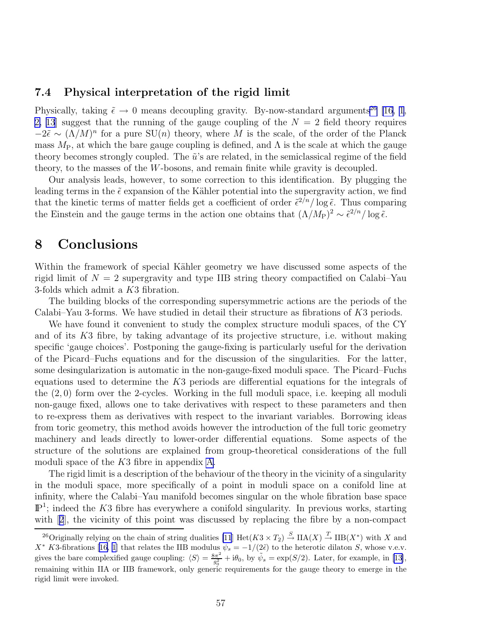## 7.4 Physical interpretation of the rigid limit

Physically, taking  $\tilde{\epsilon} \to 0$  means decoupling gravity. By-now-standard arguments<sup>26</sup> [\[16](#page-79-0), [1](#page-78-0), [2,](#page-78-0) [13](#page-79-0) suggest that the running of the gauge coupling of the  $N = 2$  field theory requires  $-2\tilde{\epsilon} \sim (\Lambda/M)^n$  for a pure SU(n) theory, where M is the scale, of the order of the Planck mass  $M_P$ , at which the bare gauge coupling is defined, and  $\Lambda$  is the scale at which the gauge theory becomes strongly coupled. The  $\tilde{u}$ 's are related, in the semiclassical regime of the field theory, to the masses of the W-bosons, and remain finite while gravity is decoupled.

Our analysis leads, however, to some correction to this identification. By plugging the leading terms in the  $\tilde{\epsilon}$  expansion of the Kähler potential into the supergravity action, we find that the kinetic terms of matter fields get a coefficient of order  $\tilde{\epsilon}^{2/n}/\log \tilde{\epsilon}$ . Thus comparing the Einstein and the gauge terms in the action one obtains that  $(\Lambda/M_P)^2 \sim \tilde{\epsilon}^{2/n}/\log \tilde{\epsilon}$ .

# 8 Conclusions

Within the framework of special Kähler geometry we have discussed some aspects of the rigid limit of  $N = 2$  supergravity and type IIB string theory compactified on Calabi–Yau 3-folds which admit a K3 fibration.

The building blocks of the corresponding supersymmetric actions are the periods of the Calabi–Yau 3-forms. We have studied in detail their structure as fibrations of K3 periods.

We have found it convenient to study the complex structure moduli spaces, of the CY and of its K3 fibre, by taking advantage of its projective structure, i.e. without making specific 'gauge choices'. Postponing the gauge-fixing is particularly useful for the derivation of the Picard–Fuchs equations and for the discussion of the singularities. For the latter, some desingularization is automatic in the non-gauge-fixed moduli space. The Picard–Fuchs equations used to determine the  $K3$  periods are differential equations for the integrals of the (2, 0) form over the 2-cycles. Working in the full moduli space, i.e. keeping all moduli non-gauge fixed, allows one to take derivatives with respect to these parameters and then to re-express them as derivatives with respect to the invariant variables. Borrowing ideas from toric geometry, this method avoids however the introduction of the full toric geometry machinery and leads directly to lower-order differential equations. Some aspects of the structure of the solutions are explained from group-theoretical considerations of the full moduli space of the K3 fibre in appendix [A](#page-60-0).

The rigid limit is a description of the behaviour of the theory in the vicinity of a singularity in the moduli space, more specifically of a point in moduli space on a conifold line at infinity, where the Calabi–Yau manifold becomes singular on the whole fibration base space  $\mathbb{P}^1$ ; indeed the K3 fibre has everywhere a conifold singularity. In previous works, starting with[[2](#page-78-0)], the vicinity of this point was discussed by replacing the fibre by a non-compact

<sup>&</sup>lt;sup>26</sup>Originally relying on the chain of string dualities  $[11] \text{ Het}(K3 \times T_2) \stackrel{S}{\rightarrow} \text{IIA}(X) \stackrel{T}{\rightarrow} \text{IIB}(X^*)$  with X and  $X^*$  K3-fibrations [\[16](#page-79-0), [1](#page-78-0)] that relates the IIB modulus  $\tilde{\psi}_s = -1/(2\tilde{\epsilon})$  to the heterotic dilaton  $S$ , whose v.e.v. gives the bare complexified gauge coupling:  $\langle S \rangle = \frac{8\pi^2}{g_0^2}$  $\frac{3\pi^2}{g_0^2} + i\theta_0$  $\frac{3\pi^2}{g_0^2} + i\theta_0$  $\frac{3\pi^2}{g_0^2} + i\theta_0$ , by  $\tilde{\psi}_s = \exp(S/2)$ . Later, for example, in [[13\]](#page-79-0), remaining within IIA or IIB framework, only generic requirements for the gauge theory to emerge in the rigid limit were invoked.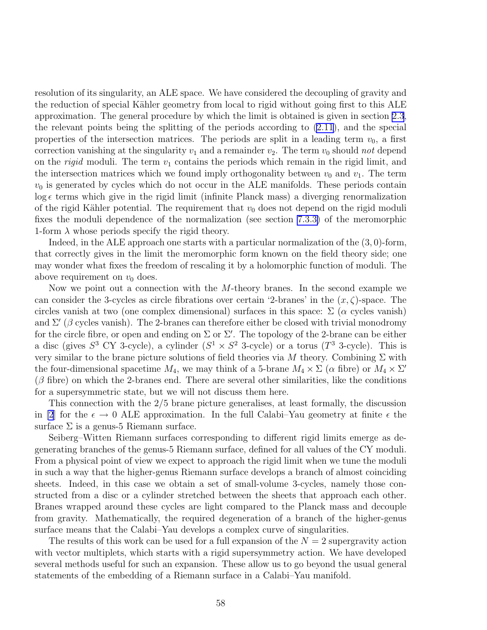resolution of its singularity, an ALE space. We have considered the decoupling of gravity and the reduction of special Kähler geometry from local to rigid without going first to this ALE approximation. The general procedure by which the limit is obtained is given in section [2.3](#page-7-0), the relevant points being the splitting of the periods according to [\(2.11](#page-7-0)), and the special properties of the intersection matrices. The periods are split in a leading term  $v_0$ , a first correction vanishing at the singularity  $v_1$  and a remainder  $v_2$ . The term  $v_0$  should *not* depend on the *rigid* moduli. The term  $v_1$  contains the periods which remain in the rigid limit, and the intersection matrices which we found imply orthogonality between  $v_0$  and  $v_1$ . The term  $v_0$  is generated by cycles which do not occur in the ALE manifolds. These periods contain  $\log \epsilon$  terms which give in the rigid limit (infinite Planck mass) a diverging renormalization of the rigid Kähler potential. The requirement that  $v_0$  does not depend on the rigid moduli fixes the moduli dependence of the normalization (see section [7.3.3\)](#page-55-0) of the meromorphic 1-form  $\lambda$  whose periods specify the rigid theory.

Indeed, in the ALE approach one starts with a particular normalization of the (3, 0)-form, that correctly gives in the limit the meromorphic form known on the field theory side; one may wonder what fixes the freedom of rescaling it by a holomorphic function of moduli. The above requirement on  $v_0$  does.

Now we point out a connection with the M-theory branes. In the second example we can consider the 3-cycles as circle fibrations over certain '2-branes' in the  $(x, \zeta)$ -space. The circles vanish at two (one complex dimensional) surfaces in this space:  $\Sigma$  ( $\alpha$  cycles vanish) and  $\Sigma'$  ( $\beta$  cycles vanish). The 2-branes can therefore either be closed with trivial monodromy for the circle fibre, or open and ending on  $\Sigma$  or  $\Sigma'$ . The topology of the 2-brane can be either a disc (gives  $S^3$  CY 3-cycle), a cylinder  $(S^1 \times S^2$  3-cycle) or a torus  $(T^3$  3-cycle). This is very similar to the brane picture solutions of field theories via M theory. Combining  $\Sigma$  with the four-dimensional spacetime  $M_4$ , we may think of a 5-brane  $M_4 \times \Sigma$  ( $\alpha$  fibre) or  $M_4 \times \Sigma'$  $(\beta$  fibre) on which the 2-branes end. There are several other similarities, like the conditions for a supersymmetric state, but we will not discuss them here.

This connection with the 2/5 brane picture generalises, at least formally, the discussion in [\[2](#page-78-0)] for the  $\epsilon \to 0$  ALE approximation. In the full Calabi–Yau geometry at finite  $\epsilon$  the surface  $\Sigma$  is a genus-5 Riemann surface.

Seiberg–Witten Riemann surfaces corresponding to different rigid limits emerge as degenerating branches of the genus-5 Riemann surface, defined for all values of the CY moduli. From a physical point of view we expect to approach the rigid limit when we tune the moduli in such a way that the higher-genus Riemann surface develops a branch of almost coinciding sheets. Indeed, in this case we obtain a set of small-volume 3-cycles, namely those constructed from a disc or a cylinder stretched between the sheets that approach each other. Branes wrapped around these cycles are light compared to the Planck mass and decouple from gravity. Mathematically, the required degeneration of a branch of the higher-genus surface means that the Calabi–Yau develops a complex curve of singularities.

The results of this work can be used for a full expansion of the  $N = 2$  supergravity action with vector multiplets, which starts with a rigid supersymmetry action. We have developed several methods useful for such an expansion. These allow us to go beyond the usual general statements of the embedding of a Riemann surface in a Calabi–Yau manifold.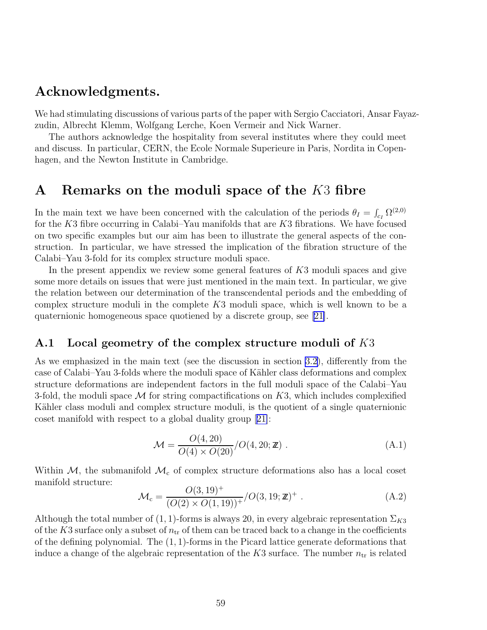# <span id="page-60-0"></span>Acknowledgments.

We had stimulating discussions of various parts of the paper with Sergio Cacciatori, Ansar Fayazzudin, Albrecht Klemm, Wolfgang Lerche, Koen Vermeir and Nick Warner.

The authors acknowledge the hospitality from several institutes where they could meet and discuss. In particular, CERN, the Ecole Normale Superieure in Paris, Nordita in Copenhagen, and the Newton Institute in Cambridge.

# A Remarks on the moduli space of the K3 fibre

In the main text we have been concerned with the calculation of the periods  $\theta_I = \int_{c_I} \Omega^{(2,0)}$ for the K3 fibre occurring in Calabi–Yau manifolds that are K3 fibrations. We have focused on two specific examples but our aim has been to illustrate the general aspects of the construction. In particular, we have stressed the implication of the fibration structure of the Calabi–Yau 3-fold for its complex structure moduli space.

In the present appendix we review some general features of K3 moduli spaces and give some more details on issues that were just mentioned in the main text. In particular, we give the relation between our determination of the transcendental periods and the embedding of complex structure moduli in the complete  $K3$  moduli space, which is well known to be a quaternionic homogeneous space quotiened by a discrete group, see [\[21\]](#page-79-0).

## A.1 Local geometry of the complex structure moduli of K3

As we emphasized in the main text (see the discussion in section [3.2](#page-10-0)), differently from the case of Calabi–Yau 3-folds where the moduli space of Kähler class deformations and complex structure deformations are independent factors in the full moduli space of the Calabi–Yau 3-fold, the moduli space  $\mathcal M$  for string compactifications on  $K3$ , which includes complexified Kähler class moduli and complex structure moduli, is the quotient of a single quaternionic coset manifold with respect to a global duality group[[21\]](#page-79-0):

$$
\mathcal{M} = \frac{O(4, 20)}{O(4) \times O(20)} / O(4, 20; \mathbf{Z}) .
$$
 (A.1)

Within  $M$ , the submanifold  $M_c$  of complex structure deformations also has a local coset manifold structure:

$$
\mathcal{M}_{c} = \frac{O(3, 19)^{+}}{(O(2) \times O(1, 19))^{+}} / O(3, 19; \mathbb{Z})^{+} .
$$
 (A.2)

Although the total number of  $(1, 1)$ -forms is always 20, in every algebraic representation  $\Sigma_{K3}$ of the K3 surface only a subset of  $n_{tr}$  of them can be traced back to a change in the coefficients of the defining polynomial. The  $(1, 1)$ -forms in the Picard lattice generate deformations that induce a change of the algebraic representation of the K3 surface. The number  $n_{tr}$  is related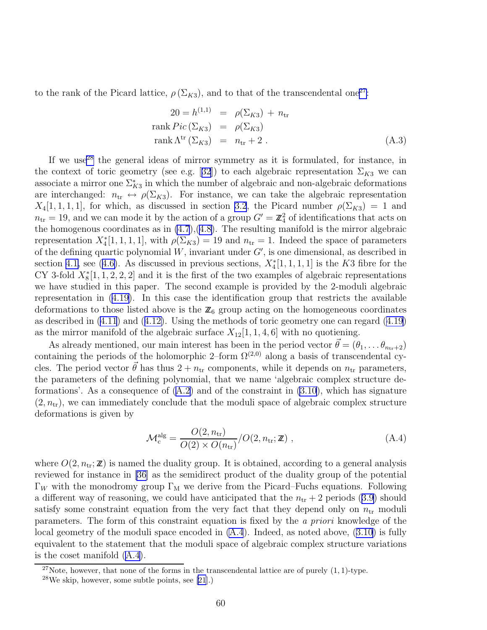to the rank of the Picard lattice,  $\rho(\Sigma_{K3})$ , and to that of the transcendental one<sup>27</sup>:

$$
20 = h^{(1,1)} = \rho(\Sigma_{K3}) + n_{tr}
$$
  
rank  $Pic(\Sigma_{K3}) = \rho(\Sigma_{K3})$   
rank  $\Lambda^{tr}(\Sigma_{K3}) = n_{tr} + 2$ . (A.3)

If we use<sup>28</sup> the general ideas of mirror symmetry as it is formulated, for instance, in thecontext of toric geometry (see e.g. [[32](#page-80-0)]) to each algebraic representation  $\Sigma_{K3}$  we can associate a mirror one  $\Sigma_{K3}^*$  in which the number of algebraic and non-algebraic deformations are interchanged:  $n_{tr} \leftrightarrow \rho(\Sigma_{K3})$ . For instance, we can take the algebraic representation  $X_4[1, 1, 1, 1]$ , for which, as discussed in section [3.2](#page-10-0), the Picard number  $\rho(\Sigma_{K3}) = 1$  and  $n_{\text{tr}} = 19$ , and we can mode it by the action of a group  $G' = \mathbb{Z}_4^2$  of identifications that acts on the homogenous coordinates as in  $(4.7)$ , $(4.8)$  $(4.8)$ . The resulting manifold is the mirror algebraic representation  $X_4^*[1,1,1,1]$ , with  $\rho(\Sigma_{K3})=19$  and  $n_{\rm tr}=1$ . Indeed the space of parameters of the defining quartic polynomial  $W$ , invariant under  $G'$ , is one dimensional, as described in section [4.1,](#page-15-0)see ([4.6\)](#page-16-0). As discussed in previous sections,  $X_4^*[1,1,1,1]$  is the K3 fibre for the CY 3-fold  $X_8^*[1, 1, 2, 2, 2]$  and it is the first of the two examples of algebraic representations we have studied in this paper. The second example is provided by the 2-moduli algebraic representation in [\(4.19\)](#page-18-0). In this case the identification group that restricts the available deformations to those listed above is the  $\mathbb{Z}_6$  group acting on the homogeneous coordinates as described in [\(4.11](#page-17-0)) and([4.12\)](#page-17-0). Using the methods of toric geometry one can regard [\(4.19\)](#page-18-0) as the mirror manifold of the algebraic surface  $X_{12}[1, 1, 4, 6]$  with no quotiening.

As already mentioned, our main interest has been in the period vector  $\vec{\theta} = (\theta_1, \dots \theta_{n_{tr}+2})$ containing the periods of the holomorphic 2–form  $\Omega^{(2,0)}$  along a basis of transcendental cycles. The period vector  $\theta$  has thus  $2 + n_{tr}$  components, while it depends on  $n_{tr}$  parameters, the parameters of the defining polynomial, that we name 'algebraic complex structure deformations'. As a consequence of  $(A.2)$  and of the constraint in  $(3.10)$ , which has signature  $(2, n_{\rm tr})$ , we can immediately conclude that the moduli space of algebraic complex structure deformations is given by

$$
\mathcal{M}_\text{c}^\text{alg} = \frac{O(2, n_\text{tr})}{O(2) \times O(n_\text{tr})} / O(2, n_\text{tr}; \mathbb{Z}), \qquad (A.4)
$$

where  $O(2, n_{\text{tr}}; \mathbb{Z})$  is named the duality group. It is obtained, according to a general analysis reviewed for instance in [\[36](#page-80-0)] as the semidirect product of the duality group of the potential Γ<sub>W</sub> with the monodromy group Γ<sub>M</sub> we derive from the Picard–Fuchs equations. Following adifferent way of reasoning, we could have anticipated that the  $n_{tr} + 2$  periods ([3.9\)](#page-12-0) should satisfy some constraint equation from the very fact that they depend only on  $n_{tr}$  moduli parameters. The form of this constraint equation is fixed by the *a priori* knowledge of the localgeometry of the moduli space encoded in  $(A.4)$ . Indeed, as noted above,  $(3.10)$  $(3.10)$  is fully equivalent to the statement that the moduli space of algebraic complex structure variations is the coset manifold (A.4).

<sup>&</sup>lt;sup>27</sup>Note, however, that none of the forms in the transcendental lattice are of purely  $(1, 1)$ -type.

 $28$ We skip, however, some subtle points, see [\[21](#page-79-0)].)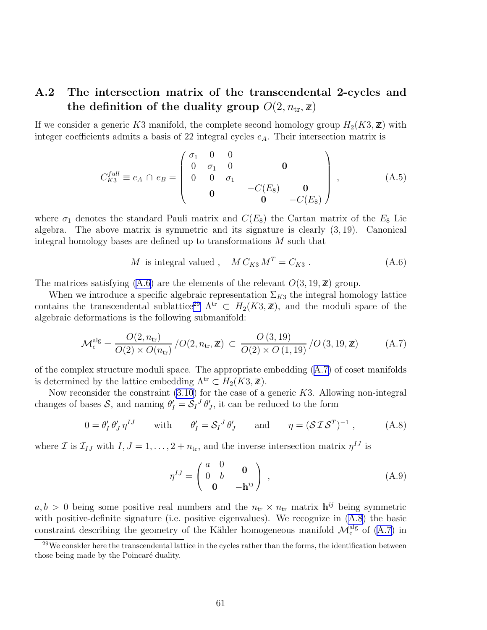# <span id="page-62-0"></span>A.2 The intersection matrix of the transcendental 2-cycles and the definition of the duality group  $O(2, n_{tr}, \mathbf{z})$

If we consider a generic K3 manifold, the complete second homology group  $H_2(K3, \mathbb{Z})$  with integer coefficients admits a basis of 22 integral cycles  $e_A$ . Their intersection matrix is

$$
C_{K3}^{full} \equiv e_A \cap e_B = \begin{pmatrix} \sigma_1 & 0 & 0 \\ 0 & \sigma_1 & 0 & 0 \\ 0 & 0 & \sigma_1 & 0 \\ 0 & 0 & -C(E_8) & 0 \\ 0 & 0 & -C(E_8) \end{pmatrix}, \quad (A.5)
$$

where  $\sigma_1$  denotes the standard Pauli matrix and  $C(E_8)$  the Cartan matrix of the  $E_8$  Lie algebra. The above matrix is symmetric and its signature is clearly  $(3, 19)$ . Canonical integral homology bases are defined up to transformations M such that

$$
M \text{ is integral valued }, \quad M \, C_{K3} \, M^T = C_{K3} \,. \tag{A.6}
$$

The matrices satisfying (A.6) are the elements of the relevant  $O(3, 19, \mathbb{Z})$  group.

When we introduce a specific algebraic representation  $\Sigma_{K3}$  the integral homology lattice contains the transcendental sublattice<sup>29</sup>  $\Lambda^{tr} \subset H_2(K3, \mathbb{Z})$ , and the moduli space of the algebraic deformations is the following submanifold:

$$
\mathcal{M}_c^{\text{alg}} = \frac{O(2, n_{\text{tr}})}{O(2) \times O(n_{\text{tr}})} / O(2, n_{\text{tr}}, \mathbb{Z}) \subset \frac{O(3, 19)}{O(2) \times O(1, 19)} / O(3, 19, \mathbb{Z}) \tag{A.7}
$$

of the complex structure moduli space. The appropriate embedding  $(A.7)$  of coset manifolds is determined by the lattice embedding  $\Lambda^{tr} \subset H_2(K3, \mathbb{Z})$ .

Now reconsider the constraint  $(3.10)$  for the case of a generic K3. Allowing non-integral changes of bases  $S$ , and naming  $\theta'_I = S_I^J \theta'_J$ , it can be reduced to the form

$$
0 = \theta'_I \theta'_J \eta^{IJ} \qquad \text{with} \qquad \theta'_I = \mathcal{S}_I{}^J \theta'_J \qquad \text{and} \qquad \eta = (\mathcal{S} \mathcal{I} \mathcal{S}^T)^{-1} \,, \tag{A.8}
$$

where  $\mathcal{I}$  is  $\mathcal{I}_{IJ}$  with  $I, J = 1, \ldots, 2 + n_{tr}$ , and the inverse intersection matrix  $\eta^{IJ}$  is

$$
\eta^{IJ} = \begin{pmatrix} a & 0 & 0 \\ 0 & b & 0 \\ 0 & -\mathbf{h}^{ij} \end{pmatrix} , \qquad (A.9)
$$

 $a, b > 0$  being some positive real numbers and the  $n_{tr} \times n_{tr}$  matrix  $h^{ij}$  being symmetric with positive-definite signature (i.e. positive eigenvalues). We recognize in (A.8) the basic constraint describing the geometry of the Kähler homogeneous manifold  $\mathcal{M}^{\text{alg}}_{\text{c}}$  of (A.7) in

 $29$ We consider here the transcendental lattice in the cycles rather than the forms, the identification between those being made by the Poincaré duality.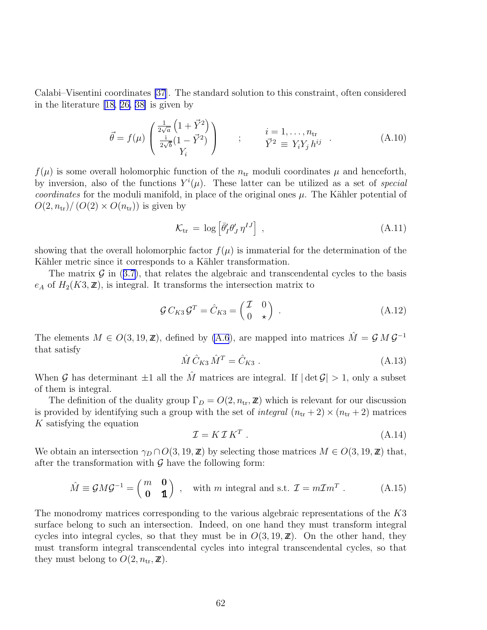<span id="page-63-0"></span>Calabi–Visentini coordinates [\[37](#page-80-0)]. The standard solution to this constraint, often considered in the literature [\[18,](#page-79-0) [26, 38\]](#page-80-0) is given by

$$
\vec{\theta} = f(\mu) \begin{pmatrix} \frac{1}{2\sqrt{a}} \left( 1 + \vec{Y}^2 \right) \\ \frac{i}{2\sqrt{b}} \left( 1 - \vec{Y}^2 \right) \\ Y_i \end{pmatrix} \qquad ; \qquad \begin{array}{l} i = 1, \dots, n_{\text{tr}} \\ \vec{Y}^2 \equiv Y_i Y_j h^{ij} \end{array} . \tag{A.10}
$$

 $f(\mu)$  is some overall holomorphic function of the  $n_{tr}$  moduli coordinates  $\mu$  and henceforth, by inversion, also of the functions  $Y^{i}(\mu)$ . These latter can be utilized as a set of *special coordinates* for the moduli manifold, in place of the original ones  $\mu$ . The Kähler potential of  $O(2, n_{\rm tr})/ (O(2) \times O(n_{\rm tr}))$  is given by

$$
\mathcal{K}_{\text{tr}} = \log \left[ \bar{\theta}'_I \theta'_J \eta^{IJ} \right] \,, \tag{A.11}
$$

showing that the overall holomorphic factor  $f(\mu)$  is immaterial for the determination of the Kähler metric since it corresponds to a Kähler transformation.

Thematrix  $\mathcal G$  in ([3.7\)](#page-12-0), that relates the algebraic and transcendental cycles to the basis  $e_A$  of  $H_2(K3, \mathbb{Z})$ , is integral. It transforms the intersection matrix to

$$
\mathcal{G} C_{K3} \mathcal{G}^T = \hat{C}_{K3} = \begin{pmatrix} \mathcal{I} & 0 \\ 0 & \star \end{pmatrix} .
$$
 (A.12)

The elements  $M \in O(3, 19, \mathbb{Z})$ , defined by [\(A.6](#page-62-0)), are mapped into matrices  $\hat{M} = \mathcal{G} M \mathcal{G}^{-1}$ that satisfy

$$
\hat{M}\hat{C}_{K3}\hat{M}^T = \hat{C}_{K3} . \tag{A.13}
$$

When G has determinant  $\pm 1$  all the  $\hat{M}$  matrices are integral. If  $|\det G| > 1$ , only a subset of them is integral.

The definition of the duality group  $\Gamma_D = O(2, n_{\rm tr}, \mathbb{Z})$  which is relevant for our discussion is provided by identifying such a group with the set of *integral*  $(n_{tr} + 2) \times (n_{tr} + 2)$  matrices K satisfying the equation

$$
\mathcal{I} = K \mathcal{I} K^T \tag{A.14}
$$

We obtain an intersection  $\gamma_D \cap O(3, 19, \mathbb{Z})$  by selecting those matrices  $M \in O(3, 19, \mathbb{Z})$  that, after the transformation with  $\mathcal G$  have the following form:

$$
\hat{M} \equiv \mathcal{G}M\mathcal{G}^{-1} = \begin{pmatrix} m & \mathbf{0} \\ \mathbf{0} & \mathbf{1} \end{pmatrix} , \text{ with } m \text{ integral and s.t. } \mathcal{I} = m\mathcal{I}m^T .
$$
 (A.15)

The monodromy matrices corresponding to the various algebraic representations of the K3 surface belong to such an intersection. Indeed, on one hand they must transform integral cycles into integral cycles, so that they must be in  $O(3, 19, \mathbb{Z})$ . On the other hand, they must transform integral transcendental cycles into integral transcendental cycles, so that they must belong to  $O(2, n_{\rm tr}, \mathbb{Z})$ .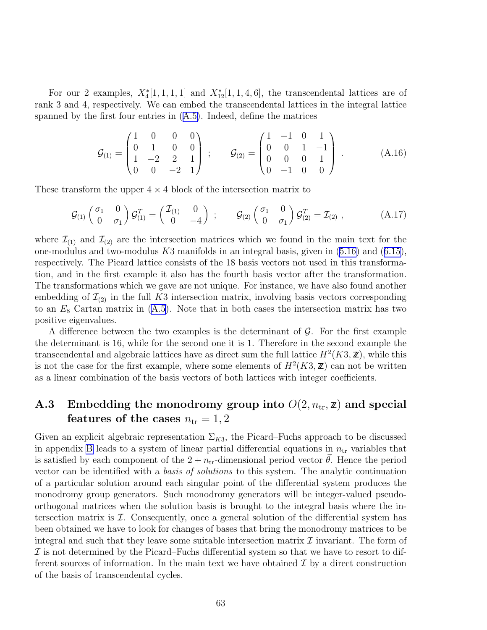For our 2 examples,  $X_4^*[1,1,1,1]$  and  $X_{12}^*[1,1,4,6]$ , the transcendental lattices are of rank 3 and 4, respectively. We can embed the transcendental lattices in the integral lattice spanned by the first four entries in([A.5\)](#page-62-0). Indeed, define the matrices

$$
\mathcal{G}_{(1)} = \begin{pmatrix} 1 & 0 & 0 & 0 \\ 0 & 1 & 0 & 0 \\ 1 & -2 & 2 & 1 \\ 0 & 0 & -2 & 1 \end{pmatrix} ; \qquad \mathcal{G}_{(2)} = \begin{pmatrix} 1 & -1 & 0 & 1 \\ 0 & 0 & 1 & -1 \\ 0 & 0 & 0 & 1 \\ 0 & -1 & 0 & 0 \end{pmatrix} . \tag{A.16}
$$

These transform the upper  $4 \times 4$  block of the intersection matrix to

$$
\mathcal{G}_{(1)}\begin{pmatrix} \sigma_1 & 0 \\ 0 & \sigma_1 \end{pmatrix} \mathcal{G}_{(1)}^T = \begin{pmatrix} \mathcal{I}_{(1)} & 0 \\ 0 & -4 \end{pmatrix} ; \qquad \mathcal{G}_{(2)}\begin{pmatrix} \sigma_1 & 0 \\ 0 & \sigma_1 \end{pmatrix} \mathcal{G}_{(2)}^T = \mathcal{I}_{(2)} , \qquad (A.17)
$$

where  $\mathcal{I}_{(1)}$  and  $\mathcal{I}_{(2)}$  are the intersection matrices which we found in the main text for the one-modulusand two-modulus  $K3$  manifolds in an integral basis, given in  $(5.16)$  $(5.16)$  and  $(6.15)$  $(6.15)$ , respectively. The Picard lattice consists of the 18 basis vectors not used in this transformation, and in the first example it also has the fourth basis vector after the transformation. The transformations which we gave are not unique. For instance, we have also found another embedding of  $\mathcal{I}_{(2)}$  in the full K3 intersection matrix, involving basis vectors corresponding to an  $E_8$  Cartan matrix in  $(A.5)$ . Note that in both cases the intersection matrix has two positive eigenvalues.

A difference between the two examples is the determinant of  $\mathcal{G}$ . For the first example the determinant is 16, while for the second one it is 1. Therefore in the second example the transcendental and algebraic lattices have as direct sum the full lattice  $H^2(K3, \mathbb{Z})$ , while this is not the case for the first example, where some elements of  $H^2(K3, \mathbb{Z})$  can not be written as a linear combination of the basis vectors of both lattices with integer coefficients.

# A.3 Embedding the monodromy group into  $O(2, n_{\text{tr}}, \mathbf{z})$  and special features of the cases  $n_{tr} = 1, 2$

Given an explicit algebraic representation  $\Sigma_{K3}$ , the Picard–Fuchs approach to be discussed in appendix [B](#page-68-0) leads to a system of linear partial differential equations in  $n_{\rm tr}$  variables that is satisfied by each component of the  $2 + n_{tr}$ -dimensional period vector  $\theta$ . Hence the period vector can be identified with a *basis of solutions* to this system. The analytic continuation of a particular solution around each singular point of the differential system produces the monodromy group generators. Such monodromy generators will be integer-valued pseudoorthogonal matrices when the solution basis is brought to the integral basis where the intersection matrix is  $\mathcal I$ . Consequently, once a general solution of the differential system has been obtained we have to look for changes of bases that bring the monodromy matrices to be integral and such that they leave some suitable intersection matrix  $\mathcal I$  invariant. The form of  $\mathcal I$  is not determined by the Picard–Fuchs differential system so that we have to resort to different sources of information. In the main text we have obtained  $\mathcal I$  by a direct construction of the basis of transcendental cycles.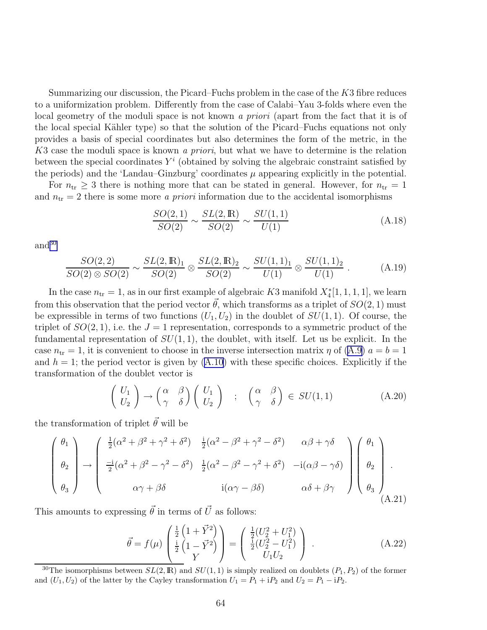<span id="page-65-0"></span>Summarizing our discussion, the Picard–Fuchs problem in the case of the  $K3$  fibre reduces to a uniformization problem. Differently from the case of Calabi–Yau 3-folds where even the local geometry of the moduli space is not known *a priori* (apart from the fact that it is of the local special Kähler type) so that the solution of the Picard–Fuchs equations not only provides a basis of special coordinates but also determines the form of the metric, in the K3 case the moduli space is known *a priori*, but what we have to determine is the relation between the special coordinates  $Y^i$  (obtained by solving the algebraic constraint satisfied by the periods) and the 'Landau–Ginzburg' coordinates  $\mu$  appearing explicitly in the potential.

For  $n_{\text{tr}} \geq 3$  there is nothing more that can be stated in general. However, for  $n_{\text{tr}} = 1$ and  $n_{\text{tr}} = 2$  there is some more *a priori* information due to the accidental isomorphisms

$$
\frac{SO(2,1)}{SO(2)} \sim \frac{SL(2,\mathbb{R})}{SO(2)} \sim \frac{SU(1,1)}{U(1)}
$$
(A.18)

and<sup>30</sup>

$$
\frac{SO(2,2)}{SO(2)\otimes SO(2)} \sim \frac{SL(2,\mathbb{R})_1}{SO(2)} \otimes \frac{SL(2,\mathbb{R})_2}{SO(2)} \sim \frac{SU(1,1)_1}{U(1)} \otimes \frac{SU(1,1)_2}{U(1)}\,. \tag{A.19}
$$

In the case  $n_{tr} = 1$ , as in our first example of algebraic K3 manifold  $X_4^*[1, 1, 1, 1]$ , we learn from this observation that the period vector  $\vec{\theta}$ , which transforms as a triplet of  $SO(2, 1)$  must be expressible in terms of two functions  $(U_1, U_2)$  in the doublet of  $SU(1, 1)$ . Of course, the triplet of  $SO(2, 1)$ , i.e. the  $J = 1$  representation, corresponds to a symmetric product of the fundamental representation of  $SU(1,1)$ , the doublet, with itself. Let us be explicit. In the case  $n_{tr} = 1$ , it is convenient to choose in the inverse intersection matrix  $\eta$  of [\(A.9](#page-62-0))  $a = b = 1$ and  $h = 1$ ; the period vector is given by  $(A.10)$  with these specific choices. Explicitly if the transformation of the doublet vector is

$$
\begin{pmatrix} U_1 \\ U_2 \end{pmatrix} \rightarrow \begin{pmatrix} \alpha & \beta \\ \gamma & \delta \end{pmatrix} \begin{pmatrix} U_1 \\ U_2 \end{pmatrix} ; \quad \begin{pmatrix} \alpha & \beta \\ \gamma & \delta \end{pmatrix} \in SU(1,1) \tag{A.20}
$$

the transformation of triplet  $\vec{\theta}$  will be

$$
\begin{pmatrix}\n\theta_1 \\
\theta_2 \\
\theta_3\n\end{pmatrix} \rightarrow \begin{pmatrix}\n\frac{1}{2}(\alpha^2 + \beta^2 + \gamma^2 + \delta^2) & \frac{i}{2}(\alpha^2 - \beta^2 + \gamma^2 - \delta^2) & \alpha\beta + \gamma\delta \\
\frac{-i}{2}(\alpha^2 + \beta^2 - \gamma^2 - \delta^2) & \frac{1}{2}(\alpha^2 - \beta^2 - \gamma^2 + \delta^2) & -i(\alpha\beta - \gamma\delta) \\
\alpha\gamma + \beta\delta & i(\alpha\gamma - \beta\delta) & \alpha\delta + \beta\gamma\n\end{pmatrix}\n\begin{pmatrix}\n\theta_1 \\
\theta_2 \\
\theta_3\n\end{pmatrix}.
$$
\n(A.21)

This amounts to expressing  $\vec{\theta}$  in terms of  $\vec{U}$  as follows:

$$
\vec{\theta} = f(\mu) \begin{pmatrix} \frac{1}{2} \left( 1 + \vec{Y}^2 \right) \\ \frac{1}{2} \left( 1 - \vec{Y}^2 \right) \\ Y \end{pmatrix} = \begin{pmatrix} \frac{1}{2} (U_2^2 + U_1^2) \\ \frac{1}{2} (U_2^2 - U_1^2) \\ U_1 U_2 \end{pmatrix} .
$$
 (A.22)

<sup>&</sup>lt;sup>30</sup>The isomorphisms between  $SL(2,\mathbb{R})$  and  $SU(1,1)$  is simply realized on doublets  $(P_1, P_2)$  of the former and  $(U_1, U_2)$  of the latter by the Cayley transformation  $U_1 = P_1 + iP_2$  and  $U_2 = P_1 - iP_2$ .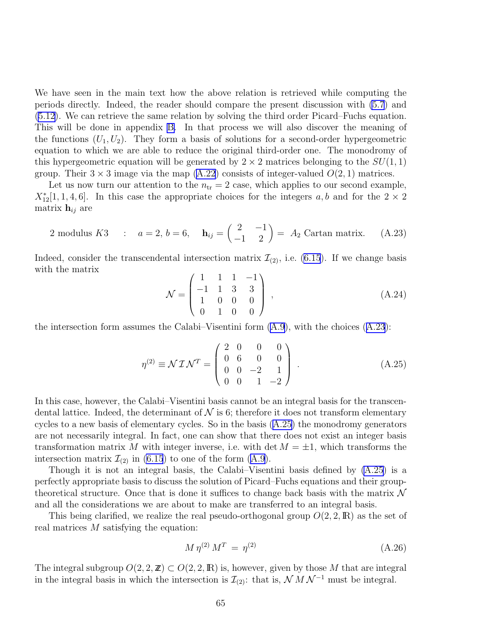We have seen in the main text how the above relation is retrieved while computing the periods directly. Indeed, the reader should compare the present discussion with [\(5.7](#page-27-0)) and [\(5.12](#page-28-0)). We can retrieve the same relation by solving the third order Picard–Fuchs equation. This will be done in appendix [B.](#page-68-0) In that process we will also discover the meaning of the functions  $(U_1, U_2)$ . They form a basis of solutions for a second-order hypergeometric equation to which we are able to reduce the original third-order one. The monodromy of this hypergeometric equation will be generated by  $2 \times 2$  matrices belonging to the  $SU(1,1)$ group. Their  $3 \times 3$  image via the map [\(A.22](#page-65-0)) consists of integer-valued  $O(2, 1)$  matrices.

Let us now turn our attention to the  $n_{tr} = 2$  case, which applies to our second example,  $X_{12}^{*}[1, 1, 4, 6]$ . In this case the appropriate choices for the integers a, b and for the  $2 \times 2$ matrix  $\mathbf{h}_{ij}$  are

2 modulus K3 : 
$$
a = 2, b = 6
$$
,  $\mathbf{h}_{ij} = \begin{pmatrix} 2 & -1 \\ -1 & 2 \end{pmatrix} = A_2$  Cartan matrix. (A.23)

Indeed, consider the transcendental intersection matrix  $\mathcal{I}_{(2)}$ , i.e. [\(6.15](#page-38-0)). If we change basis with the matrix

$$
\mathcal{N} = \begin{pmatrix} 1 & 1 & 1 & -1 \\ -1 & 1 & 3 & 3 \\ 1 & 0 & 0 & 0 \\ 0 & 1 & 0 & 0 \end{pmatrix},
$$
 (A.24)

the intersection form assumes the Calabi–Visentini form  $(A.9)$ , with the choices  $(A.23)$ :

$$
\eta^{(2)} \equiv \mathcal{N} \mathcal{I} \mathcal{N}^T = \begin{pmatrix} 2 & 0 & 0 & 0 \\ 0 & 6 & 0 & 0 \\ 0 & 0 & -2 & 1 \\ 0 & 0 & 1 & -2 \end{pmatrix} .
$$
 (A.25)

In this case, however, the Calabi–Visentini basis cannot be an integral basis for the transcendental lattice. Indeed, the determinant of  $N$  is 6; therefore it does not transform elementary cycles to a new basis of elementary cycles. So in the basis (A.25) the monodromy generators are not necessarily integral. In fact, one can show that there does not exist an integer basis transformation matrix M with integer inverse, i.e. with det  $M = \pm 1$ , which transforms the intersection matrix  $\mathcal{I}_{(2)}$  in [\(6.15](#page-38-0)) to one of the form [\(A.9](#page-62-0)).

Though it is not an integral basis, the Calabi–Visentini basis defined by (A.25) is a perfectly appropriate basis to discuss the solution of Picard–Fuchs equations and their grouptheoretical structure. Once that is done it suffices to change back basis with the matrix  $\mathcal N$ and all the considerations we are about to make are transferred to an integral basis.

This being clarified, we realize the real pseudo-orthogonal group  $O(2, 2, \mathbb{R})$  as the set of real matrices M satisfying the equation:

$$
M \eta^{(2)} M^T = \eta^{(2)} \tag{A.26}
$$

The integral subgroup  $O(2, 2, \mathbb{Z}) \subset O(2, 2, \mathbb{R})$  is, however, given by those M that are integral in the integral basis in which the intersection is  $\mathcal{I}_{(2)}$ : that is,  $\mathcal{N}$  M  $\mathcal{N}^{-1}$  must be integral.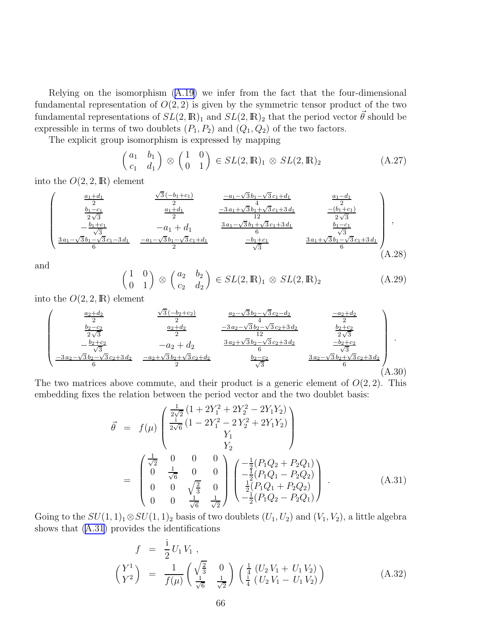Relying on the isomorphism [\(A.19\)](#page-65-0) we infer from the fact that the four-dimensional fundamental representation of  $O(2, 2)$  is given by the symmetric tensor product of the two fundamental representations of  $SL(2,\mathbb{R})_1$  and  $SL(2,\mathbb{R})_2$  that the period vector  $\vec{\theta}$  should be expressible in terms of two doublets  $(P_1, P_2)$  and  $(Q_1, Q_2)$  of the two factors.

The explicit group isomorphism is expressed by mapping

$$
\begin{pmatrix} a_1 & b_1 \ c_1 & d_1 \end{pmatrix} \otimes \begin{pmatrix} 1 & 0 \ 0 & 1 \end{pmatrix} \in SL(2, \mathbb{R})_1 \otimes SL(2, \mathbb{R})_2 \tag{A.27}
$$

into the  $O(2, 2, \mathbb{R})$  element

$$
\begin{pmatrix}\n\frac{a_1+d_1}{2} & \frac{\sqrt{3}(-b_1+c_1)}{2} & \frac{-a_1-\sqrt{3}b_1-\sqrt{3}c_1+d_1}{4} & \frac{a_1-d_1}{2} \\
\frac{b_1-c_1}{2\sqrt{3}} & \frac{a_1+d_1}{2} & \frac{-3a_1+\sqrt{3}b_1+\sqrt{3}c_1+3d_1}{12} & \frac{-(b_1+c_1)}{2\sqrt{3}} \\
-\frac{b_1+c_1}{\sqrt{3}} & -a_1+d_1 & \frac{3a_1-\sqrt{3}b_1+\sqrt{3}c_1+3d_1}{6} & \frac{b_1-c_1}{\sqrt{3}} \\
\frac{3a_1-\sqrt{3}b_1-\sqrt{3}c_1-3d_1}{6} & \frac{-a_1-\sqrt{3}b_1-\sqrt{3}c_1+d_1}{2} & \frac{-b_1+c_1}{\sqrt{3}} & \frac{3a_1+\sqrt{3}b_1-\sqrt{3}c_1+3d_1}{6}\n\end{pmatrix},
$$
\n(A.28)

and

$$
\begin{pmatrix} 1 & 0 \ 0 & 1 \end{pmatrix} \otimes \begin{pmatrix} a_2 & b_2 \ c_2 & d_2 \end{pmatrix} \in SL(2, \mathbb{R})_1 \otimes SL(2, \mathbb{R})_2 \tag{A.29}
$$

into the  $O(2, 2, \mathbb{R})$  element

$$
\begin{pmatrix}\n\frac{a_2 + d_2}{2} & \frac{\sqrt{3}(-b_2 + c_2)}{2} & \frac{a_2 - \sqrt{3}b_2 - \sqrt{3}c_2 - d_2}{4} & \frac{-a_2 + d_2}{2} \\
\frac{b_2 - c_2}{2\sqrt{3}} & \frac{a_2 + d_2}{2} & \frac{-3a_2 - \sqrt{3}b_2 - \sqrt{3}c_2 + 3d_2}{12} & \frac{b_2 + c_2}{2\sqrt{3}} \\
-\frac{b_2 + c_2}{\sqrt{3}} & -a_2 + d_2 & \frac{3a_2 + \sqrt{3}b_2 - \sqrt{3}c_2 + 3d_2}{6} & \frac{-b_2 + c_2}{\sqrt{3}} \\
\frac{-3a_2 - \sqrt{3}b_2 - \sqrt{3}c_2 + 3d_2}{6} & \frac{b_2 - c_2}{\sqrt{3}} & \frac{3a_2 - \sqrt{3}b_2 + \sqrt{3}c_2 + 3d_2}{6} & \frac{3a_2 - \sqrt{3}b_2 + \sqrt{3}c_2 + 3d_2}{6}\n\end{pmatrix}.
$$
\n(A.30)

The two matrices above commute, and their product is a generic element of  $O(2, 2)$ . This embedding fixes the relation between the period vector and the two doublet basis:

$$
\vec{\theta} = f(\mu) \begin{pmatrix} \frac{1}{2\sqrt{2}} \left(1 + 2Y_1^2 + 2Y_2^2 - 2Y_1Y_2\right) \\ \frac{1}{2\sqrt{6}} \left(1 - 2Y_1^2 - 2Y_2^2 + 2Y_1Y_2\right) \\ Y_1 \\ Y_2 \end{pmatrix}
$$

$$
= \begin{pmatrix} \frac{1}{\sqrt{2}} & 0 & 0 & 0 \\ 0 & \frac{1}{\sqrt{6}} & 0 & 0 \\ 0 & 0 & \sqrt{\frac{2}{3}} & 0 \\ 0 & 0 & \sqrt{\frac{2}{3}} & 0 \\ 0 & 0 & \frac{1}{\sqrt{6}} & \frac{1}{\sqrt{2}} \end{pmatrix} \begin{pmatrix} -\frac{1}{2}(P_1Q_2 + P_2Q_1) \\ -\frac{1}{2}(P_1Q_1 - P_2Q_2) \\ \frac{1}{2}(P_1Q_1 + P_2Q_2) \\ -\frac{1}{2}(P_1Q_2 - P_2Q_1) \end{pmatrix} .
$$
(A.31)

Going to the  $SU(1, 1)_1 \otimes SU(1, 1)_2$  basis of two doublets  $(U_1, U_2)$  and  $(V_1, V_2)$ , a little algebra shows that (A.31) provides the identifications

$$
f = \frac{\mathrm{i}}{2} U_1 V_1 ,
$$
  
\n
$$
\begin{pmatrix} Y^1 \\ Y^2 \end{pmatrix} = \frac{1}{f(\mu)} \begin{pmatrix} \sqrt{\frac{2}{3}} & 0 \\ \frac{1}{\sqrt{6}} & \frac{1}{\sqrt{2}} \end{pmatrix} \begin{pmatrix} \frac{1}{4} (U_2 V_1 + U_1 V_2) \\ \frac{1}{4} (U_2 V_1 - U_1 V_2) \end{pmatrix}
$$
 (A.32)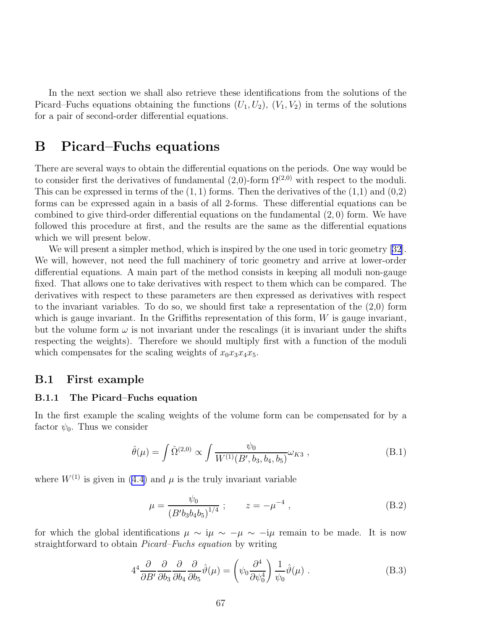<span id="page-68-0"></span>In the next section we shall also retrieve these identifications from the solutions of the Picard–Fuchs equations obtaining the functions  $(U_1, U_2)$ ,  $(V_1, V_2)$  in terms of the solutions for a pair of second-order differential equations.

# B Picard–Fuchs equations

There are several ways to obtain the differential equations on the periods. One way would be to consider first the derivatives of fundamental  $(2,0)$ -form  $\Omega^{(2,0)}$  with respect to the moduli. This can be expressed in terms of the  $(1, 1)$  forms. Then the derivatives of the  $(1,1)$  and  $(0,2)$ forms can be expressed again in a basis of all 2-forms. These differential equations can be combined to give third-order differential equations on the fundamental (2, 0) form. We have followed this procedure at first, and the results are the same as the differential equations which we will present below.

We will present a simpler method, which is inspired by the one used in toric geometry [\[32\]](#page-80-0). We will, however, not need the full machinery of toric geometry and arrive at lower-order differential equations. A main part of the method consists in keeping all moduli non-gauge fixed. That allows one to take derivatives with respect to them which can be compared. The derivatives with respect to these parameters are then expressed as derivatives with respect to the invariant variables. To do so, we should first take a representation of the  $(2,0)$  form which is gauge invariant. In the Griffiths representation of this form, W is gauge invariant, but the volume form  $\omega$  is not invariant under the rescalings (it is invariant under the shifts respecting the weights). Therefore we should multiply first with a function of the moduli which compensates for the scaling weights of  $x_0x_3x_4x_5$ .

### B.1 First example

### B.1.1 The Picard–Fuchs equation

In the first example the scaling weights of the volume form can be compensated for by a factor  $\psi_0$ . Thus we consider

$$
\hat{\theta}(\mu) = \int \hat{\Omega}^{(2,0)} \propto \int \frac{\psi_0}{W^{(1)}(B', b_3, b_4, b_5)} \omega_{K3} , \qquad (B.1)
$$

where $W^{(1)}$  is given in ([4.4\)](#page-16-0) and  $\mu$  is the truly invariant variable

$$
\mu = \frac{\psi_0}{\left(B' b_3 b_4 b_5\right)^{1/4}} \; ; \qquad z = -\mu^{-4} \; , \tag{B.2}
$$

for which the global identifications  $\mu \sim i\mu \sim -\mu \sim -i\mu$  remain to be made. It is now straightforward to obtain *Picard–Fuchs equation* by writing

$$
4^4 \frac{\partial}{\partial B'} \frac{\partial}{\partial b_3} \frac{\partial}{\partial b_4} \frac{\partial}{\partial b_5} \hat{\vartheta}(\mu) = \left(\psi_0 \frac{\partial^4}{\partial \psi_0^4}\right) \frac{1}{\psi_0} \hat{\vartheta}(\mu) . \tag{B.3}
$$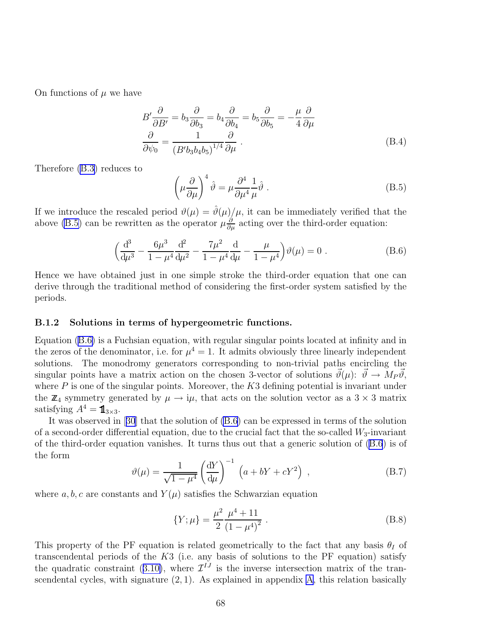<span id="page-69-0"></span>On functions of  $\mu$  we have

$$
B' \frac{\partial}{\partial B'} = b_3 \frac{\partial}{\partial b_3} = b_4 \frac{\partial}{\partial b_4} = b_5 \frac{\partial}{\partial b_5} = -\frac{\mu}{4} \frac{\partial}{\partial \mu}
$$
  

$$
\frac{\partial}{\partial \psi_0} = \frac{1}{(B'b_3 b_4 b_5)^{1/4}} \frac{\partial}{\partial \mu}.
$$
 (B.4)

Therefore [\(B.3\)](#page-68-0) reduces to

$$
\left(\mu \frac{\partial}{\partial \mu}\right)^4 \hat{\vartheta} = \mu \frac{\partial^4}{\partial \mu^4} \frac{1}{\mu} \hat{\vartheta} . \tag{B.5}
$$

If we introduce the rescaled period  $\vartheta(\mu) = \hat{\vartheta}(\mu)/\mu$ , it can be immediately verified that the above (B.5) can be rewritten as the operator  $\mu \frac{\partial}{\partial \mu}$  acting over the third-order equation:

$$
\left(\frac{d^3}{d\mu^3} - \frac{6\mu^3}{1 - \mu^4} \frac{d^2}{d\mu^2} - \frac{7\mu^2}{1 - \mu^4} \frac{d}{d\mu} - \frac{\mu}{1 - \mu^4} \right) \vartheta(\mu) = 0.
$$
 (B.6)

Hence we have obtained just in one simple stroke the third-order equation that one can derive through the traditional method of considering the first-order system satisfied by the periods.

#### B.1.2 Solutions in terms of hypergeometric functions.

Equation (B.6) is a Fuchsian equation, with regular singular points located at infinity and in the zeros of the denominator, i.e. for  $\mu^4 = 1$ . It admits obviously three linearly independent solutions. The monodromy generators corresponding to non-trivial paths encircling the singular points have a matrix action on the chosen 3-vector of solutions  $\vec{\theta}(\mu): \vec{\theta} \to M_P \vec{\theta}$ , where  $P$  is one of the singular points. Moreover, the  $K3$  defining potential is invariant under the  $\mathbb{Z}_4$  symmetry generated by  $\mu \to i\mu$ , that acts on the solution vector as a 3 × 3 matrix satisfying  $A^4 = \mathbb{1}_{3 \times 3}$ .

It was observed in[[30](#page-80-0)] that the solution of (B.6) can be expressed in terms of the solution of a second-order differential equation, due to the crucial fact that the so-called  $W_3$ -invariant of the third-order equation vanishes. It turns thus out that a generic solution of (B.6) is of the form

$$
\vartheta(\mu) = \frac{1}{\sqrt{1 - \mu^4}} \left(\frac{\mathrm{d}Y}{\mathrm{d}\mu}\right)^{-1} \left(a + bY + cY^2\right) ,\qquad (B.7)
$$

where  $a, b, c$  are constants and  $Y(\mu)$  satisfies the Schwarzian equation

$$
\{Y; \mu\} = \frac{\mu^2}{2} \frac{\mu^4 + 11}{(1 - \mu^4)^2} \ . \tag{B.8}
$$

This property of the PF equation is related geometrically to the fact that any basis  $\theta_I$  of transcendental periods of the  $K3$  (i.e. any basis of solutions to the PF equation) satisfy thequadratic constraint ([3.10\)](#page-12-0), where  $\mathcal{I}^{IJ}$  is the inverse intersection matrix of the transcendental cycles, with signature  $(2, 1)$ . As explained in appendix [A,](#page-60-0) this relation basically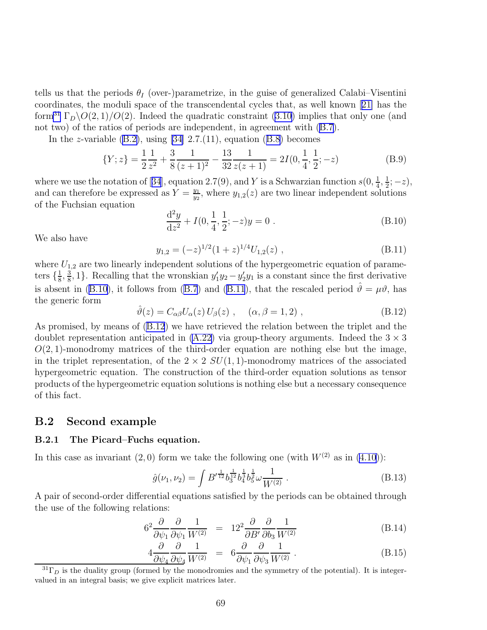<span id="page-70-0"></span>tells us that the periods  $\theta_I$  (over-)parametrize, in the guise of generalized Calabi–Visentini coordinates, the moduli space of the transcendental cycles that, as well known[[21\]](#page-79-0) has the form<sup>31</sup> $\Gamma_D \backslash O(2, 1)/O(2)$ . Indeed the quadratic constraint ([3.10\)](#page-12-0) implies that only one (and not two) of the ratios of periods are independent, in agreement with([B.7](#page-69-0)).

Inthe z-variable  $(B.2)$ , using [\[34\]](#page-80-0) 2.7.(11), equation  $(B.8)$  $(B.8)$  $(B.8)$  becomes

$$
\{Y; z\} = \frac{1}{2} \frac{1}{z^2} + \frac{3}{8} \frac{1}{(z+1)^2} - \frac{13}{32} \frac{1}{z(z+1)} = 2I(0, \frac{1}{4}, \frac{1}{2}; -z)
$$
(B.9)

wherewe use the notation of [[34](#page-80-0)], equation 2.7(9), and Y is a Schwarzian function  $s(0, \frac{1}{4}, \frac{1}{2}; -z)$ , and can therefore be expressed as  $Y = \frac{y_1}{y_0}$ , where  $y_{1,2}(z)$  are two linear independent solut  $\frac{y_1}{y_2}$ , where  $y_{1,2}(z)$  are two linear independent solutions of the Fuchsian equation

$$
\frac{d^2y}{dz^2} + I(0, \frac{1}{4}, \frac{1}{2}; -z)y = 0.
$$
 (B.10)

We also have

$$
y_{1,2} = (-z)^{1/2} (1+z)^{1/4} U_{1,2}(z) , \qquad (B.11)
$$

where  $U_{1,2}$  are two linearly independent solutions of the hypergeometric equation of parameters  $\{\frac{1}{8}$  $\frac{1}{8}$ ,  $\frac{3}{8}$  $\frac{3}{8}$ , 1}. Recalling that the wronskian  $y_1'y_2 - y_2'y_1$  is a constant since the first derivative is absent in (B.10), it follows from [\(B.7](#page-69-0)) and (B.11), that the rescaled period  $\hat{\theta} = \mu \theta$ , has the generic form

$$
\hat{\vartheta}(z) = C_{\alpha\beta} U_{\alpha}(z) U_{\beta}(z) , \quad (\alpha, \beta = 1, 2) , \tag{B.12}
$$

As promised, by means of (B.12) we have retrieved the relation between the triplet and the doublet representation anticipated in  $(A.22)$  via group-theory arguments. Indeed the  $3 \times 3$  $O(2, 1)$ -monodromy matrices of the third-order equation are nothing else but the image, in the triplet representation, of the  $2 \times 2 SU(1, 1)$ -monodromy matrices of the associated hypergeometric equation. The construction of the third-order equation solutions as tensor products of the hypergeometric equation solutions is nothing else but a necessary consequence of this fact.

## B.2 Second example

### B.2.1 The Picard–Fuchs equation.

In this case as invariant  $(2,0)$  form we take the following one (with  $W^{(2)}$  as in  $(4.10)$ ):

$$
\hat{g}(\nu_1, \nu_2) = \int B'^{\frac{1}{12}} b_3^{\frac{1}{12}} b_4^{\frac{1}{3}} b_5^{\frac{1}{2}} \omega \frac{1}{W^{(2)}} .
$$
\n(B.13)

A pair of second-order differential equations satisfied by the periods can be obtained through the use of the following relations:

$$
6^{2} \frac{\partial}{\partial \psi_{1}} \frac{\partial}{\partial \psi_{1}} \frac{1}{W^{(2)}} = 12^{2} \frac{\partial}{\partial B'} \frac{\partial}{\partial b_{3}} \frac{1}{W^{(2)}} \tag{B.14}
$$

$$
4\frac{\partial}{\partial \psi_4} \frac{\partial}{\partial \psi_4} \frac{1}{W^{(2)}} = 6\frac{\partial}{\partial \psi_1} \frac{\partial}{\partial \psi_3} \frac{1}{W^{(2)}}.
$$
 (B.15)

 ${}^{31}\Gamma_D$  is the duality group (formed by the monodromies and the symmetry of the potential). It is integervalued in an integral basis; we give explicit matrices later.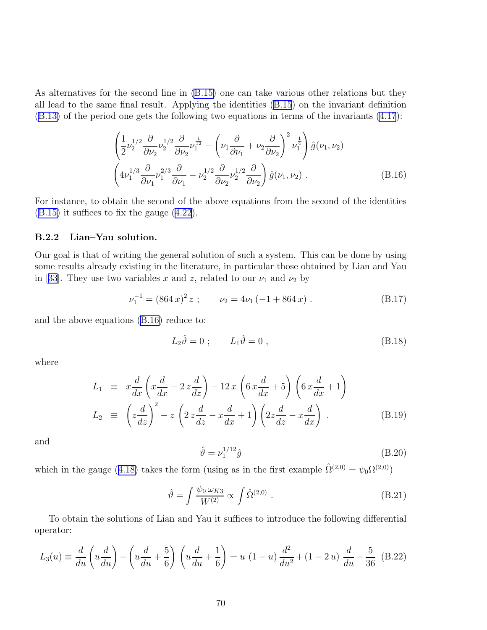<span id="page-71-0"></span>As alternatives for the second line in [\(B.15\)](#page-70-0) one can take various other relations but they all lead to the same final result. Applying the identities([B.15](#page-70-0)) on the invariant definition [\(B.13\)](#page-70-0) of the period one gets the following two equations in terms of the invariants [\(4.17](#page-18-0)):

$$
\left(\frac{1}{2}\nu_2^{1/2}\frac{\partial}{\partial\nu_2}\nu_2^{1/2}\frac{\partial}{\partial\nu_2}\nu_1^{\frac{1}{12}} - \left(\nu_1\frac{\partial}{\partial\nu_1} + \nu_2\frac{\partial}{\partial\nu_2}\right)^2\nu_1^{\frac{1}{4}}\right)\hat{g}(\nu_1, \nu_2)
$$
\n
$$
\left(4\nu_1^{1/3}\frac{\partial}{\partial\nu_1}\nu_1^{2/3}\frac{\partial}{\partial\nu_1} - \nu_2^{1/2}\frac{\partial}{\partial\nu_2}\nu_2^{1/2}\frac{\partial}{\partial\nu_2}\right)\hat{g}(\nu_1, \nu_2) .
$$
\n(B.16)

For instance, to obtain the second of the above equations from the second of the identities [\(B.15\)](#page-70-0) it suffices to fix the gauge [\(4.22](#page-18-0)).

#### B.2.2 Lian–Yau solution.

Our goal is that of writing the general solution of such a system. This can be done by using some results already existing in the literature, in particular those obtained by Lian and Yau in[[33](#page-80-0)]. They use two variables x and z, related to our  $\nu_1$  and  $\nu_2$  by

$$
\nu_1^{-1} = (864 \, x)^2 \, z \; ; \qquad \nu_2 = 4\nu_1 \left( -1 + 864 \, x \right) \,. \tag{B.17}
$$

and the above equations (B.16) reduce to:

$$
L_2\hat{\vartheta} = 0 \; ; \qquad L_1\hat{\vartheta} = 0 \; , \tag{B.18}
$$

where

$$
L_1 \equiv x \frac{d}{dx} \left( x \frac{d}{dx} - 2 z \frac{d}{dz} \right) - 12 x \left( 6 x \frac{d}{dx} + 5 \right) \left( 6 x \frac{d}{dx} + 1 \right)
$$
  
\n
$$
L_2 \equiv \left( z \frac{d}{dz} \right)^2 - z \left( 2 z \frac{d}{dz} - x \frac{d}{dx} + 1 \right) \left( 2 z \frac{d}{dz} - x \frac{d}{dx} \right) .
$$
 (B.19)

and

$$
\hat{\vartheta} = \nu_1^{1/12} \hat{g} \tag{B.20}
$$

whichin the gauge ([4.18\)](#page-18-0) takes the form (using as in the first example  $\hat{\Omega}^{(2,0)} = \psi_0 \Omega^{(2,0)}$ )

$$
\hat{\vartheta} = \int \frac{\psi_0 \,\omega_{K3}}{W^{(2)}} \propto \int \hat{\Omega}^{(2,0)} . \tag{B.21}
$$

To obtain the solutions of Lian and Yau it suffices to introduce the following differential operator:

$$
L_3(u) \equiv \frac{d}{du} \left( u \frac{d}{du} \right) - \left( u \frac{d}{du} + \frac{5}{6} \right) \left( u \frac{d}{du} + \frac{1}{6} \right) = u (1 - u) \frac{d^2}{du^2} + (1 - 2 u) \frac{d}{du} - \frac{5}{36} \tag{B.22}
$$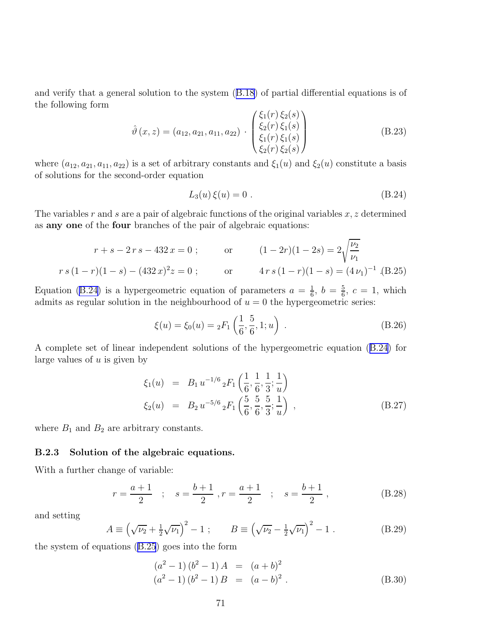<span id="page-72-0"></span>and verify that a general solution to the system([B.18\)](#page-71-0) of partial differential equations is of the following form

$$
\hat{\vartheta}(x,z) = (a_{12}, a_{21}, a_{11}, a_{22}) \cdot \begin{pmatrix} \xi_1(r) \xi_2(s) \\ \xi_2(r) \xi_1(s) \\ \xi_1(r) \xi_1(s) \\ \xi_2(r) \xi_2(s) \end{pmatrix}
$$
(B.23)

where  $(a_{12}, a_{21}, a_{11}, a_{22})$  is a set of arbitrary constants and  $\xi_1(u)$  and  $\xi_2(u)$  constitute a basis of solutions for the second-order equation

$$
L_3(u)\,\xi(u) = 0\tag{B.24}
$$

The variables r and s are a pair of algebraic functions of the original variables  $x, z$  determined as any one of the four branches of the pair of algebraic equations:

$$
r + s - 2r s - 432 x = 0 ; \t or \t (1 - 2r)(1 - 2s) = 2\sqrt{\frac{\nu_2}{\nu_1}}
$$
  

$$
r s (1 - r)(1 - s) - (432 x)^2 z = 0 ; \t or \t 4r s (1 - r)(1 - s) = (4\nu_1)^{-1} . (B.25)
$$

Equation (B.24) is a hypergeometric equation of parameters  $a = \frac{1}{6}$  $\frac{1}{6}$ ,  $b = \frac{5}{6}$  $\frac{5}{6}$ ,  $c = 1$ , which admits as regular solution in the neighbourhood of  $u = 0$  the hypergeometric series:

$$
\xi(u) = \xi_0(u) = {}_2F_1\left(\frac{1}{6}, \frac{5}{6}, 1; u\right) \tag{B.26}
$$

A complete set of linear independent solutions of the hypergeometric equation (B.24) for large values of  $u$  is given by

$$
\xi_1(u) = B_1 u^{-1/6} {}_2F_1\left(\frac{1}{6}, \frac{1}{6}, \frac{1}{3}; \frac{1}{u}\right) \n\xi_2(u) = B_2 u^{-5/6} {}_2F_1\left(\frac{5}{6}, \frac{5}{6}, \frac{5}{3}; \frac{1}{u}\right) ,
$$
\n(B.27)

where  $B_1$  and  $B_2$  are arbitrary constants.

## B.2.3 Solution of the algebraic equations.

With a further change of variable:

$$
r = \frac{a+1}{2}
$$
;  $s = \frac{b+1}{2}$ ,  $r = \frac{a+1}{2}$ ;  $s = \frac{b+1}{2}$ , (B.28)

and setting

$$
A \equiv \left(\sqrt{\nu_2} + \frac{1}{2}\sqrt{\nu_1}\right)^2 - 1 \; ; \qquad B \equiv \left(\sqrt{\nu_2} - \frac{1}{2}\sqrt{\nu_1}\right)^2 - 1 \; . \tag{B.29}
$$

the system of equations (B.25) goes into the form

$$
(a2 - 1) (b2 - 1) A = (a + b)2
$$
  
\n
$$
(a2 - 1) (b2 - 1) B = (a - b)2
$$
 (B.30)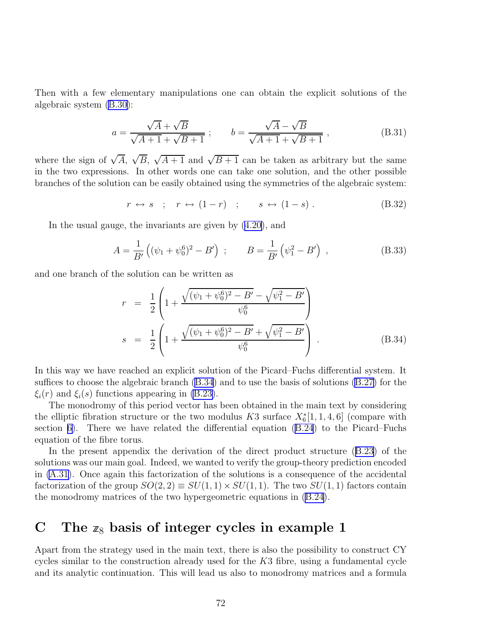Then with a few elementary manipulations one can obtain the explicit solutions of the algebraic system [\(B.30\)](#page-72-0):

$$
a = \frac{\sqrt{A} + \sqrt{B}}{\sqrt{A+1} + \sqrt{B+1}} \; ; \qquad b = \frac{\sqrt{A} - \sqrt{B}}{\sqrt{A+1} + \sqrt{B+1}} \; , \tag{B.31}
$$

where the sign of  $\sqrt{A}$ ,  $\sqrt{B}$ ,  $\sqrt{A+1}$  and  $\sqrt{B+1}$  can be taken as arbitrary but the same in the two expressions. In other words one can take one solution, and the other possible branches of the solution can be easily obtained using the symmetries of the algebraic system:

 $r \leftrightarrow s$  ;  $r \leftrightarrow (1-r)$  ;  $s \leftrightarrow (1-s)$  . (B.32)

In the usual gauge, the invariants are given by([4.20\)](#page-18-0), and

$$
A = \frac{1}{B'} \left( (\psi_1 + \psi_0^6)^2 - B' \right) ; \qquad B = \frac{1}{B'} \left( \psi_1^2 - B' \right) , \qquad (B.33)
$$

and one branch of the solution can be written as

$$
r = \frac{1}{2} \left( 1 + \frac{\sqrt{(\psi_1 + \psi_0^6)^2 - B'} - \sqrt{\psi_1^2 - B'}}{\psi_0^6} \right)
$$
  

$$
s = \frac{1}{2} \left( 1 + \frac{\sqrt{(\psi_1 + \psi_0^6)^2 - B'} + \sqrt{\psi_1^2 - B'}}{\psi_0^6} \right)
$$
 (B.34)

In this way we have reached an explicit solution of the Picard–Fuchs differential system. It suffices to choose the algebraic branch (B.34) and to use the basis of solutions [\(B.27\)](#page-72-0) for the  $\xi_i(r)$  and  $\xi_i(s)$  functions appearing in [\(B.23\)](#page-72-0).

The monodromy of this period vector has been obtained in the main text by considering the elliptic fibration structure or the two modulus K3 surface  $X_6^*[1,1,4,6]$  (compare with section [6\)](#page-33-0). There we have related the differential equation [\(B.24](#page-72-0)) to the Picard–Fuchs equation of the fibre torus.

In the present appendix the derivation of the direct product structure([B.23\)](#page-72-0) of the solutions was our main goal. Indeed, we wanted to verify the group-theory prediction encoded in [\(A.31](#page-67-0)). Once again this factorization of the solutions is a consequence of the accidental factorization of the group  $SO(2, 2) \equiv SU(1, 1) \times SU(1, 1)$ . The two  $SU(1, 1)$  factors contain the monodromy matrices of the two hypergeometric equations in([B.24](#page-72-0)).

## C The  $z_8$  basis of integer cycles in example 1

Apart from the strategy used in the main text, there is also the possibility to construct CY cycles similar to the construction already used for the  $K3$  fibre, using a fundamental cycle and its analytic continuation. This will lead us also to monodromy matrices and a formula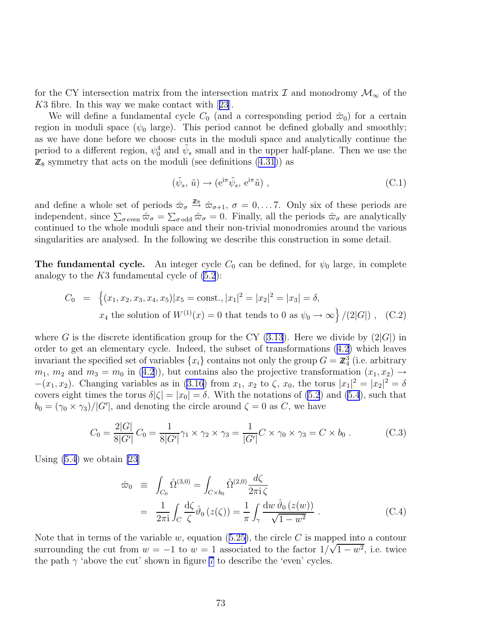<span id="page-74-0"></span>for the CY intersection matrix from the intersection matrix  $\mathcal I$  and monodromy  $\mathcal M_\infty$  of the K3 fibre. In this way we make contact with[[23](#page-79-0)].

We will define a fundamental cycle  $C_0$  (and a corresponding period  $\hat{\varpi}_0$ ) for a certain region in moduli space ( $\psi_0$  large). This period cannot be defined globally and smoothly; as we have done before we choose cuts in the moduli space and analytically continue the period to a different region,  $\psi_0^4$  and  $\tilde{\psi}_s$  small and in the upper half-plane. Then we use the  $\mathbb{Z}_8$  symmetry that acts on the moduli (see definitions [\(4.31](#page-21-0))) as

$$
(\tilde{\psi}_s, \tilde{u}) \to (e^{i\pi} \tilde{\psi}_s, e^{i\pi} \tilde{u}), \qquad (C.1)
$$

and define a whole set of periods  $\hat{\omega}_{\sigma} \stackrel{\mathbb{Z}8}{\rightarrow} \hat{\omega}_{\sigma+1}$ ,  $\sigma = 0, \ldots 7$ . Only six of these periods are independent, since  $\sum_{\sigma \text{ even}} \hat{\varpi}_{\sigma} = \sum_{\sigma \text{ odd}} \hat{\varpi}_{\sigma} = 0$ . Finally, all the periods  $\hat{\varpi}_{\sigma}$  are analytically continued to the whole moduli space and their non-trivial monodromies around the various singularities are analysed. In the following we describe this construction in some detail.

**The fundamental cycle.** An integer cycle  $C_0$  can be defined, for  $\psi_0$  large, in complete analogy to the  $K3$  fundamental cycle of  $(5.2)$ :

$$
C_0 = \left\{ (x_1, x_2, x_3, x_4, x_5) | x_5 = \text{const.}, |x_1|^2 = |x_2|^2 = |x_3| = \delta, \right\}
$$
  
 
$$
x_4 \text{ the solution of } W^{(1)}(x) = 0 \text{ that tends to 0 as } \psi_0 \to \infty \right\} / (2|G|) , \quad (C.2)
$$

where G is the discrete identification group for the CY  $(3.13)$ . Here we divide by  $(2|G|)$  in order to get an elementary cycle. Indeed, the subset of transformations([4.2\)](#page-15-0) which leaves invariant the specified set of variables  $\{x_i\}$  contains not only the group  $G = \mathbb{Z}_4^3$  (i.e. arbitrary  $m_1, m_2$  $m_1, m_2$  $m_1, m_2$  and  $m_3 = m_0$  in ([4.2\)](#page-15-0)), but contains also the projective transformation  $(x_1, x_2) \rightarrow$  $-(x_1, x_2)$ . Changing variables as in [\(3.16](#page-13-0)) from  $x_1, x_2$  to  $\zeta$ ,  $x_0$ , the torus  $|x_1|^2 = |x_2|^2 = \delta$ covers eight times the torus  $\delta |\zeta| = |x_0| = \delta$ . With the notations of [\(5.2](#page-26-0)) and [\(5.4](#page-27-0)), such that  $b_0 = (\gamma_0 \times \gamma_3)/|G'|$ , and denoting the circle around  $\zeta = 0$  as C, we have

$$
C_0 = \frac{2|G|}{8|G'|} C_0 = \frac{1}{8|G'|} \gamma_1 \times \gamma_2 \times \gamma_3 = \frac{1}{|G'|} C \times \gamma_0 \times \gamma_3 = C \times b_0.
$$
 (C.3)

Using  $(5.4)$  we obtain [\[23](#page-79-0)]

$$
\hat{\omega}_0 \equiv \int_{C_0} \hat{\Omega}^{(3,0)} = \int_{C \times b_0} \hat{\Omega}^{(2,0)} \frac{d\zeta}{2\pi i \zeta} \n= \frac{1}{2\pi i} \int_C \frac{d\zeta}{\zeta} \hat{\vartheta}_0 (z(\zeta)) = \frac{1}{\pi} \int_{\gamma} \frac{dw \,\hat{\vartheta}_0 (z(w))}{\sqrt{1 - w^2}} .
$$
\n(C.4)

Notethat in terms of the variable  $w$ , equation ([5.25\)](#page-31-0), the circle  $C$  is mapped into a contour surrounding the cut from  $w = -1$  to  $w = 1$  associated to the factor  $1/\sqrt{1 - w^2}$ , i.e. twice the path  $\gamma$  'above the cut' shown in figure [7](#page-75-0) to describe the 'even' cycles.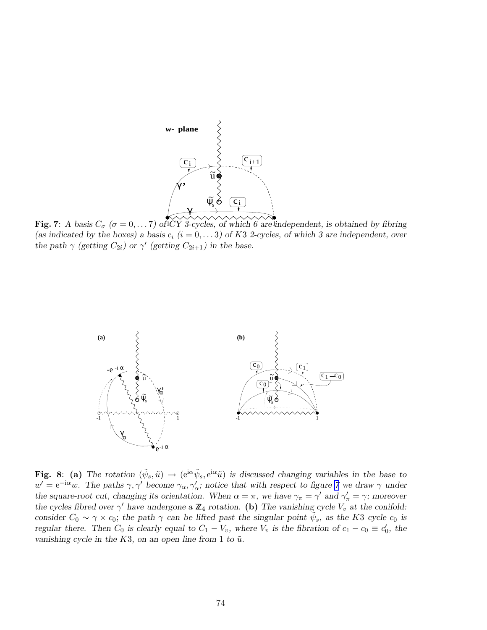<span id="page-75-0"></span>

Fig. 7: *A basis*  $C_{\sigma}$  ( $\sigma = 0, \ldots 7$ ) of CY 3-cycles, of which 6 are independent, is obtained by fibring (as indicated by the boxes) a basis  $c_i$   $(i = 0, \ldots 3)$  of K3 2-cycles, of which 3 are independent, over *the path*  $\gamma$  *(getting*  $C_{2i}$ *)* or  $\gamma'$  *(getting*  $C_{2i+1}$ *)* in the base.



Fig. 8: (a) The rotation  $(\tilde{\psi}_s, \tilde{u}) \to (e^{i\alpha} \tilde{\psi}_s, e^{i\alpha} \tilde{u})$  is discussed changing variables in the base to  $w' = e^{-i\alpha}w$ . The paths  $\gamma$ ,  $\gamma'$  become  $\gamma_{\alpha}$ ,  $\gamma'_{\alpha}$ ; notice that with respect to figure 7 we draw  $\gamma$  under *the square-root cut, changing its orientation. When*  $\alpha = \pi$ , we have  $\gamma_{\pi} = \gamma'$  and  $\gamma'_{\pi} = \gamma$ ; moreover *the cycles fibred over*  $\gamma'$  *have undergone a*  $\mathbb{Z}_4$  *rotation.* (b) The vanishing cycle  $V_v$  *at the conifold: consider*  $C_0 \sim \gamma \times c_0$ ; *the path*  $\gamma$  *can be lifted past the singular point*  $\tilde{\psi}_s$ , *as the* K3 *cycle*  $c_0$  *is regular there. Then*  $C_0$  *is clearly equal to*  $C_1 - V_v$ *, where*  $V_v$  *is the fibration of*  $c_1 - c_0 \equiv c'_0$ *, the vanishing cycle in the K3, on an open line from 1 to*  $\tilde{u}$ *.*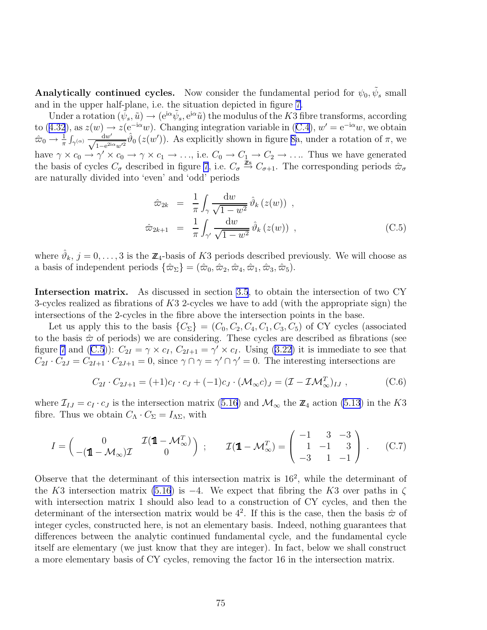<span id="page-76-0"></span>Analytically continued cycles. Now consider the fundamental period for  $\psi_0, \tilde{\psi}_s$  small and in the upper half-plane, i.e. the situation depicted in figure [7](#page-75-0).

Under a rotation  $(\tilde{\psi}_s, \tilde{u}) \to (e^{i\alpha}\tilde{\psi}_s, e^{i\alpha}\tilde{u})$  the modulus of the K3 fibre transforms, according to $(4.32)$  $(4.32)$  $(4.32)$ , as  $z(w) \rightarrow z(e^{-i\alpha}w)$ . Changing integration variable in  $(C.4)$  $(C.4)$  $(C.4)$ ,  $w' = e^{-i\alpha}w$ , we obtain  $\hat{\varpi}_0 \to \frac{1}{\pi} \int_{\gamma(\alpha)} \frac{dw'}{\sqrt{1 - e^{2i\alpha w'^2}}}\hat{\vartheta}_0(z(w'))$ . As explicitly shown in figure [8a](#page-75-0), under a rotation of  $\pi$ , we have  $\gamma \times c_0 \to \gamma' \times c_0 \to \gamma \times c_1 \to \ldots$ , i.e.  $C_0 \to C_1 \to C_2 \to \ldots$  Thus we have generated the basis of cycles  $C_{\sigma}$  described in figure [7](#page-75-0), i.e.  $C_{\sigma} \stackrel{\bar{\mathbb{Z}}_8}{\rightarrow} C_{\sigma+1}$ . The corresponding periods  $\hat{\varpi}_{\sigma}$ are naturally divided into 'even' and 'odd' periods

$$
\hat{\omega}_{2k} = \frac{1}{\pi} \int_{\gamma} \frac{\mathrm{d}w}{\sqrt{1 - w^2}} \hat{\vartheta}_k(z(w)),
$$
  

$$
\hat{\omega}_{2k+1} = \frac{1}{\pi} \int_{\gamma'} \frac{\mathrm{d}w}{\sqrt{1 - w^2}} \hat{\vartheta}_k(z(w)),
$$
 (C.5)

where  $\hat{\vartheta}_k$ ,  $j = 0, \ldots, 3$  is the  $\mathbb{Z}_4$ -basis of K3 periods described previously. We will choose as a basis of independent periods  $\{\hat{\varpi}_{\Sigma}\} = (\hat{\varpi}_0, \hat{\varpi}_2, \hat{\varpi}_4, \hat{\varpi}_1, \hat{\varpi}_3, \hat{\varpi}_5).$ 

Intersection matrix. As discussed in section [3.5](#page-14-0), to obtain the intersection of two CY 3-cycles realized as fibrations of  $K3$  2-cycles we have to add (with the appropriate sign) the intersections of the 2-cycles in the fibre above the intersection points in the base.

Let us apply this to the basis  $\{C_{\Sigma}\} = (C_0, C_2, C_4, C_1, C_3, C_5)$  of CY cycles (associated to the basis  $\hat{\varpi}$  of periods) we are considering. These cycles are described as fibrations (see figure [7](#page-75-0)and (C.5)):  $C_{2I} = \gamma \times c_I$ ,  $C_{2I+1} = \gamma' \times c_I$ . Using ([3.22\)](#page-14-0) it is immediate to see that  $C_{2I} \cdot C_{2J} = C_{2I+1} \cdot C_{2J+1} = 0$ , since  $\gamma \cap \gamma = \gamma' \cap \gamma' = 0$ . The interesting intersections are

$$
C_{2I} \cdot C_{2J+1} = (+1)c_I \cdot c_J + (-1)c_J \cdot (\mathcal{M}_{\infty} c)_J = (\mathcal{I} - \mathcal{I}\mathcal{M}_{\infty}^T)_{IJ}, \qquad (C.6)
$$

where  $\mathcal{I}_{IJ} = c_I \cdot c_J$  is the intersection matrix [\(5.16\)](#page-29-0) and  $\mathcal{M}_{\infty}$  the  $\mathbb{Z}_4$  action [\(5.13](#page-28-0)) in the K3 fibre. Thus we obtain  $C_{\Lambda} \cdot C_{\Sigma} = I_{\Lambda \Sigma}$ , with

$$
I = \begin{pmatrix} 0 & \mathcal{I}(\mathbf{1} - \mathcal{M}_{\infty}) & \mathcal{I}(\mathbf{1} - \mathcal{M}_{\infty}^T) \\ -(\mathbf{1} - \mathcal{M}_{\infty}) & \mathcal{I}(\mathbf{1} - \mathcal{M}_{\infty}^T) \end{pmatrix} ; \qquad \mathcal{I}(\mathbf{1} - \mathcal{M}_{\infty}^T) = \begin{pmatrix} -1 & 3 & -3 \\ 1 & -1 & 3 \\ -3 & 1 & -1 \end{pmatrix} . \tag{C.7}
$$

Observe that the determinant of this intersection matrix is  $16^2$ , while the determinant of the K3 intersection matrix [\(5.16](#page-29-0)) is  $-4$ . We expect that fibring the K3 over paths in  $\zeta$ with intersection matrix 1 should also lead to a construction of CY cycles, and then the determinant of the intersection matrix would be  $4^2$ . If this is the case, then the basis  $\hat{\varpi}$  of integer cycles, constructed here, is not an elementary basis. Indeed, nothing guarantees that differences between the analytic continued fundamental cycle, and the fundamental cycle itself are elementary (we just know that they are integer). In fact, below we shall construct a more elementary basis of CY cycles, removing the factor 16 in the intersection matrix.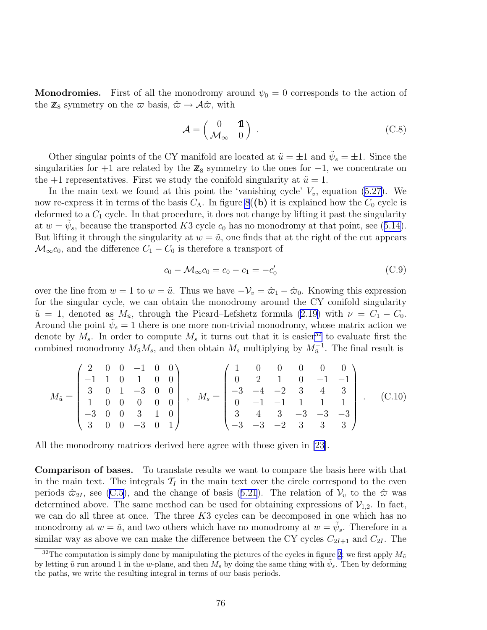**Monodromies.** First of all the monodromy around  $\psi_0 = 0$  corresponds to the action of the  $\mathbb{Z}_8$  symmetry on the  $\varpi$  basis,  $\hat{\varpi} \to \mathcal{A} \hat{\varpi}$ , with

$$
\mathcal{A} = \begin{pmatrix} 0 & \mathbf{1} \\ \mathcal{M}_{\infty} & 0 \end{pmatrix} .
$$
 (C.8)

Other singular points of the CY manifold are located at  $\tilde{u} = \pm 1$  and  $\tilde{\psi}_s = \pm 1$ . Since the singularities for +1 are related by the  $\mathbb{Z}_8$  symmetry to the ones for -1, we concentrate on the +1 representatives. First we study the conifold singularity at  $\tilde{u} = 1$ .

Inthe main text we found at this point the 'vanishing cycle'  $V_v$ , equation ([5.27\)](#page-32-0). We now re-express it in terms of the basis  $C_\Lambda$ . In figure [8](#page-75-0)((b) it is explained how the  $C_0$  cycle is deformed to a  $C_1$  cycle. In that procedure, it does not change by lifting it past the singularity at $w = \tilde{\psi}_s$ , because the transported K3 cycle  $c_0$  has no monodromy at that point, see ([5.14\)](#page-29-0). But lifting it through the singularity at  $w = \tilde{u}$ , one finds that at the right of the cut appears  $\mathcal{M}_{\infty}c_0$ , and the difference  $C_1 - C_0$  is therefore a transport of

$$
c_0 - \mathcal{M}_{\infty} c_0 = c_0 - c_1 = -c'_0 \tag{C.9}
$$

over the line from  $w = 1$  to  $w = \tilde{u}$ . Thus we have  $-\mathcal{V}_v = \hat{\varpi}_1 - \hat{\varpi}_0$ . Knowing this expression for the singular cycle, we can obtain the monodromy around the CY conifold singularity  $\tilde{u} = 1$ , denoted as  $M_{\tilde{u}}$ , through the Picard–Lefshetz formula [\(2.19](#page-9-0)) with  $\nu = C_1 - C_0$ . Around the point  $\tilde{\psi}_s = 1$  there is one more non-trivial monodromy, whose matrix action we denote by  $M_s$ . In order to compute  $M_s$  it turns out that it is easier<sup>32</sup> to evaluate first the combined monodromy  $M_{\tilde{u}}M_s$ , and then obtain  $M_s$  multiplying by  $M_{\tilde{u}}^{-1}$ . The final result is

$$
M_{\tilde{u}} = \begin{pmatrix} 2 & 0 & 0 & -1 & 0 & 0 \\ -1 & 1 & 0 & 1 & 0 & 0 \\ 3 & 0 & 1 & -3 & 0 & 0 \\ 1 & 0 & 0 & 0 & 0 & 0 \\ -3 & 0 & 0 & 3 & 1 & 0 \\ 3 & 0 & 0 & -3 & 0 & 1 \end{pmatrix}, \quad M_s = \begin{pmatrix} 1 & 0 & 0 & 0 & 0 & 0 \\ 0 & 2 & 1 & 0 & -1 & -1 \\ -3 & -4 & -2 & 3 & 4 & 3 \\ 0 & -1 & -1 & 1 & 1 & 1 \\ 3 & 4 & 3 & -3 & -3 & -3 \\ -3 & -3 & -2 & 3 & 3 & 3 \end{pmatrix}.
$$
 (C.10)

All the monodromy matrices derived here agree with those given in [\[23](#page-79-0)].

Comparison of bases. To translate results we want to compare the basis here with that in the main text. The integrals  $\mathcal{T}_I$  in the main text over the circle correspond to the even periods $\hat{\varpi}_{2I}$ , see ([C.5](#page-76-0)), and the change of basis ([5.21](#page-30-0)). The relation of  $\mathcal{V}_v$  to the  $\hat{\varpi}$  was determined above. The same method can be used for obtaining expressions of  $\mathcal{V}_{1,2}$ . In fact, we can do all three at once. The three K3 cycles can be decomposed in one which has no monodromy at  $w = \tilde{u}$ , and two others which have no monodromy at  $w = \tilde{\psi}_s$ . Therefore in a similar way as above we can make the difference between the CY cycles  $C_{2I+1}$  and  $C_{2I}$ . The

<sup>&</sup>lt;sup>32</sup>The computation is simply done by manipulating the pictures of the cycles in figure [2;](#page-29-0) we first apply  $M_{\tilde{u}}$ by letting  $\tilde{u}$  run around 1 in the w-plane, and then  $\tilde{M}_s$  by doing the same thing with  $\tilde{\psi}_s$ . Then by deforming the paths, we write the resulting integral in terms of our basis periods.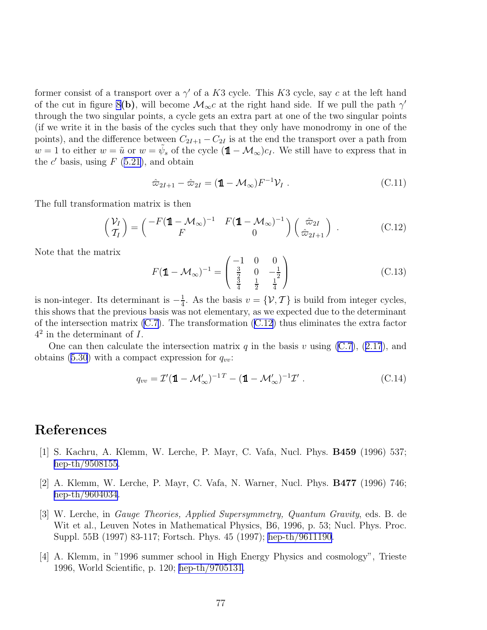former consist of a transport over a  $\gamma'$  of a K3 cycle. This K3 cycle, say c at the left hand of the cut in figure [8](#page-75-0)(b), will become  $\mathcal{M}_{\infty}c$  at the right hand side. If we pull the path  $\gamma'$ through the two singular points, a cycle gets an extra part at one of the two singular points (if we write it in the basis of the cycles such that they only have monodromy in one of the points), and the difference between  $C_{2I+1} - C_{2I}$  is at the end the transport over a path from  $w = 1$  to either  $w = \tilde{u}$  or  $w = \tilde{\psi}_s$  of the cycle  $(\mathbb{1} - \mathcal{M}_{\infty})c_I$ . We still have to express that in the  $c'$  basis, using  $F(5.21)$  $F(5.21)$ , and obtain

$$
\hat{\omega}_{2I+1} - \hat{\omega}_{2I} = (\mathbf{1} - \mathcal{M}_{\infty})F^{-1}\mathcal{V}_I.
$$
\n(C.11)

The full transformation matrix is then

$$
\begin{pmatrix} \mathcal{V}_I \\ \mathcal{T}_I \end{pmatrix} = \begin{pmatrix} -F(\mathbf{1} - \mathcal{M}_{\infty})^{-1} & F(\mathbf{1} - \mathcal{M}_{\infty})^{-1} \\ F & 0 \end{pmatrix} \begin{pmatrix} \hat{\varpi}_{2I} \\ \hat{\varpi}_{2I+1} \end{pmatrix} . \tag{C.12}
$$

Note that the matrix

$$
F(\mathbf{1} - \mathcal{M}_{\infty})^{-1} = \begin{pmatrix} -1 & 0 & 0\\ \frac{3}{2} & 0 & -\frac{1}{2} \\ \frac{3}{4} & \frac{1}{2} & \frac{1}{4} \end{pmatrix}
$$
(C.13)

is non-integer. Its determinant is  $-\frac{1}{4}$  $\frac{1}{4}$ . As the basis  $v = \{\mathcal{V}, \mathcal{T}\}$  is build from integer cycles, this shows that the previous basis was not elementary, as we expected due to the determinant of the intersection matrix  $(C.7)$ . The transformation  $(C.12)$  thus eliminates the extra factor  $4^2$  in the determinant of I.

Onecan then calculate the intersection matrix q in the basis v using  $(C.7)$ ,  $(2.17)$  $(2.17)$  $(2.17)$ , and obtains [\(5.30](#page-32-0)) with a compact expression for  $q_{vv}$ :

$$
q_{vv} = \mathcal{I}'(\mathbf{1} - \mathcal{M}'_{\infty})^{-1} - (\mathbf{1} - \mathcal{M}'_{\infty})^{-1}\mathcal{I}'.
$$
 (C.14)

## References

- [1] S. Kachru, A. Klemm, W. Lerche, P. Mayr, C. Vafa, Nucl. Phys. B459 (1996) 537; [hep-th/9508155.](http://arXiv.org/abs/hep-th/9508155)
- [2] A. Klemm, W. Lerche, P. Mayr, C. Vafa, N. Warner, Nucl. Phys. B477 (1996) 746; [hep-th/9604034.](http://arXiv.org/abs/hep-th/9604034)
- [3] W. Lerche, in *Gauge Theories, Applied Supersymmetry, Quantum Gravity*, eds. B. de Wit et al., Leuven Notes in Mathematical Physics, B6, 1996, p. 53; Nucl. Phys. Proc. Suppl. 55B (1997) 83-117; Fortsch. Phys. 45 (1997); [hep-th/9611190](http://arXiv.org/abs/hep-th/9611190).
- [4] A. Klemm, in "1996 summer school in High Energy Physics and cosmology", Trieste 1996, World Scientific, p. 120; [hep-th/9705131](http://arXiv.org/abs/hep-th/9705131).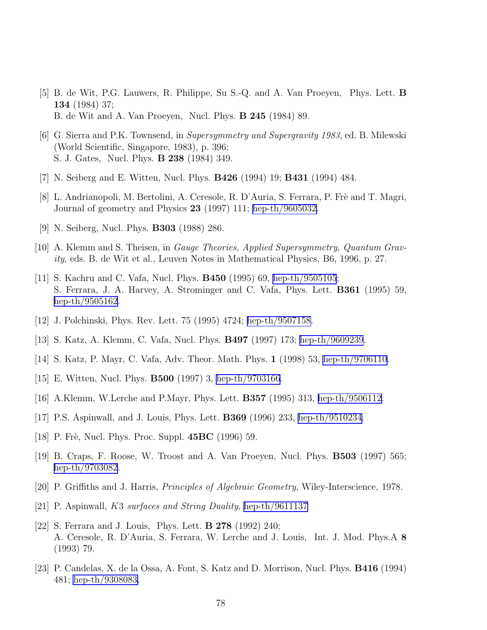- <span id="page-79-0"></span>[5] B. de Wit, P.G. Lauwers, R. Philippe, Su S.-Q. and A. Van Proeyen, Phys. Lett. B 134 (1984) 37; B. de Wit and A. Van Proeyen, Nucl. Phys. B 245 (1984) 89.
- [6] G. Sierra and P.K. Townsend, in *Supersymmetry and Supergravity 1983*, ed. B. Milewski (World Scientific, Singapore, 1983), p. 396; S. J. Gates, Nucl. Phys. B 238 (1984) 349.
- [7] N. Seiberg and E. Witten, Nucl. Phys. B426 (1994) 19; B431 (1994) 484.
- [8] L. Andrianopoli, M. Bertolini, A. Ceresole, R. D'Auria, S. Ferrara, P. Frè and T. Magri, Journal of geometry and Physics 23 (1997) 111; [hep-th/9605032.](http://arXiv.org/abs/hep-th/9605032)
- [9] N. Seiberg, Nucl. Phys. B303 (1988) 286.
- [10] A. Klemm and S. Theisen, in *Gauge Theories, Applied Supersymmetry, Quantum Gravity*, eds. B. de Wit et al., Leuven Notes in Mathematical Physics, B6, 1996, p. 27.
- [11] S. Kachru and C. Vafa, Nucl. Phys. B450 (1995) 69, [hep-th/9505105](http://arXiv.org/abs/hep-th/9505105); S. Ferrara, J. A. Harvey, A. Strominger and C. Vafa, Phys. Lett. B361 (1995) 59, [hep-th/9505162.](http://arXiv.org/abs/hep-th/9505162)
- [12] J. Polchinski, Phys. Rev. Lett. 75 (1995) 4724; [hep-th/9507158.](http://arXiv.org/abs/hep-th/9507158)
- [13] S. Katz, A. Klemm, C. Vafa, Nucl. Phys. B497 (1997) 173; [hep-th/9609239](http://arXiv.org/abs/hep-th/9609239).
- [14] S. Katz, P. Mayr, C. Vafa, Adv. Theor. Math. Phys. 1 (1998) 53, [hep-th/9706110.](http://arXiv.org/abs/hep-th/9706110)
- [15] E. Witten, Nucl. Phys. B500 (1997) 3, [hep-th/9703166](http://arXiv.org/abs/hep-th/9703166).
- [16] A.Klemm, W.Lerche and P.Mayr, Phys. Lett. B357 (1995) 313, [hep-th/9506112.](http://arXiv.org/abs/hep-th/9506112)
- [17] P.S. Aspinwall, and J. Louis, Phys. Lett. B369 (1996) 233, [hep-th/9510234](http://arXiv.org/abs/hep-th/9510234).
- [18] P. Frè, Nucl. Phys. Proc. Suppl.  $45BC$  (1996) 59.
- [19] B. Craps, F. Roose, W. Troost and A. Van Proeyen, Nucl. Phys. B503 (1997) 565; [hep-th/9703082.](http://arXiv.org/abs/hep-th/9703082)
- [20] P. Griffiths and J. Harris, *Principles of Algebraic Geometry*, Wiley-Interscience, 1978.
- [21] P. Aspinwall, K3 *surfaces and String Duality*, [hep-th/9611137](http://arXiv.org/abs/hep-th/9611137)
- [22] S. Ferrara and J. Louis, Phys. Lett. B 278 (1992) 240; A. Ceresole, R. D'Auria, S. Ferrara, W. Lerche and J. Louis, Int. J. Mod. Phys.A 8 (1993) 79.
- [23] P. Candelas, X. de la Ossa, A. Font, S. Katz and D. Morrison, Nucl. Phys. B416 (1994) 481; [hep-th/9308083.](http://arXiv.org/abs/hep-th/9308083)